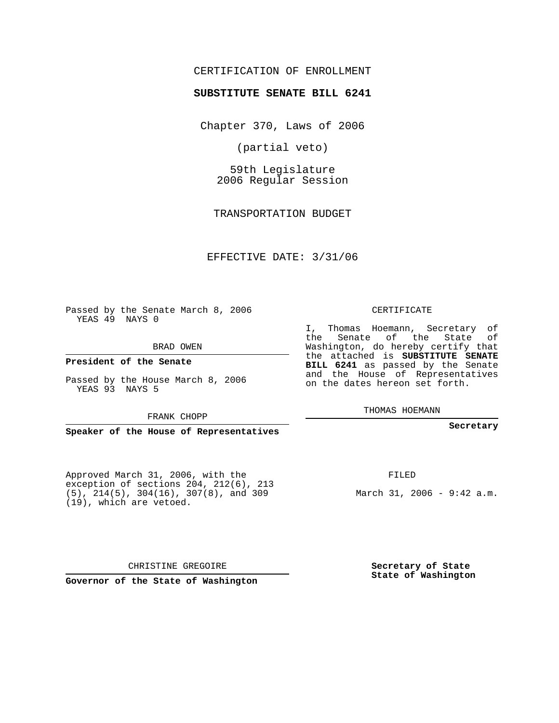## CERTIFICATION OF ENROLLMENT

#### **SUBSTITUTE SENATE BILL 6241**

Chapter 370, Laws of 2006

(partial veto)

59th Legislature 2006 Regular Session

TRANSPORTATION BUDGET

EFFECTIVE DATE: 3/31/06

Passed by the Senate March 8, 2006 YEAS 49 NAYS 0

BRAD OWEN

**President of the Senate**

Passed by the House March 8, 2006 YEAS 93 NAYS 5

FRANK CHOPP

**Speaker of the House of Representatives**

Approved March 31, 2006, with the exception of sections 204, 212(6), 213 (5), 214(5), 304(16), 307(8), and 309 (19), which are vetoed.

CHRISTINE GREGOIRE

**Governor of the State of Washington**

#### CERTIFICATE

I, Thomas Hoemann, Secretary of the Senate of the State of Washington, do hereby certify that the attached is **SUBSTITUTE SENATE BILL 6241** as passed by the Senate and the House of Representatives on the dates hereon set forth.

THOMAS HOEMANN

#### **Secretary**

FILED

March 31, 2006 - 9:42 a.m.

**Secretary of State State of Washington**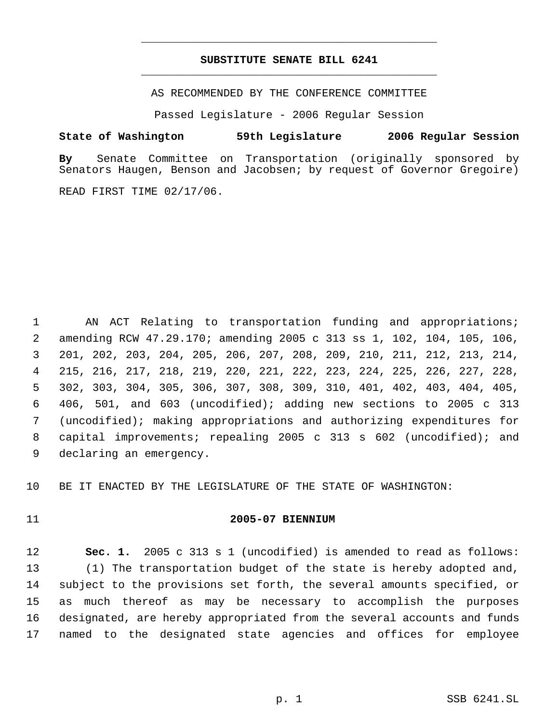# **SUBSTITUTE SENATE BILL 6241** \_\_\_\_\_\_\_\_\_\_\_\_\_\_\_\_\_\_\_\_\_\_\_\_\_\_\_\_\_\_\_\_\_\_\_\_\_\_\_\_\_\_\_\_\_

\_\_\_\_\_\_\_\_\_\_\_\_\_\_\_\_\_\_\_\_\_\_\_\_\_\_\_\_\_\_\_\_\_\_\_\_\_\_\_\_\_\_\_\_\_

AS RECOMMENDED BY THE CONFERENCE COMMITTEE

Passed Legislature - 2006 Regular Session

#### **State of Washington 59th Legislature 2006 Regular Session**

**By** Senate Committee on Transportation (originally sponsored by Senators Haugen, Benson and Jacobsen; by request of Governor Gregoire)

READ FIRST TIME 02/17/06.

 AN ACT Relating to transportation funding and appropriations; amending RCW 47.29.170; amending 2005 c 313 ss 1, 102, 104, 105, 106, 201, 202, 203, 204, 205, 206, 207, 208, 209, 210, 211, 212, 213, 214, 215, 216, 217, 218, 219, 220, 221, 222, 223, 224, 225, 226, 227, 228, 302, 303, 304, 305, 306, 307, 308, 309, 310, 401, 402, 403, 404, 405, 406, 501, and 603 (uncodified); adding new sections to 2005 c 313 (uncodified); making appropriations and authorizing expenditures for capital improvements; repealing 2005 c 313 s 602 (uncodified); and declaring an emergency.

BE IT ENACTED BY THE LEGISLATURE OF THE STATE OF WASHINGTON:

## **2005-07 BIENNIUM**

 **Sec. 1.** 2005 c 313 s 1 (uncodified) is amended to read as follows: (1) The transportation budget of the state is hereby adopted and, subject to the provisions set forth, the several amounts specified, or as much thereof as may be necessary to accomplish the purposes designated, are hereby appropriated from the several accounts and funds named to the designated state agencies and offices for employee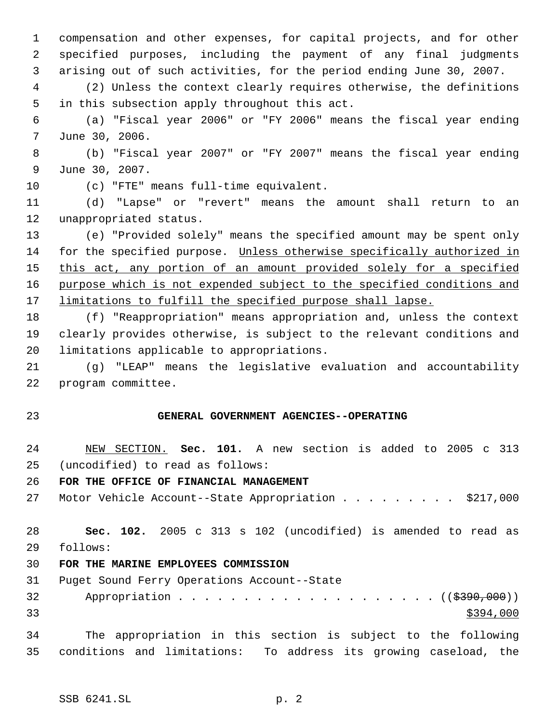compensation and other expenses, for capital projects, and for other specified purposes, including the payment of any final judgments arising out of such activities, for the period ending June 30, 2007.

 (2) Unless the context clearly requires otherwise, the definitions in this subsection apply throughout this act.

 (a) "Fiscal year 2006" or "FY 2006" means the fiscal year ending June 30, 2006.

 (b) "Fiscal year 2007" or "FY 2007" means the fiscal year ending June 30, 2007.

(c) "FTE" means full-time equivalent.

 (d) "Lapse" or "revert" means the amount shall return to an unappropriated status.

 (e) "Provided solely" means the specified amount may be spent only for the specified purpose. Unless otherwise specifically authorized in 15 this act, any portion of an amount provided solely for a specified purpose which is not expended subject to the specified conditions and 17 limitations to fulfill the specified purpose shall lapse.

 (f) "Reappropriation" means appropriation and, unless the context clearly provides otherwise, is subject to the relevant conditions and limitations applicable to appropriations.

 (g) "LEAP" means the legislative evaluation and accountability program committee.

## **GENERAL GOVERNMENT AGENCIES--OPERATING**

 NEW SECTION. **Sec. 101.** A new section is added to 2005 c 313 (uncodified) to read as follows:

# **FOR THE OFFICE OF FINANCIAL MANAGEMENT**

27 Motor Vehicle Account--State Appropriation . . . . . . . . \$217,000

 **Sec. 102.** 2005 c 313 s 102 (uncodified) is amended to read as follows:

#### **FOR THE MARINE EMPLOYEES COMMISSION**

Puget Sound Ferry Operations Account--State

32 Appropriation . . . . . . . . . . . . . . . . . . ((\$390,000))  $\frac{$394,000}{ }$ 

 The appropriation in this section is subject to the following conditions and limitations: To address its growing caseload, the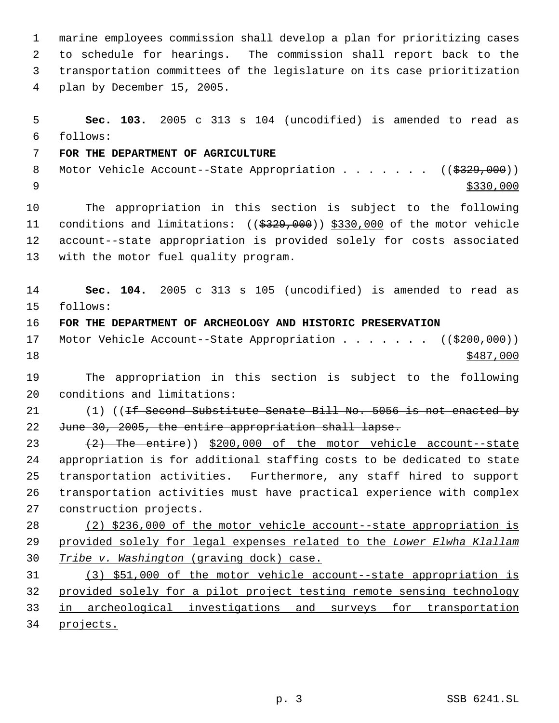marine employees commission shall develop a plan for prioritizing cases to schedule for hearings. The commission shall report back to the transportation committees of the legislature on its case prioritization plan by December 15, 2005.

 **Sec. 103.** 2005 c 313 s 104 (uncodified) is amended to read as follows: **FOR THE DEPARTMENT OF AGRICULTURE** 8 Motor Vehicle Account--State Appropriation . . . . . . ((\$329,000)) The appropriation in this section is subject to the following 11 conditions and limitations: ((\$329,000)) \$330,000 of the motor vehicle account--state appropriation is provided solely for costs associated with the motor fuel quality program.

 **Sec. 104.** 2005 c 313 s 105 (uncodified) is amended to read as follows:

**FOR THE DEPARTMENT OF ARCHEOLOGY AND HISTORIC PRESERVATION**

17 Motor Vehicle Account--State Appropriation . . . . . . ((\$200,000))  $\frac{$487,000}{9}$ 

 The appropriation in this section is subject to the following conditions and limitations:

21 (1) ((<del>If Second Substitute Senate Bill No. 5056 is not enacted by</del> 22 June 30, 2005, the entire appropriation shall lapse.

23 (2) The entire)) \$200,000 of the motor vehicle account--state appropriation is for additional staffing costs to be dedicated to state transportation activities. Furthermore, any staff hired to support transportation activities must have practical experience with complex construction projects.

 (2) \$236,000 of the motor vehicle account--state appropriation is provided solely for legal expenses related to the *Lower Elwha Klallam Tribe v. Washington* (graving dock) case.

 (3) \$51,000 of the motor vehicle account--state appropriation is provided solely for a pilot project testing remote sensing technology in archeological investigations and surveys for transportation projects.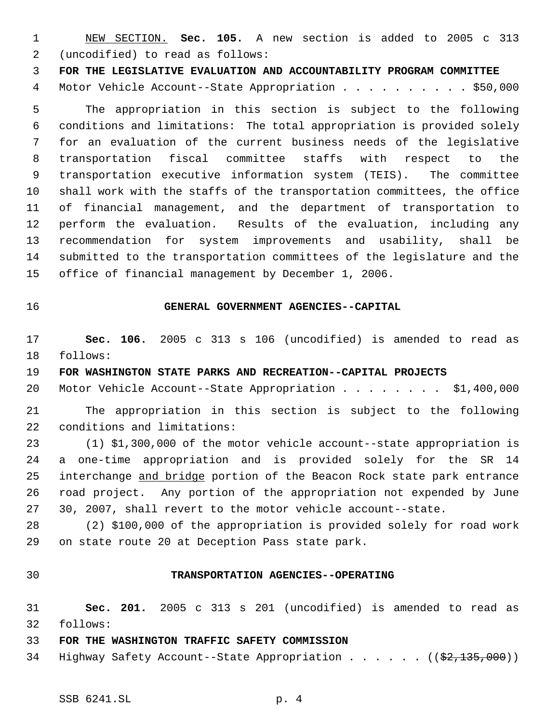NEW SECTION. **Sec. 105.** A new section is added to 2005 c 313 (uncodified) to read as follows:

**FOR THE LEGISLATIVE EVALUATION AND ACCOUNTABILITY PROGRAM COMMITTEE**

Motor Vehicle Account--State Appropriation . . . . . . . . . . \$50,000

 The appropriation in this section is subject to the following conditions and limitations: The total appropriation is provided solely for an evaluation of the current business needs of the legislative transportation fiscal committee staffs with respect to the transportation executive information system (TEIS). The committee shall work with the staffs of the transportation committees, the office of financial management, and the department of transportation to perform the evaluation. Results of the evaluation, including any recommendation for system improvements and usability, shall be submitted to the transportation committees of the legislature and the office of financial management by December 1, 2006.

## **GENERAL GOVERNMENT AGENCIES--CAPITAL**

 **Sec. 106.** 2005 c 313 s 106 (uncodified) is amended to read as follows:

**FOR WASHINGTON STATE PARKS AND RECREATION--CAPITAL PROJECTS**

Motor Vehicle Account--State Appropriation . . . . . . . . \$1,400,000

 The appropriation in this section is subject to the following conditions and limitations:

 (1) \$1,300,000 of the motor vehicle account--state appropriation is a one-time appropriation and is provided solely for the SR 14 25 interchange and bridge portion of the Beacon Rock state park entrance road project. Any portion of the appropriation not expended by June 30, 2007, shall revert to the motor vehicle account--state.

 (2) \$100,000 of the appropriation is provided solely for road work on state route 20 at Deception Pass state park.

#### **TRANSPORTATION AGENCIES--OPERATING**

 **Sec. 201.** 2005 c 313 s 201 (uncodified) is amended to read as follows:

#### **FOR THE WASHINGTON TRAFFIC SAFETY COMMISSION**

34 Highway Safety Account--State Appropriation . . . . . ((\$2,135,000))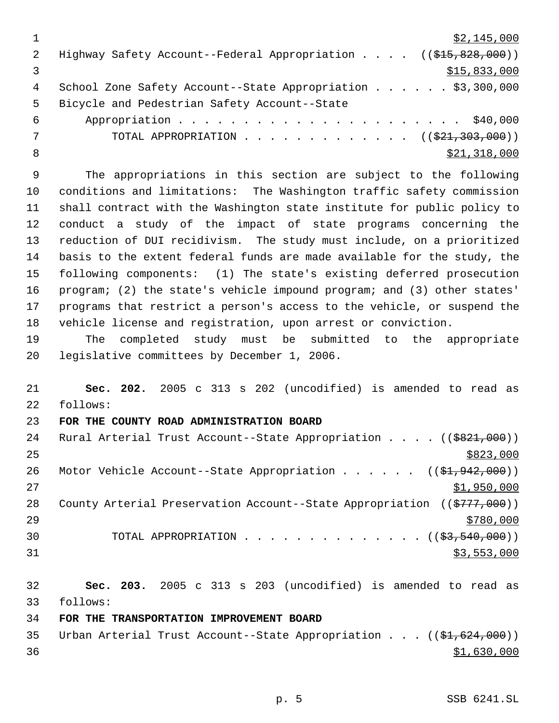|   | \$2,145,000                                                                               |
|---|-------------------------------------------------------------------------------------------|
| 2 | Highway Safety Account--Federal Appropriation $($ $($ $\frac{215}{615}, \frac{828}{600})$ |
|   | \$15,833,000                                                                              |
| 4 | School Zone Safety Account--State Appropriation \$3,300,000                               |
| 5 | Bicycle and Pedestrian Safety Account--State                                              |
| 6 |                                                                                           |
|   | TOTAL APPROPRIATION $\ldots$ , ( $(\frac{221}{200}, \frac{303}{000})$ )                   |
| 8 | \$21,318,000                                                                              |

 The appropriations in this section are subject to the following conditions and limitations: The Washington traffic safety commission shall contract with the Washington state institute for public policy to conduct a study of the impact of state programs concerning the reduction of DUI recidivism. The study must include, on a prioritized basis to the extent federal funds are made available for the study, the following components: (1) The state's existing deferred prosecution program; (2) the state's vehicle impound program; and (3) other states' programs that restrict a person's access to the vehicle, or suspend the vehicle license and registration, upon arrest or conviction.

 The completed study must be submitted to the appropriate legislative committees by December 1, 2006.

 **Sec. 202.** 2005 c 313 s 202 (uncodified) is amended to read as follows:

## **FOR THE COUNTY ROAD ADMINISTRATION BOARD**

| 24 | Rural Arterial Trust Account--State Appropriation ((\$821,000))           |
|----|---------------------------------------------------------------------------|
| 25 | \$823,000                                                                 |
| 26 | Motor Vehicle Account--State Appropriation ( $(\frac{1}{2}, 942, 000)$ )  |
| 27 | \$1,950,000                                                               |
| 28 | County Arterial Preservation Account--State Appropriation $((\$777,000))$ |
| 29 | \$780,000                                                                 |
| 30 | TOTAL APPROPRIATION $($ $(\frac{2}{53}, \frac{540}{900}) )$               |
| 31 | \$3,553,000                                                               |

 **Sec. 203.** 2005 c 313 s 203 (uncodified) is amended to read as follows:

## **FOR THE TRANSPORTATION IMPROVEMENT BOARD**

35 Urban Arterial Trust Account--State Appropriation . . . ((\$1,624,000))  $\frac{$1,630,000}{9}$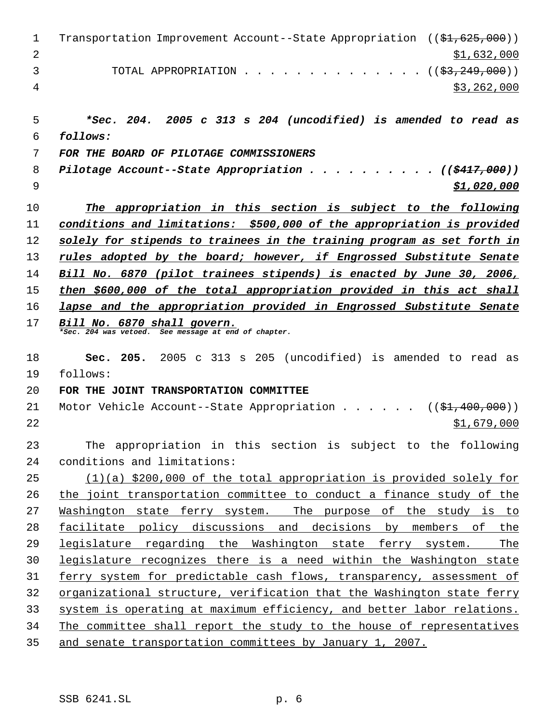| $\mathbf 1$ | Transportation Improvement Account--State Appropriation ((\$1,625,000))             |  |  |
|-------------|-------------------------------------------------------------------------------------|--|--|
| 2           | \$1,632,000                                                                         |  |  |
| 3           | $($ \$3,249,000)<br>TOTAL APPROPRIATION                                             |  |  |
| 4           | \$3,262,000                                                                         |  |  |
|             |                                                                                     |  |  |
| 5           | *Sec. 204. 2005 c 313 s 204 (uncodified) is amended to read as                      |  |  |
| 6           | follows:                                                                            |  |  |
| 7           | FOR THE BOARD OF PILOTAGE COMMISSIONERS                                             |  |  |
| 8           | Pilotage Account--State Appropriation<br>$\ldots$ ((\$417,000))                     |  |  |
| 9           | \$1,020,000                                                                         |  |  |
| 10          | The appropriation in this section is subject to the following                       |  |  |
| 11          | conditions and limitations: \$500,000 of the appropriation is provided              |  |  |
| 12          | solely for stipends to trainees in the training program as set forth in             |  |  |
| 13          | rules adopted by the board; however, if Engrossed Substitute Senate                 |  |  |
| 14          | Bill No. 6870 (pilot trainees stipends) is enacted by June 30, 2006,                |  |  |
| 15          | then \$600,000 of the total appropriation provided in this act shall                |  |  |
| 16          | lapse and the appropriation provided in Engrossed Substitute Senate                 |  |  |
| 17          | Bill No. 6870 shall govern.<br>*Sec. 204 was vetoed. See message at end of chapter. |  |  |
| 18          | Sec. 205. 2005 c 313 s 205 (uncodified) is amended to read as                       |  |  |
| 19          | follows:                                                                            |  |  |
| 20          | FOR THE JOINT TRANSPORTATION COMMITTEE                                              |  |  |
| 21          | Motor Vehicle Account--State Appropriation<br>(( <del>\$1,400,000</del> ))          |  |  |
| 22          | \$1,679,000                                                                         |  |  |
| 23          | The appropriation in this section is subject to the following                       |  |  |
| 24          | conditions and limitations:                                                         |  |  |
| 25          | $(1)(a)$ \$200,000 of the total appropriation is provided solely for                |  |  |
| 26          | the joint transportation committee to conduct a finance study of the                |  |  |
| 27          | <u>Washington state ferry system. The purpose of the study is to</u>                |  |  |
| 28          | facilitate policy discussions and decisions by members of the                       |  |  |
| 29          | legislature regarding the Washington state ferry system.<br><u>The</u>              |  |  |
| 30          | legislature recognizes there is a need within the Washington state                  |  |  |
| 31          | ferry system for predictable cash flows, transparency, assessment of                |  |  |
| 32          | organizational structure, verification that the Washington state ferry              |  |  |
| 33          | system is operating at maximum efficiency, and better labor relations.              |  |  |
| 34          | The committee shall report the study to the house of representatives                |  |  |
| 35          | and senate transportation committees by January 1, 2007.                            |  |  |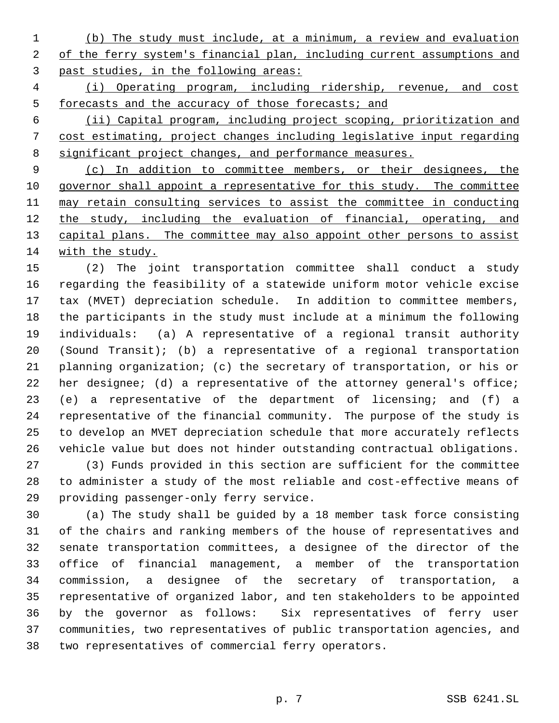(b) The study must include, at a minimum, a review and evaluation of the ferry system's financial plan, including current assumptions and past studies, in the following areas:

 (i) Operating program, including ridership, revenue, and cost 5 forecasts and the accuracy of those forecasts; and

 (ii) Capital program, including project scoping, prioritization and cost estimating, project changes including legislative input regarding 8 significant project changes, and performance measures.

 (c) In addition to committee members, or their designees, the 10 governor shall appoint a representative for this study. The committee may retain consulting services to assist the committee in conducting 12 the study, including the evaluation of financial, operating, and 13 capital plans. The committee may also appoint other persons to assist with the study.

 (2) The joint transportation committee shall conduct a study regarding the feasibility of a statewide uniform motor vehicle excise tax (MVET) depreciation schedule. In addition to committee members, the participants in the study must include at a minimum the following individuals: (a) A representative of a regional transit authority (Sound Transit); (b) a representative of a regional transportation planning organization; (c) the secretary of transportation, or his or 22 her designee; (d) a representative of the attorney general's office; (e) a representative of the department of licensing; and (f) a representative of the financial community. The purpose of the study is to develop an MVET depreciation schedule that more accurately reflects vehicle value but does not hinder outstanding contractual obligations. (3) Funds provided in this section are sufficient for the committee to administer a study of the most reliable and cost-effective means of

providing passenger-only ferry service.

 (a) The study shall be guided by a 18 member task force consisting of the chairs and ranking members of the house of representatives and senate transportation committees, a designee of the director of the office of financial management, a member of the transportation commission, a designee of the secretary of transportation, a representative of organized labor, and ten stakeholders to be appointed by the governor as follows: Six representatives of ferry user communities, two representatives of public transportation agencies, and two representatives of commercial ferry operators.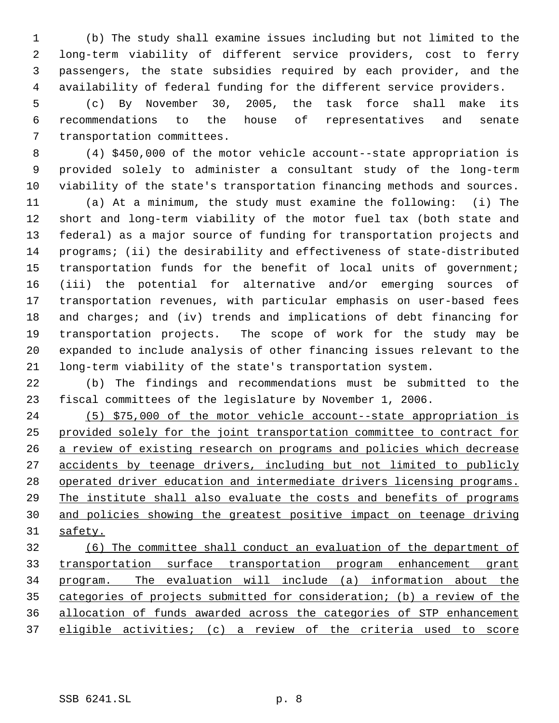(b) The study shall examine issues including but not limited to the long-term viability of different service providers, cost to ferry passengers, the state subsidies required by each provider, and the availability of federal funding for the different service providers.

 (c) By November 30, 2005, the task force shall make its recommendations to the house of representatives and senate transportation committees.

 (4) \$450,000 of the motor vehicle account--state appropriation is provided solely to administer a consultant study of the long-term viability of the state's transportation financing methods and sources.

 (a) At a minimum, the study must examine the following: (i) The short and long-term viability of the motor fuel tax (both state and federal) as a major source of funding for transportation projects and programs; (ii) the desirability and effectiveness of state-distributed transportation funds for the benefit of local units of government; (iii) the potential for alternative and/or emerging sources of transportation revenues, with particular emphasis on user-based fees and charges; and (iv) trends and implications of debt financing for transportation projects. The scope of work for the study may be expanded to include analysis of other financing issues relevant to the long-term viability of the state's transportation system.

 (b) The findings and recommendations must be submitted to the fiscal committees of the legislature by November 1, 2006.

 (5) \$75,000 of the motor vehicle account--state appropriation is provided solely for the joint transportation committee to contract for a review of existing research on programs and policies which decrease accidents by teenage drivers, including but not limited to publicly operated driver education and intermediate drivers licensing programs. The institute shall also evaluate the costs and benefits of programs and policies showing the greatest positive impact on teenage driving safety.

 (6) The committee shall conduct an evaluation of the department of transportation surface transportation program enhancement grant program. The evaluation will include (a) information about the categories of projects submitted for consideration; (b) a review of the allocation of funds awarded across the categories of STP enhancement eligible activities; (c) a review of the criteria used to score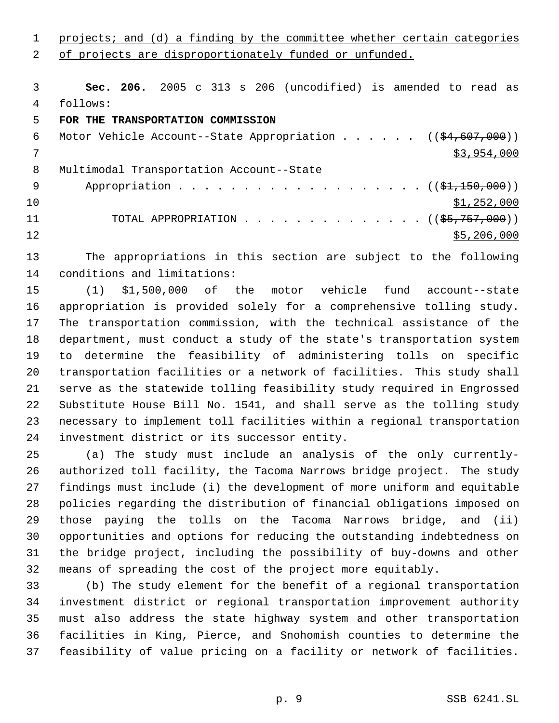1 projects; and (d) a finding by the committee whether certain categories 2 of projects are disproportionately funded or unfunded.

 **Sec. 206.** 2005 c 313 s 206 (uncodified) is amended to read as follows:

# **FOR THE TRANSPORTATION COMMISSION**

| 6   | Motor Vehicle Account--State Appropriation $($ $($ \$4,607,000))       |
|-----|------------------------------------------------------------------------|
|     | \$3,954,000                                                            |
| 8   | Multimodal Transportation Account--State                               |
| - 9 | Appropriation $($ $(\frac{1}{21}, \frac{150}{100})$                    |
| 10  | \$1,252,000                                                            |
| 11  | TOTAL APPROPRIATION $\ldots$ , ( $(\frac{25}{75}, \frac{757}{7000})$ ) |
| 12  | \$5,206,000                                                            |

 The appropriations in this section are subject to the following conditions and limitations:

 (1) \$1,500,000 of the motor vehicle fund account--state appropriation is provided solely for a comprehensive tolling study. The transportation commission, with the technical assistance of the department, must conduct a study of the state's transportation system to determine the feasibility of administering tolls on specific transportation facilities or a network of facilities. This study shall serve as the statewide tolling feasibility study required in Engrossed Substitute House Bill No. 1541, and shall serve as the tolling study necessary to implement toll facilities within a regional transportation investment district or its successor entity.

 (a) The study must include an analysis of the only currently- authorized toll facility, the Tacoma Narrows bridge project. The study findings must include (i) the development of more uniform and equitable policies regarding the distribution of financial obligations imposed on those paying the tolls on the Tacoma Narrows bridge, and (ii) opportunities and options for reducing the outstanding indebtedness on the bridge project, including the possibility of buy-downs and other means of spreading the cost of the project more equitably.

 (b) The study element for the benefit of a regional transportation investment district or regional transportation improvement authority must also address the state highway system and other transportation facilities in King, Pierce, and Snohomish counties to determine the feasibility of value pricing on a facility or network of facilities.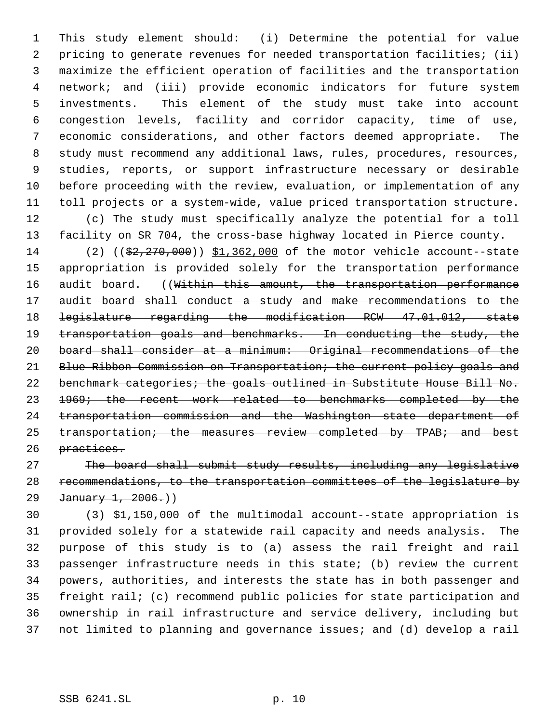This study element should: (i) Determine the potential for value pricing to generate revenues for needed transportation facilities; (ii) maximize the efficient operation of facilities and the transportation network; and (iii) provide economic indicators for future system investments. This element of the study must take into account congestion levels, facility and corridor capacity, time of use, economic considerations, and other factors deemed appropriate. The study must recommend any additional laws, rules, procedures, resources, studies, reports, or support infrastructure necessary or desirable before proceeding with the review, evaluation, or implementation of any toll projects or a system-wide, value priced transportation structure. (c) The study must specifically analyze the potential for a toll facility on SR 704, the cross-base highway located in Pierce county. 14 (2) ((\$2,270,000)) \$1,362,000 of the motor vehicle account--state appropriation is provided solely for the transportation performance 16 audit board. ((Within this amount, the transportation performance

17 audit board shall conduct a study and make recommendations to the legislature regarding the modification RCW 47.01.012, state 19 transportation goals and benchmarks. In conducting the study, the board shall consider at a minimum: Original recommendations of the Blue Ribbon Commission on Transportation; the current policy goals and 22 benchmark categories; the goals outlined in Substitute House Bill No. 23 1969; the recent work related to benchmarks completed by the transportation commission and the Washington state department of 25 transportation; the measures review completed by TPAB; and best practices.

 The board shall submit study results, including any legislative recommendations, to the transportation committees of the legislature by 29 January 1, 2006.)

 (3) \$1,150,000 of the multimodal account--state appropriation is provided solely for a statewide rail capacity and needs analysis. The purpose of this study is to (a) assess the rail freight and rail passenger infrastructure needs in this state; (b) review the current powers, authorities, and interests the state has in both passenger and freight rail; (c) recommend public policies for state participation and ownership in rail infrastructure and service delivery, including but not limited to planning and governance issues; and (d) develop a rail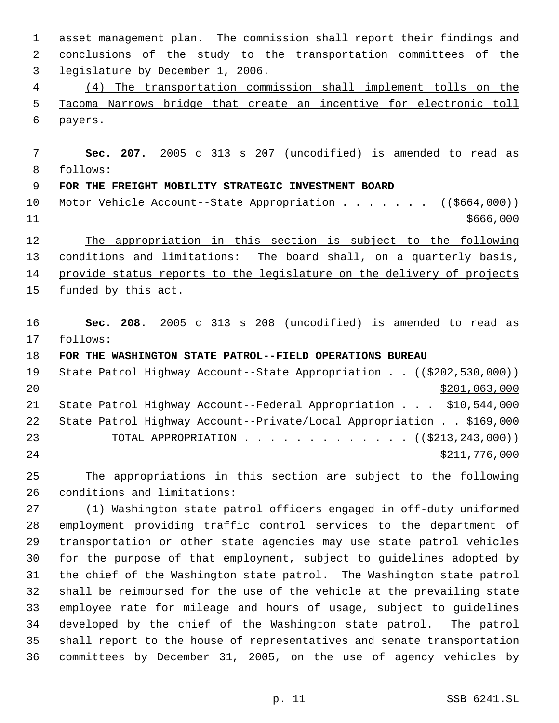asset management plan. The commission shall report their findings and conclusions of the study to the transportation committees of the legislature by December 1, 2006. (4) The transportation commission shall implement tolls on the Tacoma Narrows bridge that create an incentive for electronic toll payers. **Sec. 207.** 2005 c 313 s 207 (uncodified) is amended to read as follows: **FOR THE FREIGHT MOBILITY STRATEGIC INVESTMENT BOARD** 10 Motor Vehicle Account--State Appropriation . . . . . . ((\$664,000)) \$666,000 The appropriation in this section is subject to the following conditions and limitations: The board shall, on a quarterly basis, 14 provide status reports to the legislature on the delivery of projects 15 funded by this act. **Sec. 208.** 2005 c 313 s 208 (uncodified) is amended to read as follows: **FOR THE WASHINGTON STATE PATROL--FIELD OPERATIONS BUREAU** 19 State Patrol Highway Account--State Appropriation . . ((\$202,530,000)) \$201,063,000 State Patrol Highway Account--Federal Appropriation . . . \$10,544,000 State Patrol Highway Account--Private/Local Appropriation . . \$169,000 23 TOTAL APPROPRIATION . . . . . . . . . . . . . ((\$213,243,000)) \$211,776,000 The appropriations in this section are subject to the following conditions and limitations: (1) Washington state patrol officers engaged in off-duty uniformed employment providing traffic control services to the department of transportation or other state agencies may use state patrol vehicles for the purpose of that employment, subject to guidelines adopted by the chief of the Washington state patrol. The Washington state patrol shall be reimbursed for the use of the vehicle at the prevailing state employee rate for mileage and hours of usage, subject to guidelines developed by the chief of the Washington state patrol. The patrol shall report to the house of representatives and senate transportation committees by December 31, 2005, on the use of agency vehicles by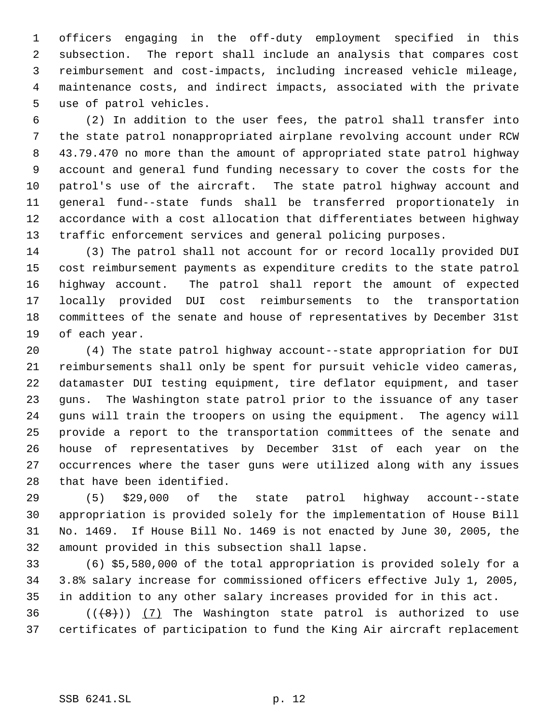officers engaging in the off-duty employment specified in this subsection. The report shall include an analysis that compares cost reimbursement and cost-impacts, including increased vehicle mileage, maintenance costs, and indirect impacts, associated with the private use of patrol vehicles.

 (2) In addition to the user fees, the patrol shall transfer into the state patrol nonappropriated airplane revolving account under RCW 43.79.470 no more than the amount of appropriated state patrol highway account and general fund funding necessary to cover the costs for the patrol's use of the aircraft. The state patrol highway account and general fund--state funds shall be transferred proportionately in accordance with a cost allocation that differentiates between highway traffic enforcement services and general policing purposes.

 (3) The patrol shall not account for or record locally provided DUI cost reimbursement payments as expenditure credits to the state patrol highway account. The patrol shall report the amount of expected locally provided DUI cost reimbursements to the transportation committees of the senate and house of representatives by December 31st of each year.

 (4) The state patrol highway account--state appropriation for DUI reimbursements shall only be spent for pursuit vehicle video cameras, datamaster DUI testing equipment, tire deflator equipment, and taser guns. The Washington state patrol prior to the issuance of any taser guns will train the troopers on using the equipment. The agency will provide a report to the transportation committees of the senate and house of representatives by December 31st of each year on the occurrences where the taser guns were utilized along with any issues that have been identified.

 (5) \$29,000 of the state patrol highway account--state appropriation is provided solely for the implementation of House Bill No. 1469. If House Bill No. 1469 is not enacted by June 30, 2005, the amount provided in this subsection shall lapse.

 (6) \$5,580,000 of the total appropriation is provided solely for a 3.8% salary increase for commissioned officers effective July 1, 2005, in addition to any other salary increases provided for in this act.

36  $((+8))$   $(7)$  The Washington state patrol is authorized to use certificates of participation to fund the King Air aircraft replacement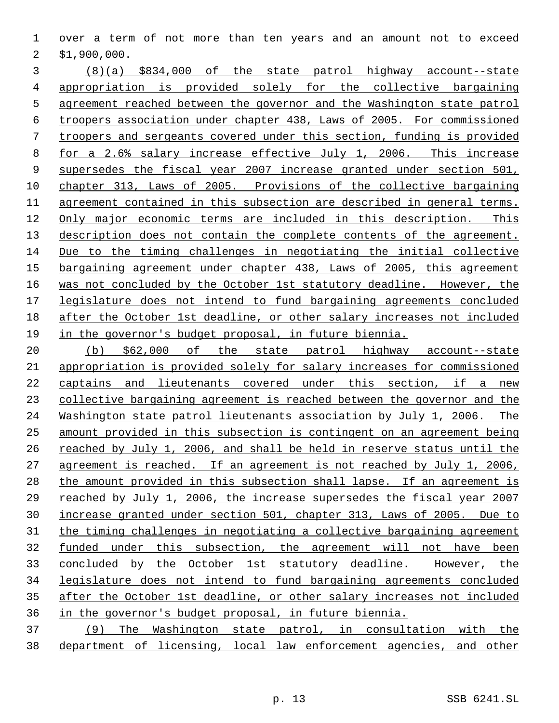over a term of not more than ten years and an amount not to exceed \$1,900,000.

 (8)(a) \$834,000 of the state patrol highway account--state appropriation is provided solely for the collective bargaining agreement reached between the governor and the Washington state patrol troopers association under chapter 438, Laws of 2005. For commissioned troopers and sergeants covered under this section, funding is provided for a 2.6% salary increase effective July 1, 2006. This increase supersedes the fiscal year 2007 increase granted under section 501, chapter 313, Laws of 2005. Provisions of the collective bargaining agreement contained in this subsection are described in general terms. Only major economic terms are included in this description. This description does not contain the complete contents of the agreement. Due to the timing challenges in negotiating the initial collective bargaining agreement under chapter 438, Laws of 2005, this agreement was not concluded by the October 1st statutory deadline. However, the legislature does not intend to fund bargaining agreements concluded after the October 1st deadline, or other salary increases not included in the governor's budget proposal, in future biennia.

 (b) \$62,000 of the state patrol highway account--state appropriation is provided solely for salary increases for commissioned captains and lieutenants covered under this section, if a new collective bargaining agreement is reached between the governor and the Washington state patrol lieutenants association by July 1, 2006. The amount provided in this subsection is contingent on an agreement being reached by July 1, 2006, and shall be held in reserve status until the agreement is reached. If an agreement is not reached by July 1, 2006, 28 the amount provided in this subsection shall lapse. If an agreement is reached by July 1, 2006, the increase supersedes the fiscal year 2007 increase granted under section 501, chapter 313, Laws of 2005. Due to the timing challenges in negotiating a collective bargaining agreement funded under this subsection, the agreement will not have been concluded by the October 1st statutory deadline. However, the legislature does not intend to fund bargaining agreements concluded after the October 1st deadline, or other salary increases not included in the governor's budget proposal, in future biennia.

 (9) The Washington state patrol, in consultation with the department of licensing, local law enforcement agencies, and other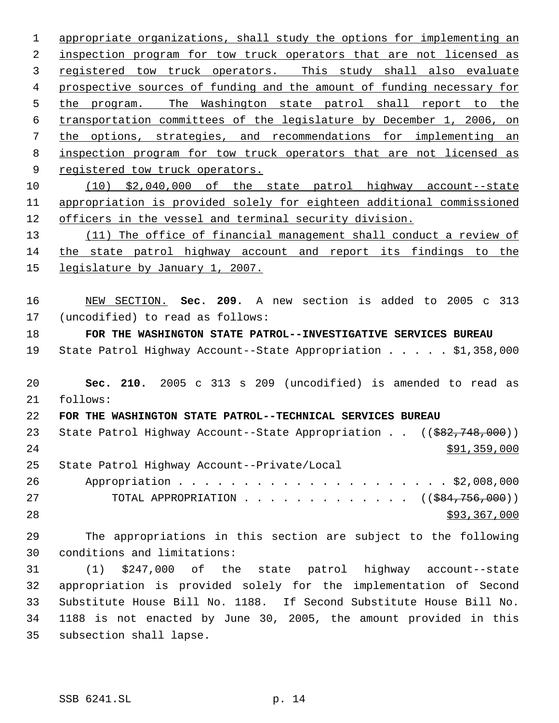appropriate organizations, shall study the options for implementing an 2 inspection program for tow truck operators that are not licensed as registered tow truck operators. This study shall also evaluate prospective sources of funding and the amount of funding necessary for the program. The Washington state patrol shall report to the transportation committees of the legislature by December 1, 2006, on the options, strategies, and recommendations for implementing an inspection program for tow truck operators that are not licensed as 9 registered tow truck operators. (10) \$2,040,000 of the state patrol highway account--state appropriation is provided solely for eighteen additional commissioned officers in the vessel and terminal security division. 13 (11) The office of financial management shall conduct a review of the state patrol highway account and report its findings to the 15 legislature by January 1, 2007. NEW SECTION. **Sec. 209.** A new section is added to 2005 c 313 (uncodified) to read as follows: **FOR THE WASHINGTON STATE PATROL--INVESTIGATIVE SERVICES BUREAU** State Patrol Highway Account--State Appropriation . . . . . \$1,358,000 **Sec. 210.** 2005 c 313 s 209 (uncodified) is amended to read as follows: **FOR THE WASHINGTON STATE PATROL--TECHNICAL SERVICES BUREAU** 23 State Patrol Highway Account--State Appropriation . . ((\$82,748,000)) \$91,359,000 State Patrol Highway Account--Private/Local Appropriation . . . . . . . . . . . . . . . . . . . . . \$2,008,000 27 TOTAL APPROPRIATION . . . . . . . . . . . . ((<del>\$84,756,000</del>)) \$93,367,000 The appropriations in this section are subject to the following conditions and limitations: (1) \$247,000 of the state patrol highway account--state appropriation is provided solely for the implementation of Second Substitute House Bill No. 1188. If Second Substitute House Bill No. 1188 is not enacted by June 30, 2005, the amount provided in this

subsection shall lapse.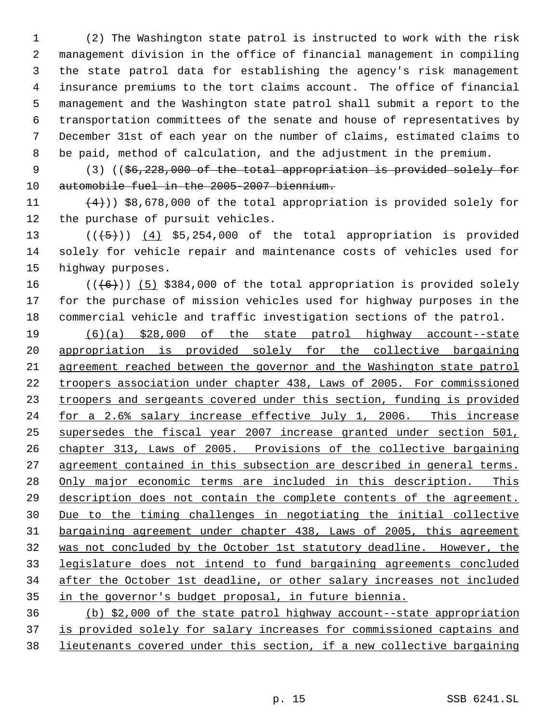(2) The Washington state patrol is instructed to work with the risk management division in the office of financial management in compiling the state patrol data for establishing the agency's risk management insurance premiums to the tort claims account. The office of financial management and the Washington state patrol shall submit a report to the transportation committees of the senate and house of representatives by December 31st of each year on the number of claims, estimated claims to be paid, method of calculation, and the adjustment in the premium.

9 (3) ((\$6,228,000 of the total appropriation is provided solely for automobile fuel in the 2005-2007 biennium.

11  $(4)$ ) \$8,678,000 of the total appropriation is provided solely for the purchase of pursuit vehicles.

13  $((+5))$   $(4)$  \$5,254,000 of the total appropriation is provided solely for vehicle repair and maintenance costs of vehicles used for highway purposes.

16  $((+6))$  (5) \$384,000 of the total appropriation is provided solely for the purchase of mission vehicles used for highway purposes in the commercial vehicle and traffic investigation sections of the patrol.

 (6)(a) \$28,000 of the state patrol highway account--state appropriation is provided solely for the collective bargaining agreement reached between the governor and the Washington state patrol troopers association under chapter 438, Laws of 2005. For commissioned 23 troopers and sergeants covered under this section, funding is provided for a 2.6% salary increase effective July 1, 2006. This increase supersedes the fiscal year 2007 increase granted under section 501, chapter 313, Laws of 2005. Provisions of the collective bargaining 27 agreement contained in this subsection are described in general terms. 28 Only major economic terms are included in this description. This description does not contain the complete contents of the agreement. Due to the timing challenges in negotiating the initial collective bargaining agreement under chapter 438, Laws of 2005, this agreement was not concluded by the October 1st statutory deadline. However, the legislature does not intend to fund bargaining agreements concluded after the October 1st deadline, or other salary increases not included in the governor's budget proposal, in future biennia.

 (b) \$2,000 of the state patrol highway account--state appropriation is provided solely for salary increases for commissioned captains and lieutenants covered under this section, if a new collective bargaining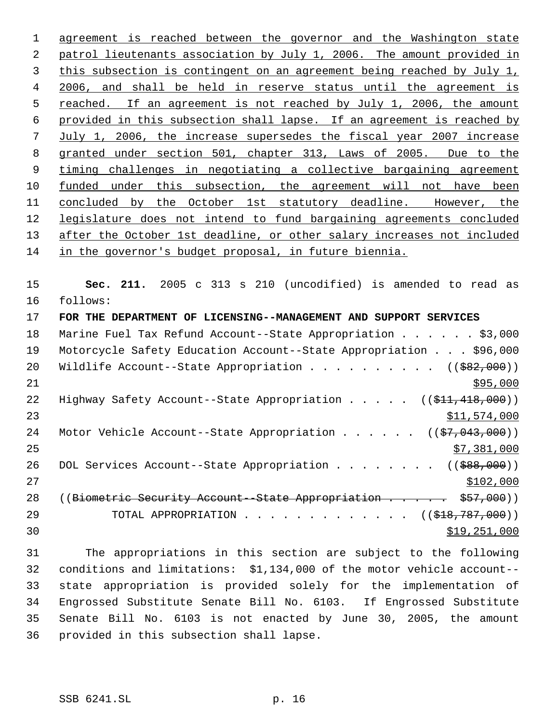agreement is reached between the governor and the Washington state patrol lieutenants association by July 1, 2006. The amount provided in this subsection is contingent on an agreement being reached by July 1, 2006, and shall be held in reserve status until the agreement is 5 reached. If an agreement is not reached by July 1, 2006, the amount provided in this subsection shall lapse. If an agreement is reached by July 1, 2006, the increase supersedes the fiscal year 2007 increase granted under section 501, chapter 313, Laws of 2005. Due to the timing challenges in negotiating a collective bargaining agreement 10 funded under this subsection, the agreement will not have been concluded by the October 1st statutory deadline. However, the legislature does not intend to fund bargaining agreements concluded 13 after the October 1st deadline, or other salary increases not included in the governor's budget proposal, in future biennia.

 **Sec. 211.** 2005 c 313 s 210 (uncodified) is amended to read as follows:

 **FOR THE DEPARTMENT OF LICENSING--MANAGEMENT AND SUPPORT SERVICES** 18 Marine Fuel Tax Refund Account--State Appropriation . . . . . . \$3,000 Motorcycle Safety Education Account--State Appropriation . . . \$96,000 20 Wildlife Account--State Appropriation . . . . . . . . . ((\$82,000))  $\frac{$95,000}{ }$ 22 Highway Safety Account--State Appropriation . . . . ((\$11,418,000)) \$11,574,000 24 Motor Vehicle Account--State Appropriation . . . . .  $(37,043,000)$  \$7,381,000 26 DOL Services Account--State Appropriation . . . . . . . ((\$88,000))  $\frac{$102,000}{}$ 28 ((Biometric Security Account - State Appropriation . . . . . \$57,000)) 29 TOTAL APPROPRIATION . . . . . . . . . . . . ((<del>\$18,787,000</del>)) \$19,251,000

 The appropriations in this section are subject to the following conditions and limitations: \$1,134,000 of the motor vehicle account-- state appropriation is provided solely for the implementation of Engrossed Substitute Senate Bill No. 6103. If Engrossed Substitute Senate Bill No. 6103 is not enacted by June 30, 2005, the amount provided in this subsection shall lapse.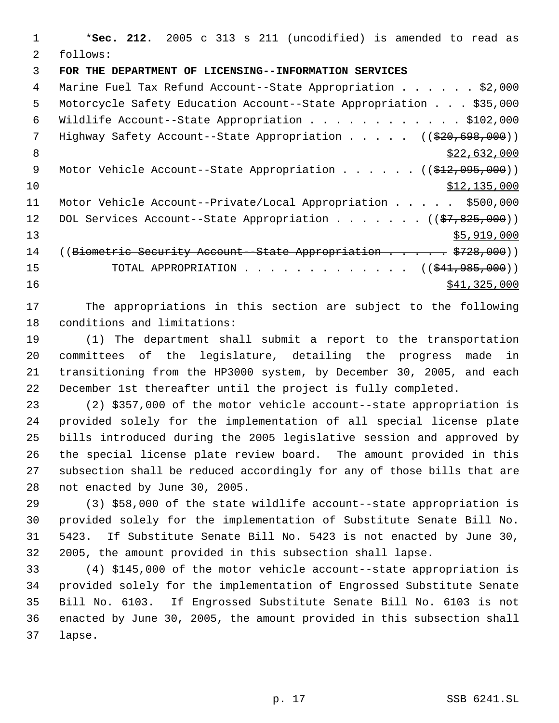\***Sec. 212.** 2005 c 313 s 211 (uncodified) is amended to read as follows: **FOR THE DEPARTMENT OF LICENSING--INFORMATION SERVICES** 4 Marine Fuel Tax Refund Account--State Appropriation . . . . . \$2,000 Motorcycle Safety Education Account--State Appropriation . . . \$35,000 Wildlife Account--State Appropriation . . . . . . . . . . . . \$102,000 7 Highway Safety Account--State Appropriation . . . . . ((\$20,698,000)) 8  $\frac{$22,632,000}{2}$ 9 Motor Vehicle Account--State Appropriation . . . . . ((\$12,095,000)) \$12,135,000 Motor Vehicle Account--Private/Local Appropriation . . . . . \$500,000 12 DOL Services Account--State Appropriation . . . . . . ((\$7,825,000)) \$5,919,000 14 ((Biometric Security Account - State Appropriation . . . . . \$728,000)) 15 TOTAL APPROPRIATION . . . . . . . . . . . . ((\$41,985,000))  $\frac{$41,325,000}{2}$ 

 The appropriations in this section are subject to the following conditions and limitations:

 (1) The department shall submit a report to the transportation committees of the legislature, detailing the progress made in transitioning from the HP3000 system, by December 30, 2005, and each December 1st thereafter until the project is fully completed.

 (2) \$357,000 of the motor vehicle account--state appropriation is provided solely for the implementation of all special license plate bills introduced during the 2005 legislative session and approved by the special license plate review board. The amount provided in this subsection shall be reduced accordingly for any of those bills that are not enacted by June 30, 2005.

 (3) \$58,000 of the state wildlife account--state appropriation is provided solely for the implementation of Substitute Senate Bill No. 5423. If Substitute Senate Bill No. 5423 is not enacted by June 30, 2005, the amount provided in this subsection shall lapse.

 (4) \$145,000 of the motor vehicle account--state appropriation is provided solely for the implementation of Engrossed Substitute Senate Bill No. 6103. If Engrossed Substitute Senate Bill No. 6103 is not enacted by June 30, 2005, the amount provided in this subsection shall lapse.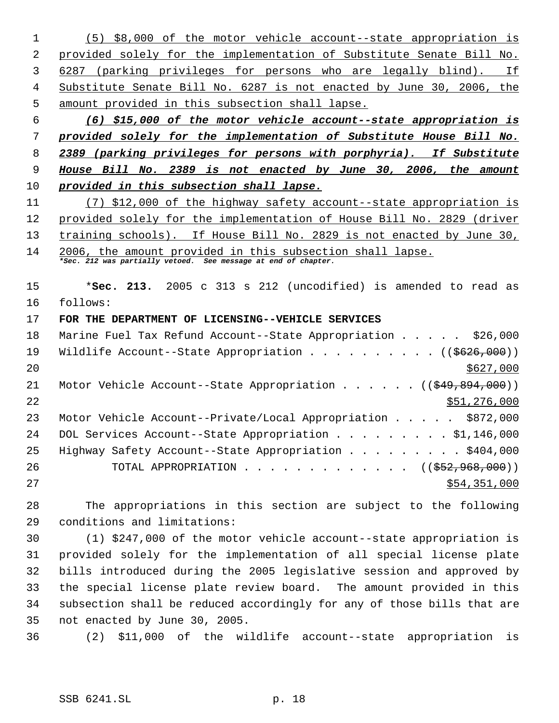(5) \$8,000 of the motor vehicle account--state appropriation is provided solely for the implementation of Substitute Senate Bill No. 3 6287 (parking privileges for persons who are legally blind). If Substitute Senate Bill No. 6287 is not enacted by June 30, 2006, the amount provided in this subsection shall lapse.

 *(6) \$15,000 of the motor vehicle account--state appropriation is provided solely for the implementation of Substitute House Bill No. 2389 (parking privileges for persons with porphyria). If Substitute House Bill No. 2389 is not enacted by June 30, 2006, the amount provided in this subsection shall lapse.*

 (7) \$12,000 of the highway safety account--state appropriation is provided solely for the implementation of House Bill No. 2829 (driver 13 training schools). If House Bill No. 2829 is not enacted by June 30,

 2006, the amount provided in this subsection shall lapse. *\*Sec. 212 was partially vetoed. See message at end of chapter.*

 \***Sec. 213.** 2005 c 313 s 212 (uncodified) is amended to read as follows:

## **FOR THE DEPARTMENT OF LICENSING--VEHICLE SERVICES**

| 18 | Marine Fuel Tax Refund Account--State Appropriation \$26,000                           |
|----|----------------------------------------------------------------------------------------|
| 19 | Wildlife Account--State Appropriation ( $(\frac{2626}{100})$ )                         |
| 20 | \$627,000                                                                              |
| 21 | Motor Vehicle Account--State Appropriation $($ $($ $\frac{249}{894}, \frac{894}{100})$ |
| 22 | \$51,276,000                                                                           |
| 23 | Motor Vehicle Account--Private/Local Appropriation \$872,000                           |
| 24 | DOL Services Account--State Appropriation \$1,146,000                                  |
| 25 | Highway Safety Account--State Appropriation \$404,000                                  |
| 26 | TOTAL APPROPRIATION $\ldots$ , ( $(\frac{252}{952}, \frac{968}{900})$ )                |
| 27 | \$54,351,000                                                                           |

 The appropriations in this section are subject to the following conditions and limitations:

 (1) \$247,000 of the motor vehicle account--state appropriation is provided solely for the implementation of all special license plate bills introduced during the 2005 legislative session and approved by the special license plate review board. The amount provided in this subsection shall be reduced accordingly for any of those bills that are not enacted by June 30, 2005.

(2) \$11,000 of the wildlife account--state appropriation is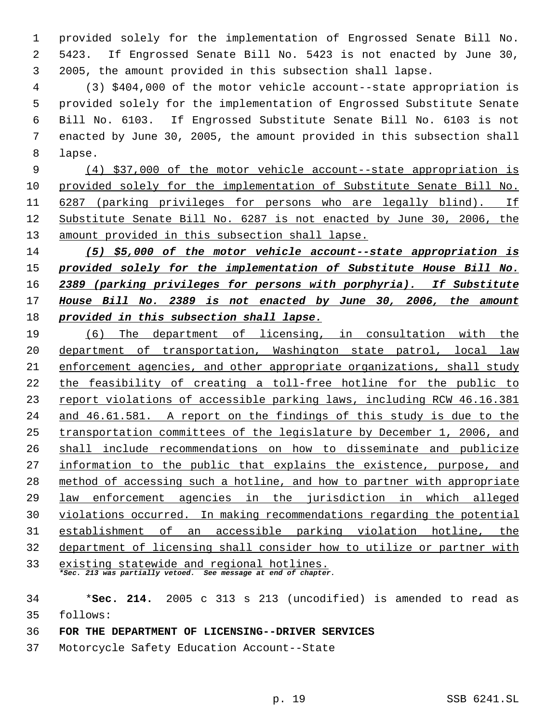provided solely for the implementation of Engrossed Senate Bill No. 5423. If Engrossed Senate Bill No. 5423 is not enacted by June 30, 2005, the amount provided in this subsection shall lapse.

 (3) \$404,000 of the motor vehicle account--state appropriation is provided solely for the implementation of Engrossed Substitute Senate Bill No. 6103. If Engrossed Substitute Senate Bill No. 6103 is not enacted by June 30, 2005, the amount provided in this subsection shall lapse.

 (4) \$37,000 of the motor vehicle account--state appropriation is provided solely for the implementation of Substitute Senate Bill No. 6287 (parking privileges for persons who are legally blind). If Substitute Senate Bill No. 6287 is not enacted by June 30, 2006, the amount provided in this subsection shall lapse.

 *(5) \$5,000 of the motor vehicle account--state appropriation is provided solely for the implementation of Substitute House Bill No. 2389 (parking privileges for persons with porphyria). If Substitute House Bill No. 2389 is not enacted by June 30, 2006, the amount provided in this subsection shall lapse.*

 (6) The department of licensing, in consultation with the department of transportation, Washington state patrol, local law enforcement agencies, and other appropriate organizations, shall study the feasibility of creating a toll-free hotline for the public to 23 report violations of accessible parking laws, including RCW 46.16.381 and 46.61.581. A report on the findings of this study is due to the transportation committees of the legislature by December 1, 2006, and shall include recommendations on how to disseminate and publicize information to the public that explains the existence, purpose, and method of accessing such a hotline, and how to partner with appropriate law enforcement agencies in the jurisdiction in which alleged violations occurred. In making recommendations regarding the potential establishment of an accessible parking violation hotline, the department of licensing shall consider how to utilize or partner with existing statewide and regional hotlines. *\*Sec. 213 was partially vetoed. See message at end of chapter.*

 \***Sec. 214.** 2005 c 313 s 213 (uncodified) is amended to read as follows:

- **FOR THE DEPARTMENT OF LICENSING--DRIVER SERVICES**
- Motorcycle Safety Education Account--State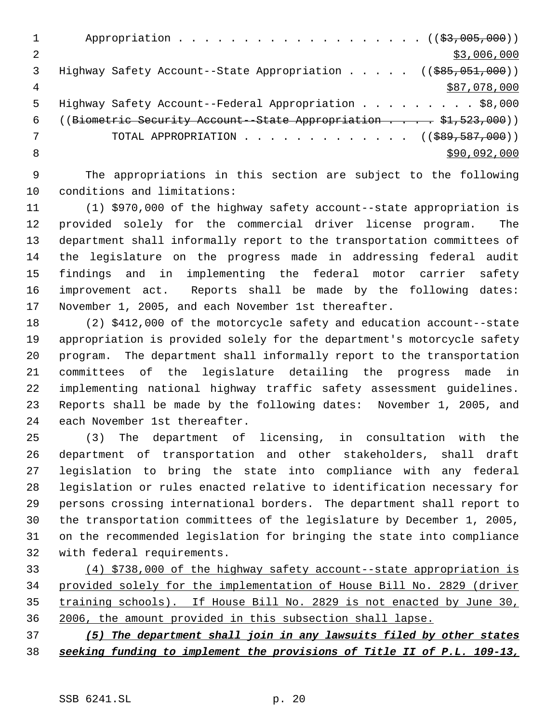|   | Appropriation $($ $(*3,005,000))$                                                         |
|---|-------------------------------------------------------------------------------------------|
| 2 | \$3,006,000                                                                               |
| 3 | Highway Safety Account--State Appropriation $($ $($ $\frac{685}{601}, \frac{0.01}{0.00})$ |
| 4 | \$87,078,000                                                                              |
| 5 | Highway Safety Account--Federal Appropriation \$8,000                                     |
| 6 | ((Biometric Security Account - State Appropriation \$1,523,000))                          |
|   | TOTAL APPROPRIATION $\ldots$ , ( $(\frac{1}{289}, \frac{587}{1000})$ )                    |
| 8 | \$90,092,000                                                                              |
|   |                                                                                           |

 The appropriations in this section are subject to the following conditions and limitations:

 (1) \$970,000 of the highway safety account--state appropriation is provided solely for the commercial driver license program. The department shall informally report to the transportation committees of the legislature on the progress made in addressing federal audit findings and in implementing the federal motor carrier safety improvement act. Reports shall be made by the following dates: November 1, 2005, and each November 1st thereafter.

 (2) \$412,000 of the motorcycle safety and education account--state appropriation is provided solely for the department's motorcycle safety program. The department shall informally report to the transportation committees of the legislature detailing the progress made in implementing national highway traffic safety assessment guidelines. Reports shall be made by the following dates: November 1, 2005, and each November 1st thereafter.

 (3) The department of licensing, in consultation with the department of transportation and other stakeholders, shall draft legislation to bring the state into compliance with any federal legislation or rules enacted relative to identification necessary for persons crossing international borders. The department shall report to the transportation committees of the legislature by December 1, 2005, on the recommended legislation for bringing the state into compliance with federal requirements.

 (4) \$738,000 of the highway safety account--state appropriation is provided solely for the implementation of House Bill No. 2829 (driver training schools). If House Bill No. 2829 is not enacted by June 30, 2006, the amount provided in this subsection shall lapse.

 *(5) The department shall join in any lawsuits filed by other states seeking funding to implement the provisions of Title II of P.L. 109-13,*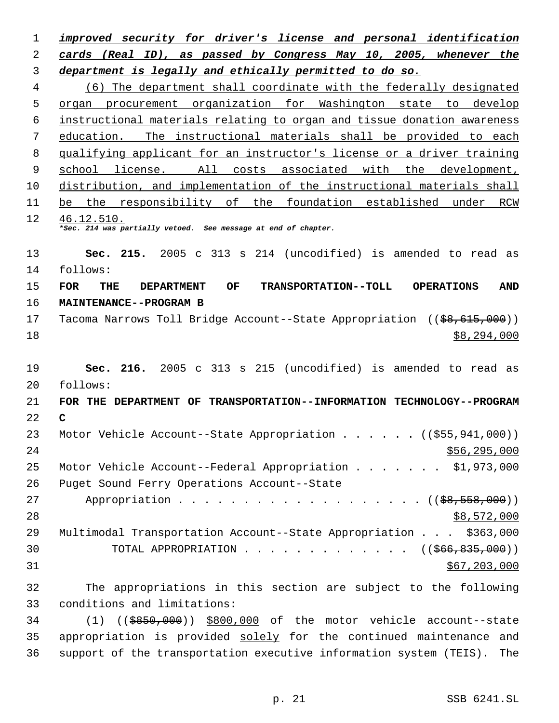*improved security for driver's license and personal identification cards (Real ID), as passed by Congress May 10, 2005, whenever the department is legally and ethically permitted to do so.* (6) The department shall coordinate with the federally designated organ procurement organization for Washington state to develop instructional materials relating to organ and tissue donation awareness education. The instructional materials shall be provided to each qualifying applicant for an instructor's license or a driver training 9 school license. All costs associated with the development, distribution, and implementation of the instructional materials shall be the responsibility of the foundation established under RCW 46.12.510. *\*Sec. 214 was partially vetoed. See message at end of chapter.* **Sec. 215.** 2005 c 313 s 214 (uncodified) is amended to read as follows: **FOR THE DEPARTMENT OF TRANSPORTATION--TOLL OPERATIONS AND MAINTENANCE--PROGRAM B** 17 Tacoma Narrows Toll Bridge Account--State Appropriation ((\$8,615,000)) \$8,294,000 **Sec. 216.** 2005 c 313 s 215 (uncodified) is amended to read as follows: **FOR THE DEPARTMENT OF TRANSPORTATION--INFORMATION TECHNOLOGY--PROGRAM C** 23 Motor Vehicle Account--State Appropriation . . . . . ((\$55,941,000))  $556,295,000$  Motor Vehicle Account--Federal Appropriation . . . . . . . \$1,973,000 Puget Sound Ferry Operations Account--State 27 Appropriation . . . . . . . . . . . . . . . . . (  $(\frac{28}{5558},000)$  ) \$8,572,000 Multimodal Transportation Account--State Appropriation . . . \$363,000 30 TOTAL APPROPRIATION . . . . . . . . . . . . ((\$66,835,000)) \$67,203,000 The appropriations in this section are subject to the following conditions and limitations: (1) ((\$850,000)) \$800,000 of the motor vehicle account--state

 appropriation is provided solely for the continued maintenance and support of the transportation executive information system (TEIS). The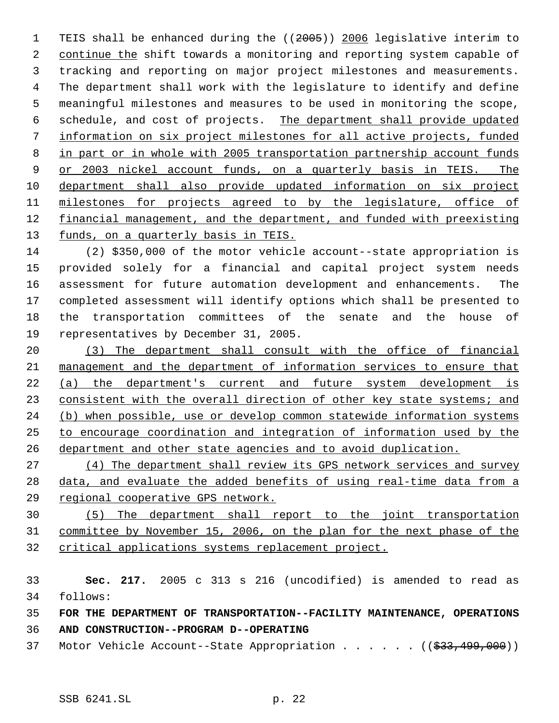TEIS shall be enhanced during the ((2005)) 2006 legislative interim to 2 continue the shift towards a monitoring and reporting system capable of tracking and reporting on major project milestones and measurements. The department shall work with the legislature to identify and define meaningful milestones and measures to be used in monitoring the scope, schedule, and cost of projects. The department shall provide updated information on six project milestones for all active projects, funded in part or in whole with 2005 transportation partnership account funds 9 or 2003 nickel account funds, on a quarterly basis in TEIS. The department shall also provide updated information on six project 11 milestones for projects agreed to by the legislature, office of financial management, and the department, and funded with preexisting 13 funds, on a quarterly basis in TEIS.

 (2) \$350,000 of the motor vehicle account--state appropriation is provided solely for a financial and capital project system needs assessment for future automation development and enhancements. The completed assessment will identify options which shall be presented to the transportation committees of the senate and the house of representatives by December 31, 2005.

 (3) The department shall consult with the office of financial management and the department of information services to ensure that (a) the department's current and future system development is 23 consistent with the overall direction of other key state systems; and 24 (b) when possible, use or develop common statewide information systems to encourage coordination and integration of information used by the department and other state agencies and to avoid duplication.

 (4) The department shall review its GPS network services and survey data, and evaluate the added benefits of using real-time data from a regional cooperative GPS network.

 (5) The department shall report to the joint transportation committee by November 15, 2006, on the plan for the next phase of the critical applications systems replacement project.

 **Sec. 217.** 2005 c 313 s 216 (uncodified) is amended to read as follows:

**FOR THE DEPARTMENT OF TRANSPORTATION--FACILITY MAINTENANCE, OPERATIONS**

**AND CONSTRUCTION--PROGRAM D--OPERATING**

37 Motor Vehicle Account--State Appropriation . . . . . . ((\$33,499,000))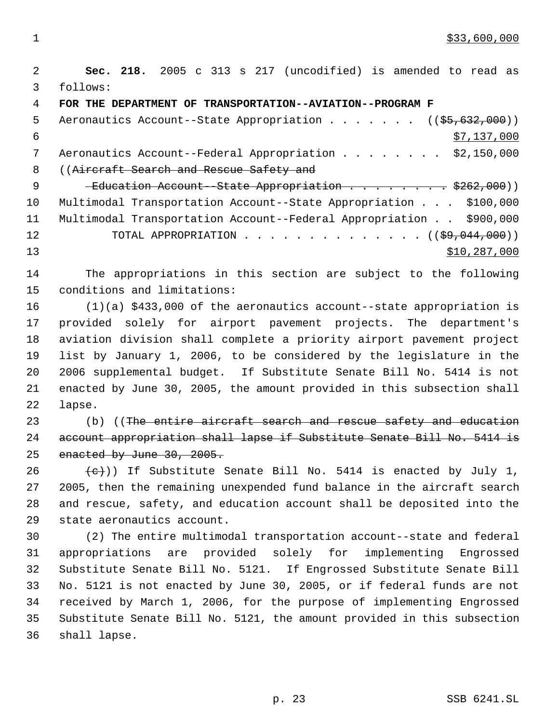**Sec. 218.** 2005 c 313 s 217 (uncodified) is amended to read as follows: **FOR THE DEPARTMENT OF TRANSPORTATION--AVIATION--PROGRAM F** 5 Aeronautics Account--State Appropriation . . . . . . ((\$5,632,000))  $\frac{137}{137,000}$ 7 Aeronautics Account--Federal Appropriation . . . . . . . \$2,150,000 8 ((Aircraft Search and Rescue Safety and 9 Teducation Account-State Appropriation . . . . . . . \$262,000) Multimodal Transportation Account--State Appropriation . . . \$100,000 Multimodal Transportation Account--Federal Appropriation . . \$900,000 12 TOTAL APPROPRIATION . . . . . . . . . . . . . . ((\$9,044,000)) \$10,287,000 The appropriations in this section are subject to the following conditions and limitations: (1)(a) \$433,000 of the aeronautics account--state appropriation is provided solely for airport pavement projects. The department's aviation division shall complete a priority airport pavement project list by January 1, 2006, to be considered by the legislature in the 2006 supplemental budget. If Substitute Senate Bill No. 5414 is not enacted by June 30, 2005, the amount provided in this subsection shall lapse. 23 (b) ((The entire aircraft search and rescue safety and education account appropriation shall lapse if Substitute Senate Bill No. 5414 is enacted by June 30, 2005.  $\text{~}(e)$ )) If Substitute Senate Bill No. 5414 is enacted by July 1, 2005, then the remaining unexpended fund balance in the aircraft search and rescue, safety, and education account shall be deposited into the state aeronautics account. (2) The entire multimodal transportation account--state and federal

 appropriations are provided solely for implementing Engrossed Substitute Senate Bill No. 5121. If Engrossed Substitute Senate Bill No. 5121 is not enacted by June 30, 2005, or if federal funds are not received by March 1, 2006, for the purpose of implementing Engrossed Substitute Senate Bill No. 5121, the amount provided in this subsection shall lapse.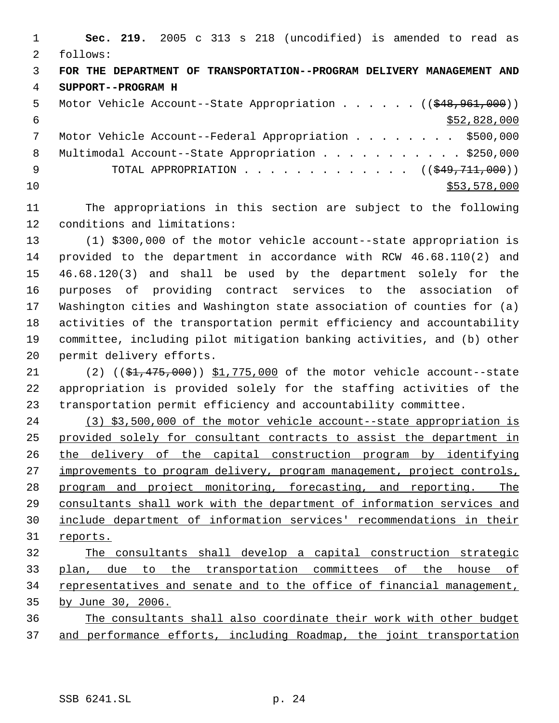|               | Sec. 219. 2005 c 313 s 218 (uncodified) is amended to read as            |
|---------------|--------------------------------------------------------------------------|
| $\mathcal{L}$ | follows:                                                                 |
| 3             | FOR THE DEPARTMENT OF TRANSPORTATION--PROGRAM DELIVERY MANAGEMENT AND    |
| 4             | SUPPORT--PROGRAM H                                                       |
| 5             | Motor Vehicle Account--State Appropriation ( $(\frac{248}{7961}, 900)$ ) |
| 6             | \$52,828,000                                                             |
| 7             | Motor Vehicle Account--Federal Appropriation \$500,000                   |
| 8             | Multimodal Account--State Appropriation \$250,000                        |
| - 9           | TOTAL APPROPRIATION ( $(\frac{249}{711},000)$ )                          |
| 10            | \$53,578,000                                                             |
|               |                                                                          |

 The appropriations in this section are subject to the following conditions and limitations:

 (1) \$300,000 of the motor vehicle account--state appropriation is provided to the department in accordance with RCW 46.68.110(2) and 46.68.120(3) and shall be used by the department solely for the purposes of providing contract services to the association of Washington cities and Washington state association of counties for (a) activities of the transportation permit efficiency and accountability committee, including pilot mitigation banking activities, and (b) other permit delivery efforts.

21 (2) ((\$1,475,000)) \$1,775,000 of the motor vehicle account--state appropriation is provided solely for the staffing activities of the transportation permit efficiency and accountability committee.

 (3) \$3,500,000 of the motor vehicle account--state appropriation is provided solely for consultant contracts to assist the department in the delivery of the capital construction program by identifying 27 improvements to program delivery, program management, project controls, program and project monitoring, forecasting, and reporting. The consultants shall work with the department of information services and include department of information services' recommendations in their reports.

 The consultants shall develop a capital construction strategic plan, due to the transportation committees of the house of 34 representatives and senate and to the office of financial management, by June 30, 2006. The consultants shall also coordinate their work with other budget

and performance efforts, including Roadmap, the joint transportation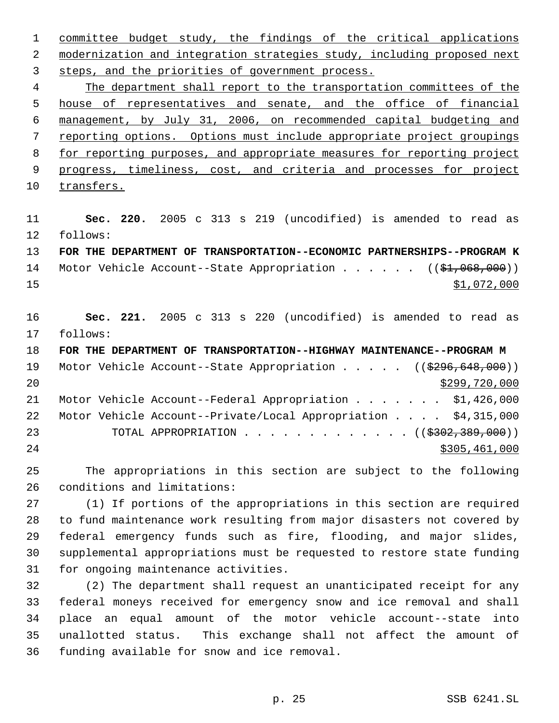committee budget study, the findings of the critical applications 2 modernization and integration strategies study, including proposed next steps, and the priorities of government process.

 The department shall report to the transportation committees of the house of representatives and senate, and the office of financial management, by July 31, 2006, on recommended capital budgeting and reporting options. Options must include appropriate project groupings for reporting purposes, and appropriate measures for reporting project 9 progress, timeliness, cost, and criteria and processes for project transfers.

 **Sec. 220.** 2005 c 313 s 219 (uncodified) is amended to read as follows:

 **FOR THE DEPARTMENT OF TRANSPORTATION--ECONOMIC PARTNERSHIPS--PROGRAM K** 14 Motor Vehicle Account--State Appropriation . . . . . ((\$1,068,000)) \$1,072,000

 **Sec. 221.** 2005 c 313 s 220 (uncodified) is amended to read as follows:

 **FOR THE DEPARTMENT OF TRANSPORTATION--HIGHWAY MAINTENANCE--PROGRAM M** 19 Motor Vehicle Account--State Appropriation . . . . . ((\$296,648,000)) \$299,720,000 21 Motor Vehicle Account--Federal Appropriation . . . . . . \$1,426,000 Motor Vehicle Account--Private/Local Appropriation . . . . \$4,315,000 23 TOTAL APPROPRIATION . . . . . . . . . . . . ((\$302,389,000)) \$305,461,000

 The appropriations in this section are subject to the following conditions and limitations:

 (1) If portions of the appropriations in this section are required to fund maintenance work resulting from major disasters not covered by federal emergency funds such as fire, flooding, and major slides, supplemental appropriations must be requested to restore state funding for ongoing maintenance activities.

 (2) The department shall request an unanticipated receipt for any federal moneys received for emergency snow and ice removal and shall place an equal amount of the motor vehicle account--state into unallotted status. This exchange shall not affect the amount of funding available for snow and ice removal.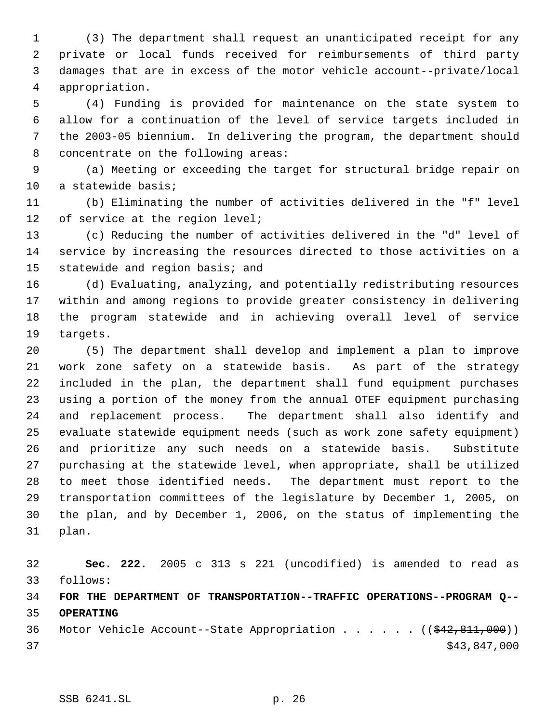(3) The department shall request an unanticipated receipt for any private or local funds received for reimbursements of third party damages that are in excess of the motor vehicle account--private/local appropriation.

 (4) Funding is provided for maintenance on the state system to allow for a continuation of the level of service targets included in the 2003-05 biennium. In delivering the program, the department should concentrate on the following areas:

 (a) Meeting or exceeding the target for structural bridge repair on a statewide basis;

 (b) Eliminating the number of activities delivered in the "f" level 12 of service at the region level;

 (c) Reducing the number of activities delivered in the "d" level of service by increasing the resources directed to those activities on a statewide and region basis; and

 (d) Evaluating, analyzing, and potentially redistributing resources within and among regions to provide greater consistency in delivering the program statewide and in achieving overall level of service targets.

 (5) The department shall develop and implement a plan to improve work zone safety on a statewide basis. As part of the strategy included in the plan, the department shall fund equipment purchases using a portion of the money from the annual OTEF equipment purchasing and replacement process. The department shall also identify and evaluate statewide equipment needs (such as work zone safety equipment) and prioritize any such needs on a statewide basis. Substitute purchasing at the statewide level, when appropriate, shall be utilized to meet those identified needs. The department must report to the transportation committees of the legislature by December 1, 2005, on the plan, and by December 1, 2006, on the status of implementing the plan.

 **Sec. 222.** 2005 c 313 s 221 (uncodified) is amended to read as follows: **FOR THE DEPARTMENT OF TRANSPORTATION--TRAFFIC OPERATIONS--PROGRAM Q-- OPERATING**

36 Motor Vehicle Account--State Appropriation . . . . . ((\$42,811,000))  $\frac{1}{2}$   $\frac{1}{3}$ ,  $\frac{1}{8}$   $\frac{43}{847}$ ,  $\frac{000}{1000}$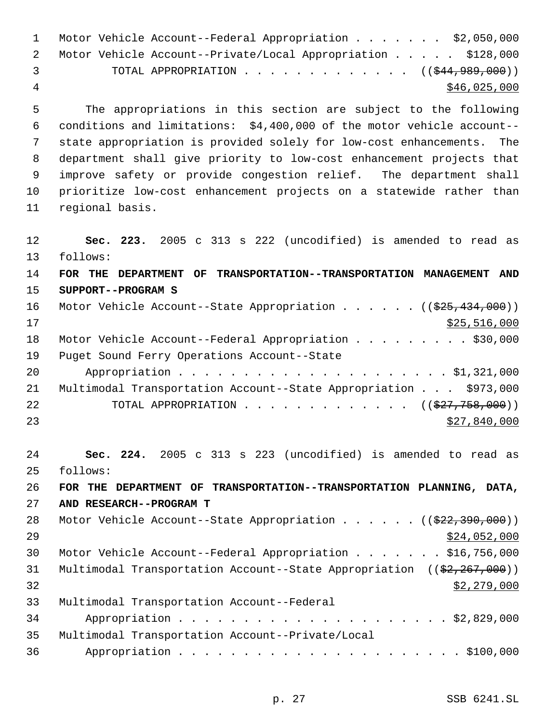| $\mathbf 1$ | Motor Vehicle Account--Federal Appropriation \$2,050,000                                               |  |  |  |  |
|-------------|--------------------------------------------------------------------------------------------------------|--|--|--|--|
| 2           | Motor Vehicle Account--Private/Local Appropriation \$128,000                                           |  |  |  |  |
| 3           | TOTAL APPROPRIATION ( $(\frac{244}{989}, 000)$ )                                                       |  |  |  |  |
| 4           | \$46,025,000                                                                                           |  |  |  |  |
| 5           | The appropriations in this section are subject to the following                                        |  |  |  |  |
| 6           | conditions and limitations: \$4,400,000 of the motor vehicle account--                                 |  |  |  |  |
| 7           | state appropriation is provided solely for low-cost enhancements. The                                  |  |  |  |  |
| 8           | department shall give priority to low-cost enhancement projects that                                   |  |  |  |  |
| 9           | improve safety or provide congestion relief. The department shall                                      |  |  |  |  |
| 10          | prioritize low-cost enhancement projects on a statewide rather than                                    |  |  |  |  |
| 11          | regional basis.                                                                                        |  |  |  |  |
| 12          | Sec. 223. 2005 c 313 s 222 (uncodified) is amended to read as                                          |  |  |  |  |
| 13          | follows:                                                                                               |  |  |  |  |
| 14          | FOR THE DEPARTMENT OF TRANSPORTATION--TRANSPORTATION MANAGEMENT AND                                    |  |  |  |  |
| 15          | SUPPORT--PROGRAM S                                                                                     |  |  |  |  |
| 16          | Motor Vehicle Account--State Appropriation ( $(\frac{225}{434}, \frac{434}{000})$ )                    |  |  |  |  |
| 17          | \$25,516,000                                                                                           |  |  |  |  |
| 18          | Motor Vehicle Account--Federal Appropriation \$30,000                                                  |  |  |  |  |
| 19          | Puget Sound Ferry Operations Account--State                                                            |  |  |  |  |
| 20          |                                                                                                        |  |  |  |  |
| 21          | Multimodal Transportation Account--State Appropriation \$973,000                                       |  |  |  |  |
| 22          | TOTAL APPROPRIATION $\ldots$ , ( $(\frac{277}{758},000)$ )                                             |  |  |  |  |
| 23          | \$27,840,000                                                                                           |  |  |  |  |
| 24          | Sec. 224. 2005 c 313 s 223 (uncodified) is amended to read as                                          |  |  |  |  |
| 25          | follows:                                                                                               |  |  |  |  |
| 26          | FOR THE DEPARTMENT OF TRANSPORTATION--TRANSPORTATION PLANNING, DATA,                                   |  |  |  |  |
| 27          | AND RESEARCH--PROGRAM T                                                                                |  |  |  |  |
| 28          | Motor Vehicle Account--State Appropriation ( $(\frac{22}{7}\cdot390,000)$ )                            |  |  |  |  |
| 29          | \$24,052,000                                                                                           |  |  |  |  |
| 30          | Motor Vehicle Account--Federal Appropriation \$16,756,000                                              |  |  |  |  |
| 31          | Multimodal Transportation Account--State Appropriation $((\frac{2}{7}, \frac{267}{7}, \frac{000}{7}))$ |  |  |  |  |
| 32          | \$2,279,000                                                                                            |  |  |  |  |
| 33          | Multimodal Transportation Account--Federal                                                             |  |  |  |  |
| 34          |                                                                                                        |  |  |  |  |
| 35          | Multimodal Transportation Account--Private/Local                                                       |  |  |  |  |
| 36          |                                                                                                        |  |  |  |  |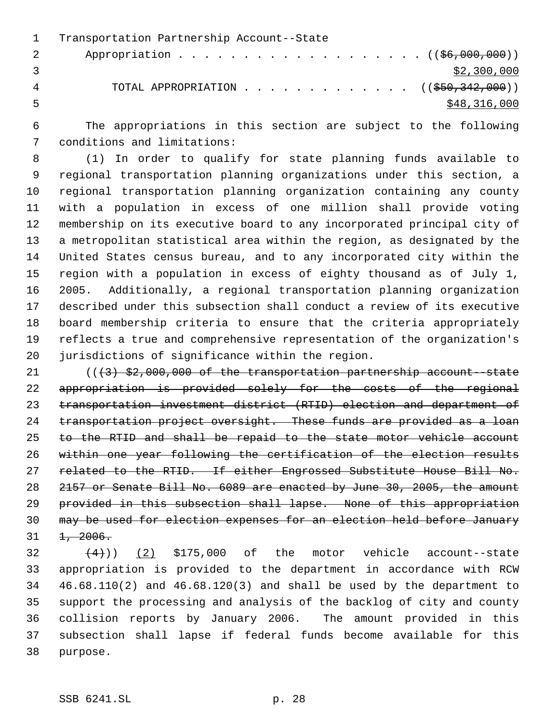Transportation Partnership Account--State 2 Appropriation . . . . . . . . . . . . . . . . . (  $(\frac{26}{100}, 000)$  )  $\frac{1}{3}$  3 4 TOTAL APPROPRIATION . . . . . . . . . . . . . ((\$50,342,000))  $\frac{$48,316,000}{2}$ 

 The appropriations in this section are subject to the following conditions and limitations:

 (1) In order to qualify for state planning funds available to regional transportation planning organizations under this section, a regional transportation planning organization containing any county with a population in excess of one million shall provide voting membership on its executive board to any incorporated principal city of a metropolitan statistical area within the region, as designated by the United States census bureau, and to any incorporated city within the region with a population in excess of eighty thousand as of July 1, 2005. Additionally, a regional transportation planning organization described under this subsection shall conduct a review of its executive board membership criteria to ensure that the criteria appropriately reflects a true and comprehensive representation of the organization's jurisdictions of significance within the region.

 $((3)$  \$2,000,000 of the transportation partnership account -state appropriation is provided solely for the costs of the regional transportation investment district (RTID) election and department of 24 transportation project oversight. These funds are provided as a loan to the RTID and shall be repaid to the state motor vehicle account within one year following the certification of the election results 27 related to the RTID. If either Engrossed Substitute House Bill No. 2157 or Senate Bill No. 6089 are enacted by June 30, 2005, the amount provided in this subsection shall lapse. None of this appropriation may be used for election expenses for an election held before January  $31 \quad \frac{1}{2006}$ .

 $(4)$ ) (2) \$175,000 of the motor vehicle account--state appropriation is provided to the department in accordance with RCW 46.68.110(2) and 46.68.120(3) and shall be used by the department to support the processing and analysis of the backlog of city and county collision reports by January 2006. The amount provided in this subsection shall lapse if federal funds become available for this purpose.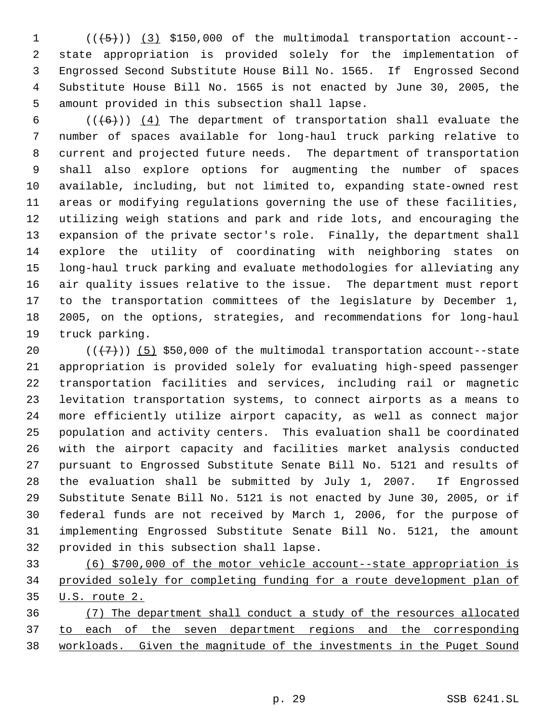$((+5))$   $(3)$  \$150,000 of the multimodal transportation account-- state appropriation is provided solely for the implementation of Engrossed Second Substitute House Bill No. 1565. If Engrossed Second Substitute House Bill No. 1565 is not enacted by June 30, 2005, the amount provided in this subsection shall lapse.

 $((+6))$   $(4)$  The department of transportation shall evaluate the number of spaces available for long-haul truck parking relative to current and projected future needs. The department of transportation shall also explore options for augmenting the number of spaces available, including, but not limited to, expanding state-owned rest areas or modifying regulations governing the use of these facilities, utilizing weigh stations and park and ride lots, and encouraging the expansion of the private sector's role. Finally, the department shall explore the utility of coordinating with neighboring states on long-haul truck parking and evaluate methodologies for alleviating any air quality issues relative to the issue. The department must report to the transportation committees of the legislature by December 1, 2005, on the options, strategies, and recommendations for long-haul truck parking.

 $((+7))$   $(5)$  \$50,000 of the multimodal transportation account--state appropriation is provided solely for evaluating high-speed passenger transportation facilities and services, including rail or magnetic levitation transportation systems, to connect airports as a means to more efficiently utilize airport capacity, as well as connect major population and activity centers. This evaluation shall be coordinated with the airport capacity and facilities market analysis conducted pursuant to Engrossed Substitute Senate Bill No. 5121 and results of the evaluation shall be submitted by July 1, 2007. If Engrossed Substitute Senate Bill No. 5121 is not enacted by June 30, 2005, or if federal funds are not received by March 1, 2006, for the purpose of implementing Engrossed Substitute Senate Bill No. 5121, the amount provided in this subsection shall lapse.

 (6) \$700,000 of the motor vehicle account--state appropriation is provided solely for completing funding for a route development plan of U.S. route 2.

 (7) The department shall conduct a study of the resources allocated to each of the seven department regions and the corresponding workloads. Given the magnitude of the investments in the Puget Sound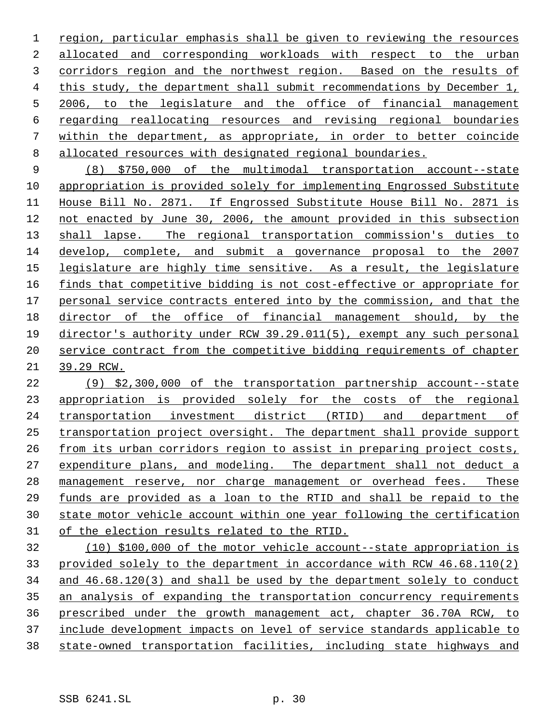region, particular emphasis shall be given to reviewing the resources allocated and corresponding workloads with respect to the urban corridors region and the northwest region. Based on the results of this study, the department shall submit recommendations by December 1, 2006, to the legislature and the office of financial management regarding reallocating resources and revising regional boundaries within the department, as appropriate, in order to better coincide allocated resources with designated regional boundaries.

 (8) \$750,000 of the multimodal transportation account--state appropriation is provided solely for implementing Engrossed Substitute House Bill No. 2871. If Engrossed Substitute House Bill No. 2871 is not enacted by June 30, 2006, the amount provided in this subsection 13 shall lapse. The regional transportation commission's duties to develop, complete, and submit a governance proposal to the 2007 legislature are highly time sensitive. As a result, the legislature finds that competitive bidding is not cost-effective or appropriate for personal service contracts entered into by the commission, and that the director of the office of financial management should, by the director's authority under RCW 39.29.011(5), exempt any such personal service contract from the competitive bidding requirements of chapter 39.29 RCW.

 (9) \$2,300,000 of the transportation partnership account--state appropriation is provided solely for the costs of the regional transportation investment district (RTID) and department of transportation project oversight. The department shall provide support 26 from its urban corridors region to assist in preparing project costs, 27 expenditure plans, and modeling. The department shall not deduct a 28 management reserve, nor charge management or overhead fees. These funds are provided as a loan to the RTID and shall be repaid to the state motor vehicle account within one year following the certification of the election results related to the RTID.

 (10) \$100,000 of the motor vehicle account--state appropriation is provided solely to the department in accordance with RCW 46.68.110(2) and 46.68.120(3) and shall be used by the department solely to conduct an analysis of expanding the transportation concurrency requirements prescribed under the growth management act, chapter 36.70A RCW, to include development impacts on level of service standards applicable to state-owned transportation facilities, including state highways and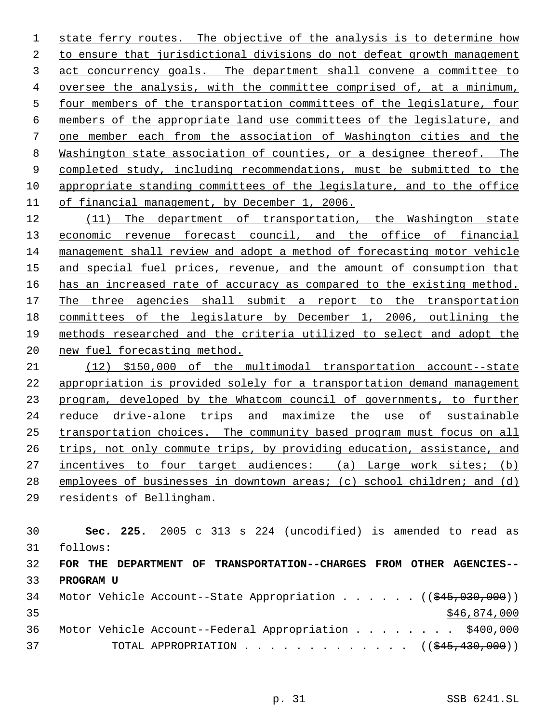1 state ferry routes. The objective of the analysis is to determine how to ensure that jurisdictional divisions do not defeat growth management act concurrency goals. The department shall convene a committee to oversee the analysis, with the committee comprised of, at a minimum, four members of the transportation committees of the legislature, four members of the appropriate land use committees of the legislature, and one member each from the association of Washington cities and the Washington state association of counties, or a designee thereof. The completed study, including recommendations, must be submitted to the appropriate standing committees of the legislature, and to the office of financial management, by December 1, 2006.

 (11) The department of transportation, the Washington state 13 economic revenue forecast council, and the office of financial management shall review and adopt a method of forecasting motor vehicle 15 and special fuel prices, revenue, and the amount of consumption that 16 has an increased rate of accuracy as compared to the existing method. The three agencies shall submit a report to the transportation committees of the legislature by December 1, 2006, outlining the methods researched and the criteria utilized to select and adopt the new fuel forecasting method.

 (12) \$150,000 of the multimodal transportation account--state 22 appropriation is provided solely for a transportation demand management program, developed by the Whatcom council of governments, to further reduce drive-alone trips and maximize the use of sustainable transportation choices. The community based program must focus on all 26 trips, not only commute trips, by providing education, assistance, and 27 incentives to four target audiences: (a) Large work sites; (b) 28 employees of businesses in downtown areas; (c) school children; and (d)

residents of Bellingham.

 **Sec. 225.** 2005 c 313 s 224 (uncodified) is amended to read as follows: **FOR THE DEPARTMENT OF TRANSPORTATION--CHARGES FROM OTHER AGENCIES-- PROGRAM U** 34 Motor Vehicle Account--State Appropriation . . . . . ((\$45,030,000)) \$46,874,000

|    | 36 Motor Vehicle Account--Federal Appropriation \$400,000             |  |
|----|-----------------------------------------------------------------------|--|
| 37 | TOTAL APPROPRIATION $\ldots$ , ( $(\frac{1}{245}, \frac{430}{100})$ ) |  |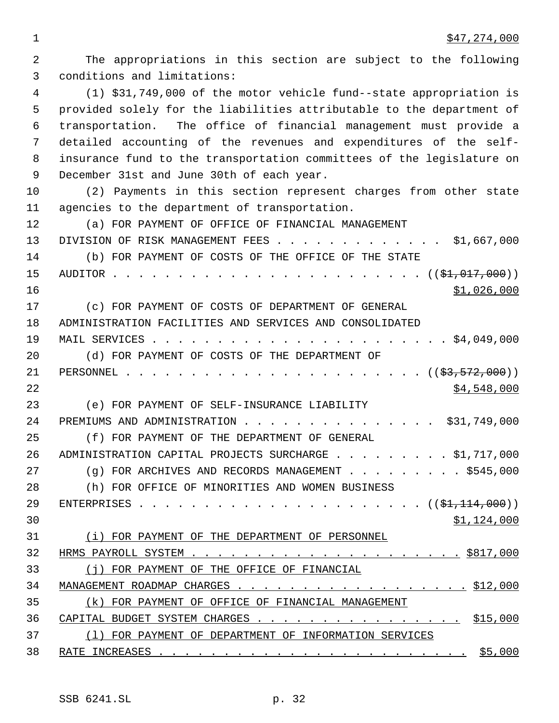The appropriations in this section are subject to the following conditions and limitations: (1) \$31,749,000 of the motor vehicle fund--state appropriation is provided solely for the liabilities attributable to the department of transportation. The office of financial management must provide a detailed accounting of the revenues and expenditures of the self- insurance fund to the transportation committees of the legislature on December 31st and June 30th of each year. (2) Payments in this section represent charges from other state agencies to the department of transportation. (a) FOR PAYMENT OF OFFICE OF FINANCIAL MANAGEMENT 13 DIVISION OF RISK MANAGEMENT FEES . . . . . . . . . . . . . \$1,667,000 (b) FOR PAYMENT OF COSTS OF THE OFFICE OF THE STATE AUDITOR . . . . . . . . . . . . . . . . . . . . . . . . ((\$1,017,000)) \$1,026,000 (c) FOR PAYMENT OF COSTS OF DEPARTMENT OF GENERAL ADMINISTRATION FACILITIES AND SERVICES AND CONSOLIDATED MAIL SERVICES . . . . . . . . . . . . . . . . . . . . . . . \$4,049,000 (d) FOR PAYMENT OF COSTS OF THE DEPARTMENT OF PERSONNEL . . . . . . . . . . . . . . . . . . . . . . . ((\$3,572,000)) \$4,548,000 (e) FOR PAYMENT OF SELF-INSURANCE LIABILITY 24 PREMIUMS AND ADMINISTRATION . . . . . . . . . . . . . . . \$31,749,000 (f) FOR PAYMENT OF THE DEPARTMENT OF GENERAL 26 ADMINISTRATION CAPITAL PROJECTS SURCHARGE . . . . . . . . \$1,717,000 27 (g) FOR ARCHIVES AND RECORDS MANAGEMENT . . . . . . . . \$545,000 (h) FOR OFFICE OF MINORITIES AND WOMEN BUSINESS ENTERPRISES . . . . . . . . . . . . . . . . . . . . . . ((\$1,114,000)) \$1,124,000 (i) FOR PAYMENT OF THE DEPARTMENT OF PERSONNEL HRMS PAYROLL SYSTEM . . . . . . . . . . . . . . . . . . . . . \$817,000 (j) FOR PAYMENT OF THE OFFICE OF FINANCIAL MANAGEMENT ROADMAP CHARGES . . . . . . . . . . . . . . . . . . \$12,000 (k) FOR PAYMENT OF OFFICE OF FINANCIAL MANAGEMENT 36 CAPITAL BUDGET SYSTEM CHARGES . . . . . . . . . . . . . . . . . \$15,000 (l) FOR PAYMENT OF DEPARTMENT OF INFORMATION SERVICES RATE INCREASES . . . . . . . . . . . . . . . . . . . . . . . . \$5,000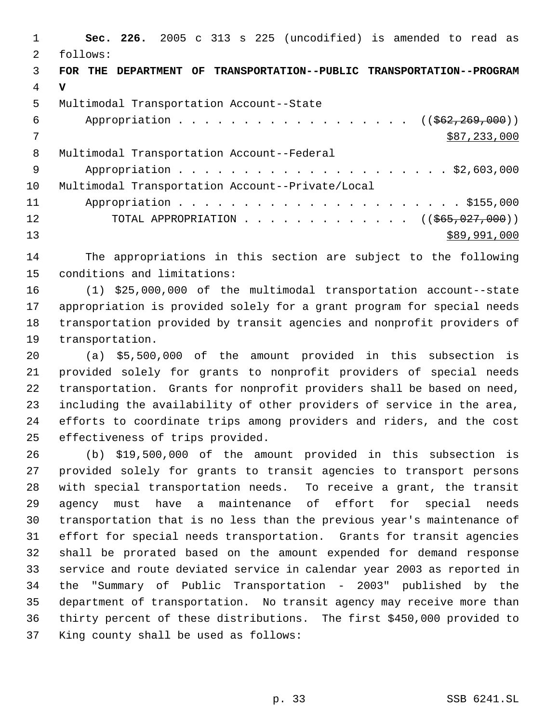**Sec. 226.** 2005 c 313 s 225 (uncodified) is amended to read as follows: **FOR THE DEPARTMENT OF TRANSPORTATION--PUBLIC TRANSPORTATION--PROGRAM V** Multimodal Transportation Account--State 6 Appropriation . . . . . . . . . . . . . . . . ((\$62,269,000))  $7 \times 87,233,000$  Multimodal Transportation Account--Federal Appropriation . . . . . . . . . . . . . . . . . . . . . \$2,603,000 Multimodal Transportation Account--Private/Local Appropriation . . . . . . . . . . . . . . . . . . . . . . \$155,000 12 TOTAL APPROPRIATION . . . . . . . . . . . . . ((\$65,027,000)) 13 \$89,991,000

 The appropriations in this section are subject to the following conditions and limitations:

 (1) \$25,000,000 of the multimodal transportation account--state appropriation is provided solely for a grant program for special needs transportation provided by transit agencies and nonprofit providers of transportation.

 (a) \$5,500,000 of the amount provided in this subsection is provided solely for grants to nonprofit providers of special needs transportation. Grants for nonprofit providers shall be based on need, including the availability of other providers of service in the area, efforts to coordinate trips among providers and riders, and the cost effectiveness of trips provided.

 (b) \$19,500,000 of the amount provided in this subsection is provided solely for grants to transit agencies to transport persons with special transportation needs. To receive a grant, the transit agency must have a maintenance of effort for special needs transportation that is no less than the previous year's maintenance of effort for special needs transportation. Grants for transit agencies shall be prorated based on the amount expended for demand response service and route deviated service in calendar year 2003 as reported in the "Summary of Public Transportation - 2003" published by the department of transportation. No transit agency may receive more than thirty percent of these distributions. The first \$450,000 provided to King county shall be used as follows: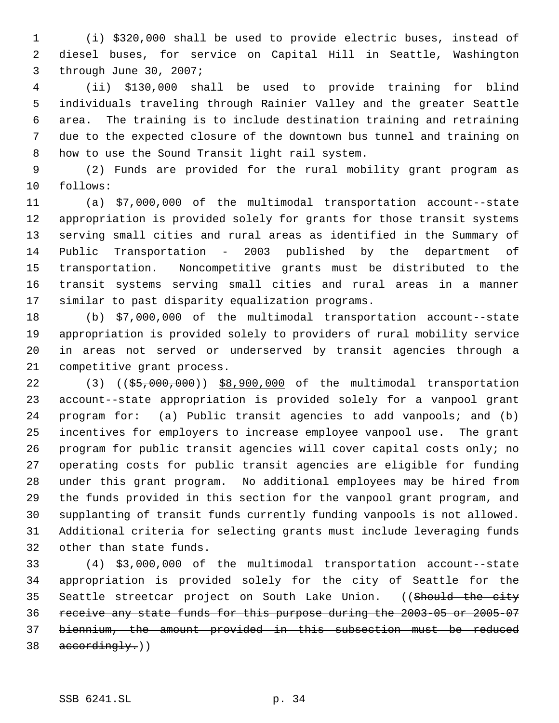(i) \$320,000 shall be used to provide electric buses, instead of diesel buses, for service on Capital Hill in Seattle, Washington through June 30, 2007;

 (ii) \$130,000 shall be used to provide training for blind individuals traveling through Rainier Valley and the greater Seattle area. The training is to include destination training and retraining due to the expected closure of the downtown bus tunnel and training on how to use the Sound Transit light rail system.

 (2) Funds are provided for the rural mobility grant program as follows:

 (a) \$7,000,000 of the multimodal transportation account--state appropriation is provided solely for grants for those transit systems serving small cities and rural areas as identified in the Summary of Public Transportation - 2003 published by the department of transportation. Noncompetitive grants must be distributed to the transit systems serving small cities and rural areas in a manner similar to past disparity equalization programs.

 (b) \$7,000,000 of the multimodal transportation account--state appropriation is provided solely to providers of rural mobility service in areas not served or underserved by transit agencies through a competitive grant process.

22 (3) ((\$5,000,000)) \$8,900,000 of the multimodal transportation account--state appropriation is provided solely for a vanpool grant program for: (a) Public transit agencies to add vanpools; and (b) incentives for employers to increase employee vanpool use. The grant program for public transit agencies will cover capital costs only; no operating costs for public transit agencies are eligible for funding under this grant program. No additional employees may be hired from the funds provided in this section for the vanpool grant program, and supplanting of transit funds currently funding vanpools is not allowed. Additional criteria for selecting grants must include leveraging funds other than state funds.

 (4) \$3,000,000 of the multimodal transportation account--state appropriation is provided solely for the city of Seattle for the 35 Seattle streetcar project on South Lake Union. ((Should the city receive any state funds for this purpose during the 2003-05 or 2005-07 biennium, the amount provided in this subsection must be reduced  $38 \text{ accordingly.}$ )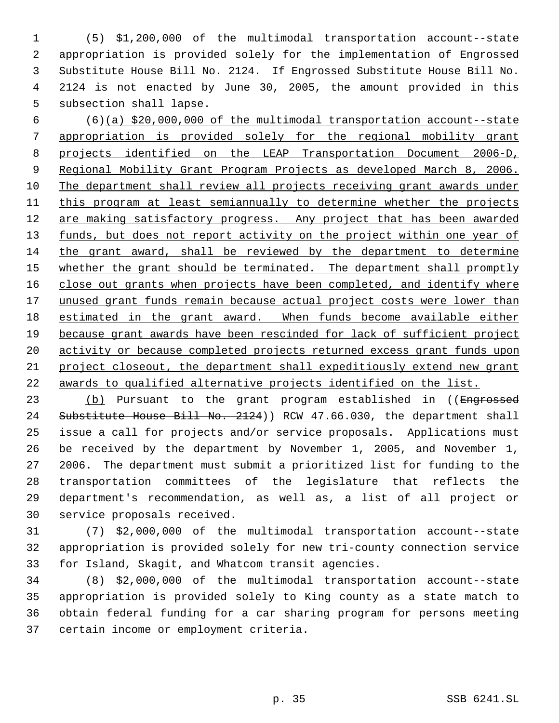(5) \$1,200,000 of the multimodal transportation account--state appropriation is provided solely for the implementation of Engrossed Substitute House Bill No. 2124. If Engrossed Substitute House Bill No. 2124 is not enacted by June 30, 2005, the amount provided in this subsection shall lapse.

 (6)(a) \$20,000,000 of the multimodal transportation account--state appropriation is provided solely for the regional mobility grant projects identified on the LEAP Transportation Document 2006-D, Regional Mobility Grant Program Projects as developed March 8, 2006. The department shall review all projects receiving grant awards under this program at least semiannually to determine whether the projects 12 are making satisfactory progress. Any project that has been awarded 13 funds, but does not report activity on the project within one year of the grant award, shall be reviewed by the department to determine 15 whether the grant should be terminated. The department shall promptly 16 close out grants when projects have been completed, and identify where 17 unused grant funds remain because actual project costs were lower than estimated in the grant award. When funds become available either because grant awards have been rescinded for lack of sufficient project 20 activity or because completed projects returned excess grant funds upon project closeout, the department shall expeditiously extend new grant awards to qualified alternative projects identified on the list.

23 (b) Pursuant to the grant program established in ((Engrossed 24 Substitute House Bill No. 2124)) RCW 47.66.030, the department shall issue a call for projects and/or service proposals. Applications must be received by the department by November 1, 2005, and November 1, 2006. The department must submit a prioritized list for funding to the transportation committees of the legislature that reflects the department's recommendation, as well as, a list of all project or service proposals received.

 (7) \$2,000,000 of the multimodal transportation account--state appropriation is provided solely for new tri-county connection service for Island, Skagit, and Whatcom transit agencies.

 (8) \$2,000,000 of the multimodal transportation account--state appropriation is provided solely to King county as a state match to obtain federal funding for a car sharing program for persons meeting certain income or employment criteria.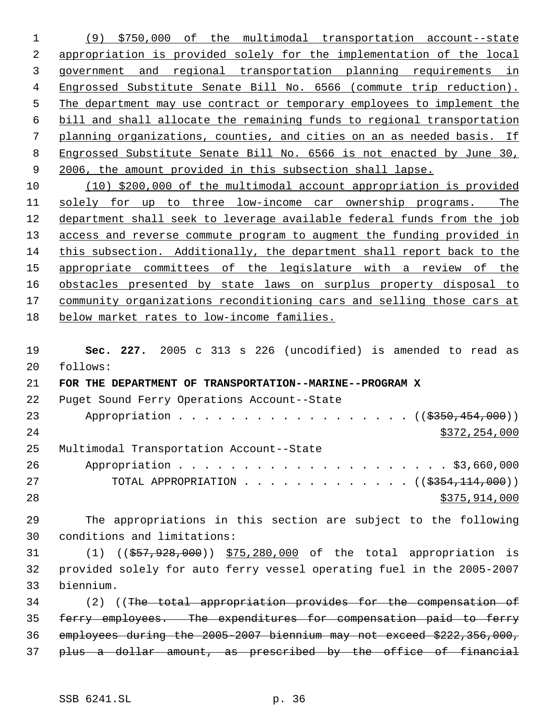(9) \$750,000 of the multimodal transportation account--state appropriation is provided solely for the implementation of the local government and regional transportation planning requirements in Engrossed Substitute Senate Bill No. 6566 (commute trip reduction). The department may use contract or temporary employees to implement the bill and shall allocate the remaining funds to regional transportation planning organizations, counties, and cities on an as needed basis. If Engrossed Substitute Senate Bill No. 6566 is not enacted by June 30, 9 2006, the amount provided in this subsection shall lapse. (10) \$200,000 of the multimodal account appropriation is provided

 solely for up to three low-income car ownership programs. The department shall seek to leverage available federal funds from the job 13 access and reverse commute program to augment the funding provided in this subsection. Additionally, the department shall report back to the appropriate committees of the legislature with a review of the obstacles presented by state laws on surplus property disposal to 17 community organizations reconditioning cars and selling those cars at below market rates to low-income families.

 **Sec. 227.** 2005 c 313 s 226 (uncodified) is amended to read as follows:

 **FOR THE DEPARTMENT OF TRANSPORTATION--MARINE--PROGRAM X** Puget Sound Ferry Operations Account--State 23 Appropriation . . . . . . . . . . . . . . . . ((\$350,454,000)) \$372,254,000 Multimodal Transportation Account--State Appropriation . . . . . . . . . . . . . . . . . . . . . \$3,660,000 27 TOTAL APPROPRIATION . . . . . . . . . . . . . ((\$354,114,000)) \$375,914,000

 The appropriations in this section are subject to the following conditions and limitations:

 (1) ((\$57,928,000)) \$75,280,000 of the total appropriation is provided solely for auto ferry vessel operating fuel in the 2005-2007 biennium.

 (2) ((The total appropriation provides for the compensation of ferry employees. The expenditures for compensation paid to ferry employees during the 2005-2007 biennium may not exceed \$222,356,000, plus a dollar amount, as prescribed by the office of financial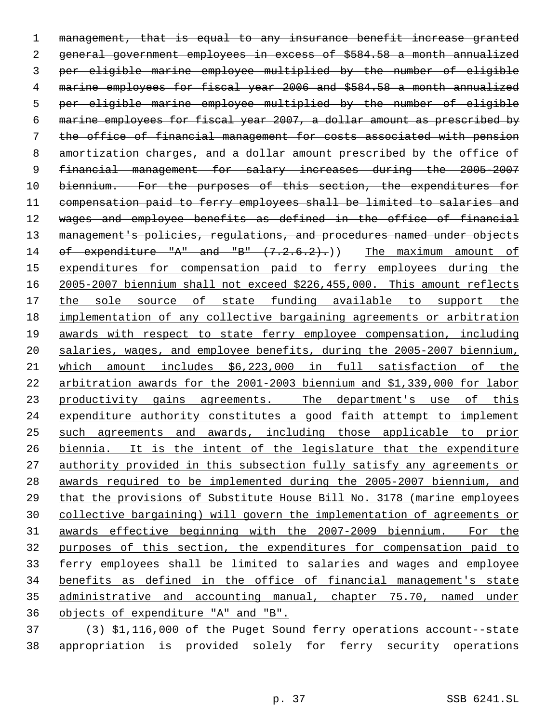management, that is equal to any insurance benefit increase granted general government employees in excess of \$584.58 a month annualized per eligible marine employee multiplied by the number of eligible marine employees for fiscal year 2006 and \$584.58 a month annualized per eligible marine employee multiplied by the number of eligible marine employees for fiscal year 2007, a dollar amount as prescribed by the office of financial management for costs associated with pension amortization charges, and a dollar amount prescribed by the office of 9 financial management for salary increases during the 2005-2007 10 biennium. For the purposes of this section, the expenditures for compensation paid to ferry employees shall be limited to salaries and wages and employee benefits as defined in the office of financial 13 management's policies, regulations, and procedures named under objects 14 of expenditure "A" and "B"  $(7.2.6.2)$ .)) The maximum amount of 15 expenditures for compensation paid to ferry employees during the 2005-2007 biennium shall not exceed \$226,455,000. This amount reflects the sole source of state funding available to support the implementation of any collective bargaining agreements or arbitration awards with respect to state ferry employee compensation, including salaries, wages, and employee benefits, during the 2005-2007 biennium, which amount includes \$6,223,000 in full satisfaction of the arbitration awards for the 2001-2003 biennium and \$1,339,000 for labor 23 productivity gains agreements. The department's use of this expenditure authority constitutes a good faith attempt to implement such agreements and awards, including those applicable to prior biennia. It is the intent of the legislature that the expenditure authority provided in this subsection fully satisfy any agreements or awards required to be implemented during the 2005-2007 biennium, and that the provisions of Substitute House Bill No. 3178 (marine employees collective bargaining) will govern the implementation of agreements or awards effective beginning with the 2007-2009 biennium. For the purposes of this section, the expenditures for compensation paid to ferry employees shall be limited to salaries and wages and employee benefits as defined in the office of financial management's state administrative and accounting manual, chapter 75.70, named under objects of expenditure "A" and "B".

 (3) \$1,116,000 of the Puget Sound ferry operations account--state appropriation is provided solely for ferry security operations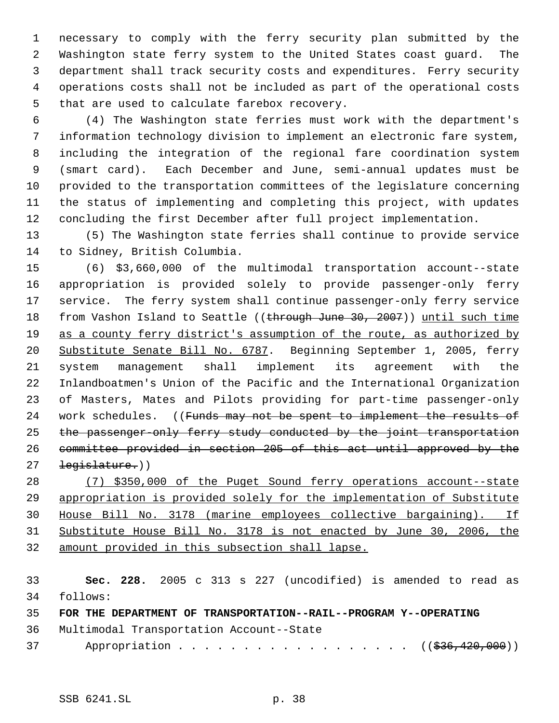necessary to comply with the ferry security plan submitted by the Washington state ferry system to the United States coast guard. The department shall track security costs and expenditures. Ferry security operations costs shall not be included as part of the operational costs that are used to calculate farebox recovery.

 (4) The Washington state ferries must work with the department's information technology division to implement an electronic fare system, including the integration of the regional fare coordination system (smart card). Each December and June, semi-annual updates must be provided to the transportation committees of the legislature concerning the status of implementing and completing this project, with updates concluding the first December after full project implementation.

 (5) The Washington state ferries shall continue to provide service to Sidney, British Columbia.

 (6) \$3,660,000 of the multimodal transportation account--state appropriation is provided solely to provide passenger-only ferry service. The ferry system shall continue passenger-only ferry service 18 from Vashon Island to Seattle ((through June 30, 2007)) until such time as a county ferry district's assumption of the route, as authorized by Substitute Senate Bill No. 6787. Beginning September 1, 2005, ferry system management shall implement its agreement with the Inlandboatmen's Union of the Pacific and the International Organization of Masters, Mates and Pilots providing for part-time passenger-only 24 work schedules. ((Funds may not be spent to implement the results of the passenger-only ferry study conducted by the joint transportation committee provided in section 205 of this act until approved by the 27 <del>legislature.</del>))

 (7) \$350,000 of the Puget Sound ferry operations account--state appropriation is provided solely for the implementation of Substitute House Bill No. 3178 (marine employees collective bargaining). If Substitute House Bill No. 3178 is not enacted by June 30, 2006, the amount provided in this subsection shall lapse.

 **Sec. 228.** 2005 c 313 s 227 (uncodified) is amended to read as follows:

**FOR THE DEPARTMENT OF TRANSPORTATION--RAIL--PROGRAM Y--OPERATING**

Multimodal Transportation Account--State

37 Appropriation . . . . . . . . . . . . . . . . ((\$36,420,000))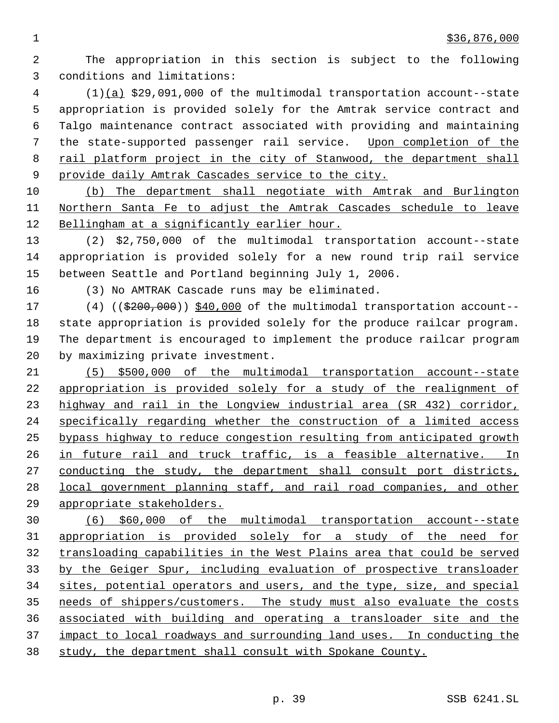The appropriation in this section is subject to the following conditions and limitations:

 (1)(a) \$29,091,000 of the multimodal transportation account--state appropriation is provided solely for the Amtrak service contract and Talgo maintenance contract associated with providing and maintaining the state-supported passenger rail service. Upon completion of the 8 rail platform project in the city of Stanwood, the department shall provide daily Amtrak Cascades service to the city.

 (b) The department shall negotiate with Amtrak and Burlington Northern Santa Fe to adjust the Amtrak Cascades schedule to leave Bellingham at a significantly earlier hour.

 (2) \$2,750,000 of the multimodal transportation account--state appropriation is provided solely for a new round trip rail service between Seattle and Portland beginning July 1, 2006.

(3) No AMTRAK Cascade runs may be eliminated.

 (4) ((\$200,000)) \$40,000 of the multimodal transportation account-- state appropriation is provided solely for the produce railcar program. The department is encouraged to implement the produce railcar program by maximizing private investment.

 (5) \$500,000 of the multimodal transportation account--state appropriation is provided solely for a study of the realignment of highway and rail in the Longview industrial area (SR 432) corridor, specifically regarding whether the construction of a limited access bypass highway to reduce congestion resulting from anticipated growth in future rail and truck traffic, is a feasible alternative. In 27 conducting the study, the department shall consult port districts, local government planning staff, and rail road companies, and other appropriate stakeholders.

 (6) \$60,000 of the multimodal transportation account--state appropriation is provided solely for a study of the need for transloading capabilities in the West Plains area that could be served by the Geiger Spur, including evaluation of prospective transloader sites, potential operators and users, and the type, size, and special needs of shippers/customers. The study must also evaluate the costs associated with building and operating a transloader site and the impact to local roadways and surrounding land uses. In conducting the study, the department shall consult with Spokane County.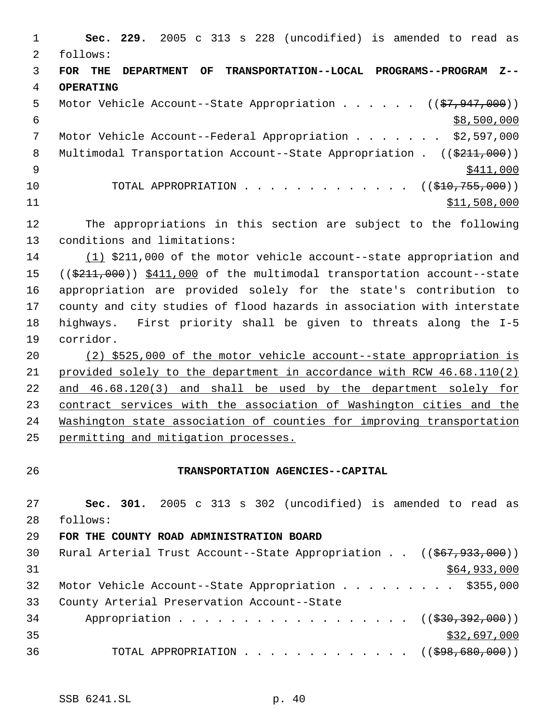**Sec. 229.** 2005 c 313 s 228 (uncodified) is amended to read as follows: **FOR THE DEPARTMENT OF TRANSPORTATION--LOCAL PROGRAMS--PROGRAM Z-- OPERATING** 5 Motor Vehicle Account--State Appropriation . . . . . ((\$7,947,000))  $\frac{1}{58,500,000}$  Motor Vehicle Account--Federal Appropriation . . . . . . . \$2,597,000 8 Multimodal Transportation Account--State Appropriation . ((\$211,000))  $\frac{$411,000}{ }$ 10 TOTAL APPROPRIATION . . . . . . . . . . . . . ((\$10,755,000)) \$11,508,000 The appropriations in this section are subject to the following conditions and limitations: (1) \$211,000 of the motor vehicle account--state appropriation and 15 ((\$211,000)) \$411,000 of the multimodal transportation account--state appropriation are provided solely for the state's contribution to county and city studies of flood hazards in association with interstate highways. First priority shall be given to threats along the I-5 corridor. (2) \$525,000 of the motor vehicle account--state appropriation is provided solely to the department in accordance with RCW 46.68.110(2) and 46.68.120(3) and shall be used by the department solely for contract services with the association of Washington cities and the Washington state association of counties for improving transportation permitting and mitigation processes. **TRANSPORTATION AGENCIES--CAPITAL Sec. 301.** 2005 c 313 s 302 (uncodified) is amended to read as follows: **FOR THE COUNTY ROAD ADMINISTRATION BOARD** Rural Arterial Trust Account--State Appropriation . . ((\$67,933,000)) \$64,933,000 32 Motor Vehicle Account--State Appropriation . . . . . . . . \$355,000 County Arterial Preservation Account--State 34 Appropriation . . . . . . . . . . . . . . . . ((\$30,392,000))

 \$32,697,000 36 TOTAL APPROPRIATION . . . . . . . . . . . . ((\$98,680,000))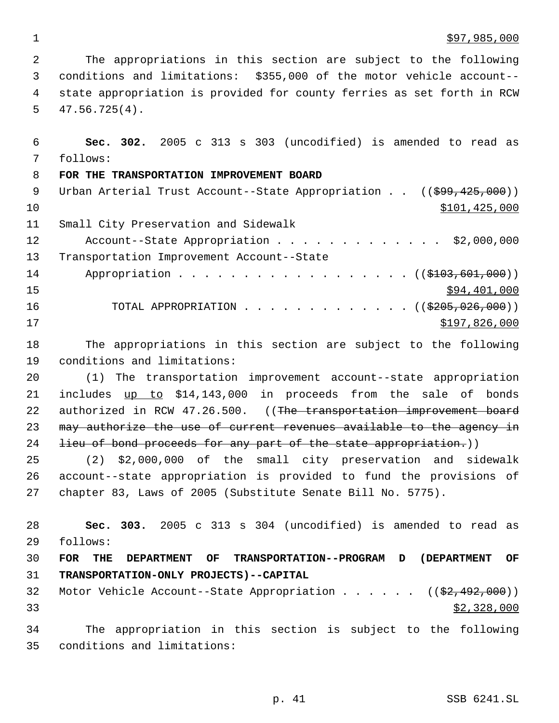$\frac{$97,985,000}{ }$ 

 The appropriations in this section are subject to the following conditions and limitations: \$355,000 of the motor vehicle account-- state appropriation is provided for county ferries as set forth in RCW 47.56.725(4).

 **Sec. 302.** 2005 c 313 s 303 (uncodified) is amended to read as follows: **FOR THE TRANSPORTATION IMPROVEMENT BOARD** 9 Urban Arterial Trust Account--State Appropriation . . ((\$99,425,000)) \$101,425,000 Small City Preservation and Sidewalk 12 Account--State Appropriation . . . . . . . . . . . . \$2,000,000 Transportation Improvement Account--State 14 Appropriation . . . . . . . . . . . . . . . . ((\$103,601,000)) \$94,401,000 16 TOTAL APPROPRIATION . . . . . . . . . . . . ((<del>\$205,026,000</del>)) \$197,826,000

 The appropriations in this section are subject to the following conditions and limitations:

 (1) The transportation improvement account--state appropriation 21 includes up to \$14,143,000 in proceeds from the sale of bonds 22 authorized in RCW 47.26.500. ((The transportation improvement board may authorize the use of current revenues available to the agency in 24 lieu of bond proceeds for any part of the state appropriation.))

 (2) \$2,000,000 of the small city preservation and sidewalk account--state appropriation is provided to fund the provisions of chapter 83, Laws of 2005 (Substitute Senate Bill No. 5775).

 **Sec. 303.** 2005 c 313 s 304 (uncodified) is amended to read as follows: **FOR THE DEPARTMENT OF TRANSPORTATION--PROGRAM D (DEPARTMENT OF TRANSPORTATION-ONLY PROJECTS)--CAPITAL** 32 Motor Vehicle Account--State Appropriation . . . . . ((\$2,492,000)) \$2,328,000 The appropriation in this section is subject to the following

conditions and limitations: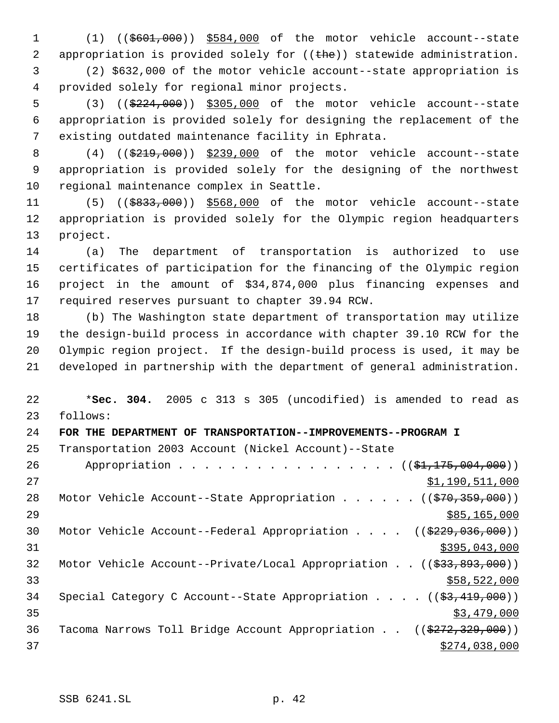1 (1) ((\$601,000)) \$584,000 of the motor vehicle account--state 2 appropriation is provided solely for  $((thee))$  statewide administration.

 (2) \$632,000 of the motor vehicle account--state appropriation is provided solely for regional minor projects.

5 (3) ((\$224,000)) \$305,000 of the motor vehicle account--state appropriation is provided solely for designing the replacement of the existing outdated maintenance facility in Ephrata.

8 (4) ((\$219,000)) \$239,000 of the motor vehicle account--state appropriation is provided solely for the designing of the northwest regional maintenance complex in Seattle.

11 (5) ((\$833,000)) \$568,000 of the motor vehicle account--state appropriation is provided solely for the Olympic region headquarters project.

 (a) The department of transportation is authorized to use certificates of participation for the financing of the Olympic region project in the amount of \$34,874,000 plus financing expenses and required reserves pursuant to chapter 39.94 RCW.

 (b) The Washington state department of transportation may utilize the design-build process in accordance with chapter 39.10 RCW for the Olympic region project. If the design-build process is used, it may be developed in partnership with the department of general administration.

 \***Sec. 304.** 2005 c 313 s 305 (uncodified) is amended to read as follows: **FOR THE DEPARTMENT OF TRANSPORTATION--IMPROVEMENTS--PROGRAM I** Transportation 2003 Account (Nickel Account)--State 26 Appropriation . . . . . . . . . . . . . . . ((\$1,175,004,000)) 27 \$1,190,511,000 28 Motor Vehicle Account--State Appropriation . . . . . ((\$70,359,000)) \$85,165,000 30 Motor Vehicle Account--Federal Appropriation . . . . ((\$229,036,000)) \$395,043,000 Motor Vehicle Account--Private/Local Appropriation . . ((\$33,893,000))  $\frac{$58,522,000}{558,522,000}$ 34 Special Category C Account--State Appropriation . . . . ((\$3,419,000))  $35 - 35$   $37 - 479$ ,000 36 Tacoma Narrows Toll Bridge Account Appropriation . . ((\$272,329,000))  $$274,038,000$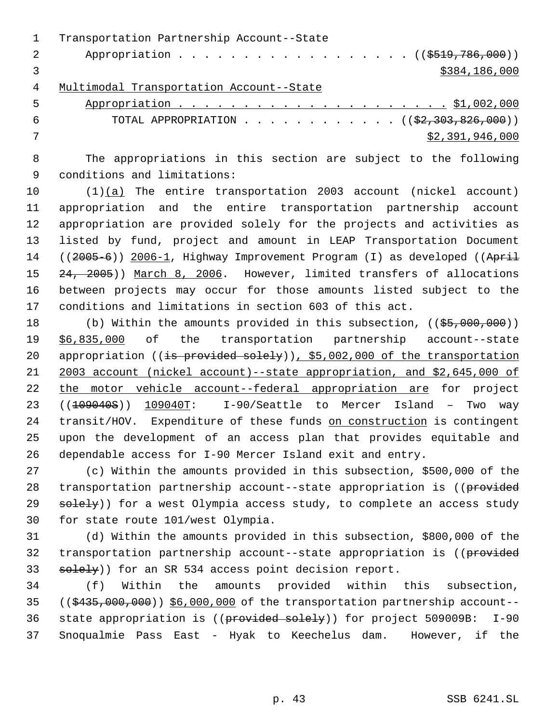|   | Transportation Partnership Account--State |
|---|-------------------------------------------|
| 2 | Appropriation ((\$519,786,000))           |
|   | \$384,186,000                             |
| 4 | Multimodal Transportation Account--State  |
|   |                                           |

|       | $\overline{5}$                                         |
|-------|--------------------------------------------------------|
| - 6 - | TOTAL APPROPRIATION ( $(\frac{2}{2}, 303, 826, 000)$ ) |
|       | \$2,391,946,000                                        |

 The appropriations in this section are subject to the following conditions and limitations:

 (1)(a) The entire transportation 2003 account (nickel account) appropriation and the entire transportation partnership account appropriation are provided solely for the projects and activities as listed by fund, project and amount in LEAP Transportation Document 14 ((2005-6)) 2006-1, Highway Improvement Program (I) as developed ((April 15 24, 2005)) March 8, 2006. However, limited transfers of allocations between projects may occur for those amounts listed subject to the conditions and limitations in section 603 of this act.

18 (b) Within the amounts provided in this subsection, ((\$5,000,000)) \$6,835,000 of the transportation partnership account--state 20 appropriation ((is provided solely)), \$5,002,000 of the transportation 2003 account (nickel account)--state appropriation, and \$2,645,000 of 22 the motor vehicle account--federal appropriation are for project 23 ((<del>109040S</del>)) 109040T: I-90/Seattle to Mercer Island - Two way transit/HOV. Expenditure of these funds on construction is contingent upon the development of an access plan that provides equitable and dependable access for I-90 Mercer Island exit and entry.

 (c) Within the amounts provided in this subsection, \$500,000 of the 28 transportation partnership account--state appropriation is ((provided 29 solely)) for a west Olympia access study, to complete an access study for state route 101/west Olympia.

 (d) Within the amounts provided in this subsection, \$800,000 of the 32 transportation partnership account--state appropriation is ((provided 33 solely)) for an SR 534 access point decision report.

 (f) Within the amounts provided within this subsection, ((\$435,000,000)) \$6,000,000 of the transportation partnership account-- 36 state appropriation is ((provided solely)) for project 509009B: I-90 Snoqualmie Pass East - Hyak to Keechelus dam. However, if the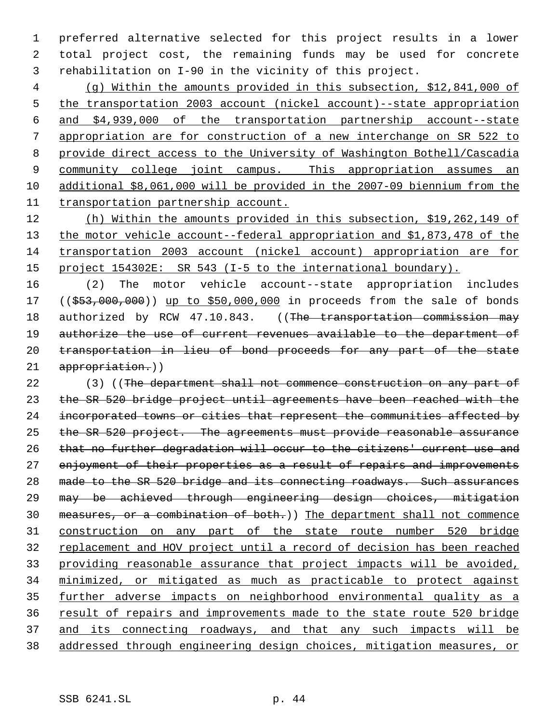preferred alternative selected for this project results in a lower total project cost, the remaining funds may be used for concrete rehabilitation on I-90 in the vicinity of this project.

 (g) Within the amounts provided in this subsection, \$12,841,000 of the transportation 2003 account (nickel account)--state appropriation and \$4,939,000 of the transportation partnership account--state appropriation are for construction of a new interchange on SR 522 to provide direct access to the University of Washington Bothell/Cascadia 9 community college joint campus. This appropriation assumes an additional \$8,061,000 will be provided in the 2007-09 biennium from the transportation partnership account.

 (h) Within the amounts provided in this subsection, \$19,262,149 of 13 the motor vehicle account--federal appropriation and \$1,873,478 of the transportation 2003 account (nickel account) appropriation are for project 154302E: SR 543 (I-5 to the international boundary).

 (2) The motor vehicle account--state appropriation includes 17 ((\$53,000,000)) up to \$50,000,000 in proceeds from the sale of bonds 18 authorized by RCW 47.10.843. ((The transportation commission may 19 authorize the use of current revenues available to the department of transportation in lieu of bond proceeds for any part of the state appropriation.))

22 (3) ((The department shall not commence construction on any part of the SR 520 bridge project until agreements have been reached with the 24 incorporated towns or cities that represent the communities affected by the SR 520 project. The agreements must provide reasonable assurance that no further degradation will occur to the citizens' current use and 27 enjoyment of their properties as a result of repairs and improvements made to the SR 520 bridge and its connecting roadways. Such assurances may be achieved through engineering design choices, mitigation measures, or a combination of both.)) The department shall not commence construction on any part of the state route number 520 bridge replacement and HOV project until a record of decision has been reached providing reasonable assurance that project impacts will be avoided, minimized, or mitigated as much as practicable to protect against further adverse impacts on neighborhood environmental quality as a result of repairs and improvements made to the state route 520 bridge and its connecting roadways, and that any such impacts will be addressed through engineering design choices, mitigation measures, or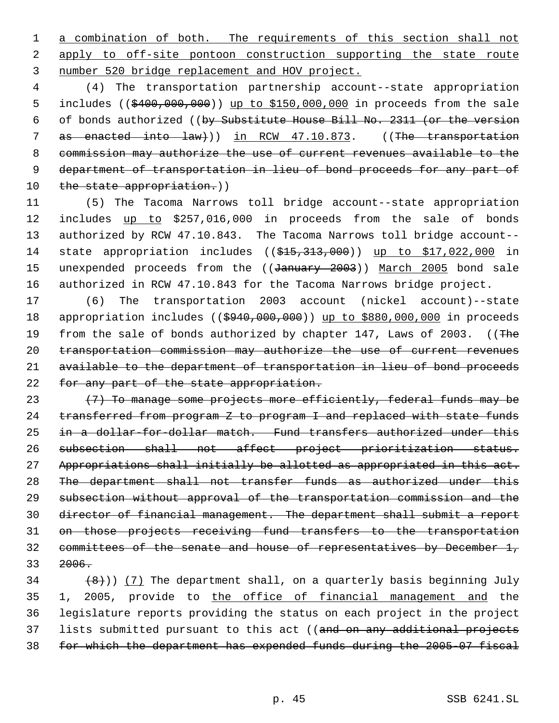1 a combination of both. The requirements of this section shall not 2 apply to off-site pontoon construction supporting the state route 3 number 520 bridge replacement and HOV project.

 4 (4) The transportation partnership account--state appropriation 5 includes ((\$400,000,000)) up to \$150,000,000 in proceeds from the sale 6 of bonds authorized ((by Substitute House Bill No. 2311 (or the version 7 as enacted into law))) in RCW 47.10.873. ((The transportation 8 commission may authorize the use of current revenues available to the 9 department of transportation in lieu of bond proceeds for any part of 10 the state appropriation.))

11 (5) The Tacoma Narrows toll bridge account--state appropriation 12 includes up to \$257,016,000 in proceeds from the sale of bonds 13 authorized by RCW 47.10.843. The Tacoma Narrows toll bridge account-- 14 state appropriation includes ((\$15,313,000)) up to \$17,022,000 in 15 unexpended proceeds from the ((January 2003)) March 2005 bond sale 16 authorized in RCW 47.10.843 for the Tacoma Narrows bridge project.

17 (6) The transportation 2003 account (nickel account)--state 18 appropriation includes (( $\frac{6940,000,000}{9940,000}$ ) up to \$880,000,000 in proceeds 19 from the sale of bonds authorized by chapter 147, Laws of 2003. ((The 20 transportation commission may authorize the use of current revenues 21 available to the department of transportation in lieu of bond proceeds 22 for any part of the state appropriation.

 $(7)$  To manage some projects more efficiently, federal funds may be transferred from program Z to program I and replaced with state funds 25 in a dollar-for-dollar match. Fund transfers authorized under this subsection shall not affect project prioritization status. Appropriations shall initially be allotted as appropriated in this act. The department shall not transfer funds as authorized under this subsection without approval of the transportation commission and the director of financial management. The department shall submit a report on those projects receiving fund transfers to the transportation committees of the senate and house of representatives by December 1, 33 2006.

 $(8)$ )) (7) The department shall, on a quarterly basis beginning July 35 1, 2005, provide to the office of financial management and the 36 legislature reports providing the status on each project in the project 37 lists submitted pursuant to this act ((and on any additional projects 38 for which the department has expended funds during the 2005-07 fiscal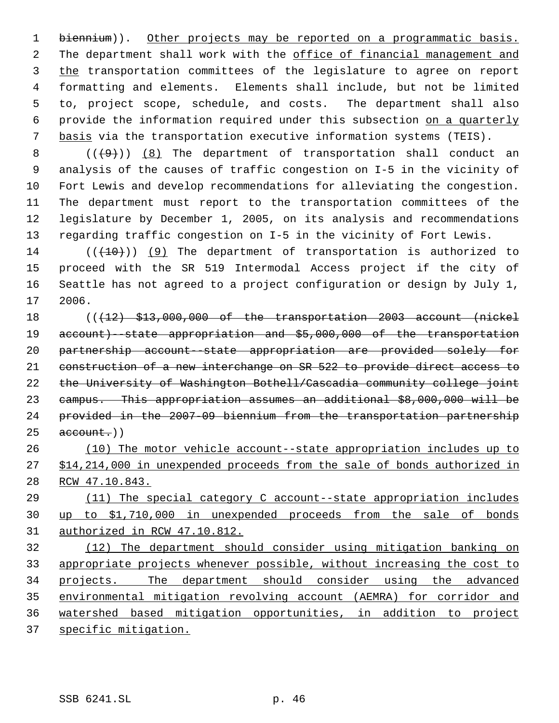1 biennium)). Other projects may be reported on a programmatic basis. 2 The department shall work with the office of financial management and the transportation committees of the legislature to agree on report formatting and elements. Elements shall include, but not be limited to, project scope, schedule, and costs. The department shall also provide the information required under this subsection on a quarterly basis via the transportation executive information systems (TEIS).

 $((+9))$   $(8)$  The department of transportation shall conduct an analysis of the causes of traffic congestion on I-5 in the vicinity of Fort Lewis and develop recommendations for alleviating the congestion. The department must report to the transportation committees of the legislature by December 1, 2005, on its analysis and recommendations regarding traffic congestion on I-5 in the vicinity of Fort Lewis.

14 ( $((+10))$  (9) The department of transportation is authorized to proceed with the SR 519 Intermodal Access project if the city of Seattle has not agreed to a project configuration or design by July 1, 2006.

 (((12) \$13,000,000 of the transportation 2003 account (nickel account)--state appropriation and \$5,000,000 of the transportation partnership account--state appropriation are provided solely for construction of a new interchange on SR 522 to provide direct access to the University of Washington Bothell/Cascadia community college joint campus. This appropriation assumes an additional \$8,000,000 will be provided in the 2007-09 biennium from the transportation partnership  $25 \qquad \text{account.}$ )

 (10) The motor vehicle account--state appropriation includes up to \$14,214,000 in unexpended proceeds from the sale of bonds authorized in RCW 47.10.843.

 (11) The special category C account--state appropriation includes up to \$1,710,000 in unexpended proceeds from the sale of bonds authorized in RCW 47.10.812.

 (12) The department should consider using mitigation banking on appropriate projects whenever possible, without increasing the cost to projects. The department should consider using the advanced environmental mitigation revolving account (AEMRA) for corridor and watershed based mitigation opportunities, in addition to project specific mitigation.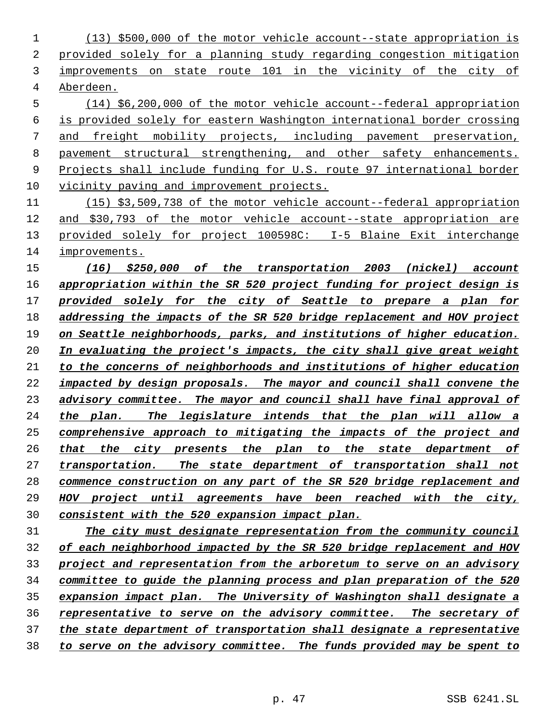(13) \$500,000 of the motor vehicle account--state appropriation is provided solely for a planning study regarding congestion mitigation improvements on state route 101 in the vicinity of the city of Aberdeen.

 (14) \$6,200,000 of the motor vehicle account--federal appropriation is provided solely for eastern Washington international border crossing and freight mobility projects, including pavement preservation, pavement structural strengthening, and other safety enhancements. Projects shall include funding for U.S. route 97 international border vicinity paving and improvement projects.

 (15) \$3,509,738 of the motor vehicle account--federal appropriation and \$30,793 of the motor vehicle account--state appropriation are provided solely for project 100598C: I-5 Blaine Exit interchange improvements.

 *(16) \$250,000 of the transportation 2003 (nickel) account appropriation within the SR 520 project funding for project design is provided solely for the city of Seattle to prepare a plan for addressing the impacts of the SR 520 bridge replacement and HOV project on Seattle neighborhoods, parks, and institutions of higher education. In evaluating the project's impacts, the city shall give great weight to the concerns of neighborhoods and institutions of higher education impacted by design proposals. The mayor and council shall convene the advisory committee. The mayor and council shall have final approval of the plan. The legislature intends that the plan will allow a comprehensive approach to mitigating the impacts of the project and that the city presents the plan to the state department of transportation. The state department of transportation shall not commence construction on any part of the SR 520 bridge replacement and HOV project until agreements have been reached with the city, consistent with the 520 expansion impact plan.*

 *The city must designate representation from the community council of each neighborhood impacted by the SR 520 bridge replacement and HOV project and representation from the arboretum to serve on an advisory committee to guide the planning process and plan preparation of the 520 expansion impact plan. The University of Washington shall designate a representative to serve on the advisory committee. The secretary of the state department of transportation shall designate a representative to serve on the advisory committee. The funds provided may be spent to*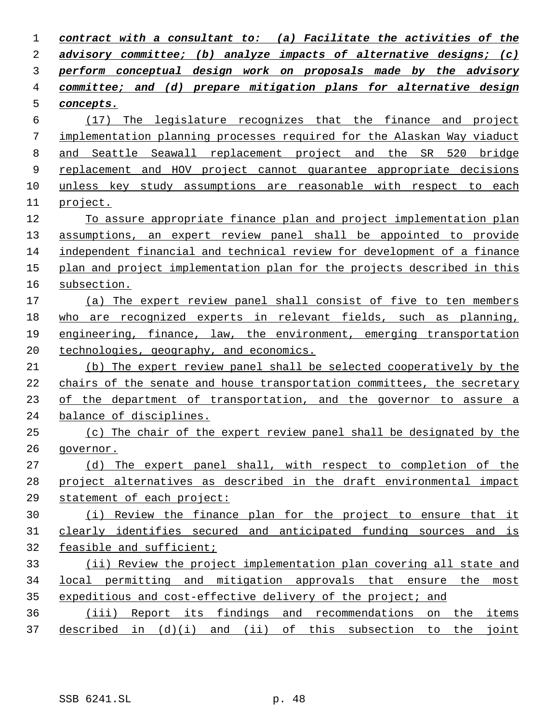| 1  | contract with a consultant to: (a) Facilitate the activities of the     |
|----|-------------------------------------------------------------------------|
| 2  | advisory committee; (b) analyze impacts of alternative designs; (c)     |
| 3  | perform conceptual design work on proposals made by the advisory        |
| 4  | committee; and (d) prepare mitigation plans for alternative design      |
| 5  | concepts.                                                               |
| 6  | The legislature recognizes that the finance and project<br>(17)         |
| 7  | implementation planning processes required for the Alaskan Way viaduct  |
| 8  | and Seattle Seawall replacement project and the SR 520 bridge           |
| 9  | replacement and HOV project cannot quarantee appropriate decisions      |
| 10 | unless key study assumptions are reasonable with respect to each        |
| 11 | project.                                                                |
| 12 | To assure appropriate finance plan and project implementation plan      |
| 13 | assumptions, an expert review panel shall be appointed to provide       |
| 14 | independent financial and technical review for development of a finance |
| 15 | plan and project implementation plan for the projects described in this |
| 16 | subsection.                                                             |
| 17 | (a) The expert review panel shall consist of five to ten members        |
| 18 | who are recognized experts in relevant fields, such as planning,        |
| 19 | engineering, finance, law, the environment, emerging transportation     |
| 20 | technologies, geography, and economics.                                 |
| 21 | (b) The expert review panel shall be selected cooperatively by the      |
| 22 | chairs of the senate and house transportation committees, the secretary |
| 23 | of the department of transportation, and the governor to assure a       |
| 24 | balance of disciplines.                                                 |
| 25 | (c) The chair of the expert review panel shall be designated by the     |
| 26 | governor.                                                               |
| 27 | (d) The expert panel shall, with respect to completion of the           |
| 28 | project alternatives as described in the draft environmental impact     |
| 29 | statement of each project:                                              |
| 30 | (i) Review the finance plan for the project to ensure that it           |
| 31 | clearly identifies secured and anticipated funding sources and is       |
| 32 | feasible and sufficient;                                                |
| 33 | (ii) Review the project implementation plan covering all state and      |
| 34 | local permitting and mitigation approvals that ensure the most          |
| 35 | expeditious and cost-effective delivery of the project; and             |
| 36 | (iii) Report its findings and recommendations on the items              |
| 37 | described in (d)(i) and (ii) of this subsection to the<br><u>joint</u>  |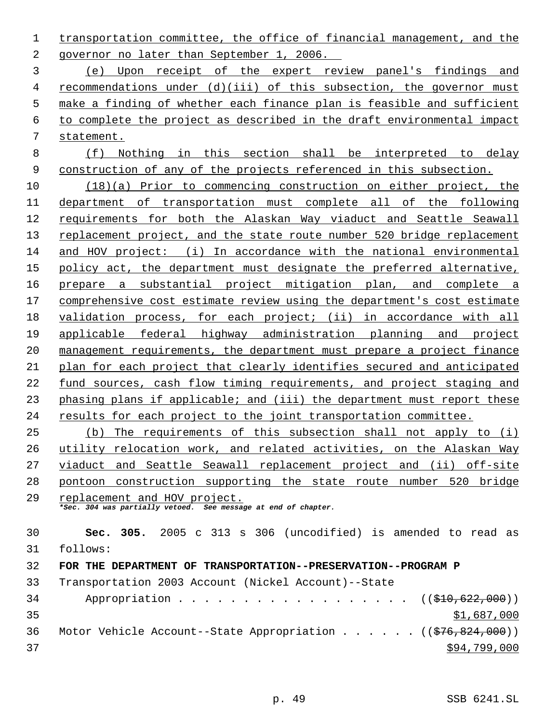transportation committee, the office of financial management, and the governor no later than September 1, 2006.

 (e) Upon receipt of the expert review panel's findings and recommendations under (d)(iii) of this subsection, the governor must make a finding of whether each finance plan is feasible and sufficient to complete the project as described in the draft environmental impact statement.

 (f) Nothing in this section shall be interpreted to delay construction of any of the projects referenced in this subsection.

 (18)(a) Prior to commencing construction on either project, the department of transportation must complete all of the following requirements for both the Alaskan Way viaduct and Seattle Seawall replacement project, and the state route number 520 bridge replacement and HOV project: (i) In accordance with the national environmental policy act, the department must designate the preferred alternative, prepare a substantial project mitigation plan, and complete a comprehensive cost estimate review using the department's cost estimate validation process, for each project; (ii) in accordance with all applicable federal highway administration planning and project management requirements, the department must prepare a project finance plan for each project that clearly identifies secured and anticipated fund sources, cash flow timing requirements, and project staging and phasing plans if applicable; and (iii) the department must report these results for each project to the joint transportation committee.

 (b) The requirements of this subsection shall not apply to (i) utility relocation work, and related activities, on the Alaskan Way viaduct and Seattle Seawall replacement project and (ii) off-site pontoon construction supporting the state route number 520 bridge

 replacement and HOV project. *\*Sec. 304 was partially vetoed. See message at end of chapter.*

 **Sec. 305.** 2005 c 313 s 306 (uncodified) is amended to read as follows: **FOR THE DEPARTMENT OF TRANSPORTATION--PRESERVATION--PROGRAM P**  Transportation 2003 Account (Nickel Account)--State 34 Appropriation . . . . . . . . . . . . . . . . ((\$10,622,000)) \$1,687,000 36 Motor Vehicle Account--State Appropriation . . . . . ((\$76,824,000))

 $394,799,000$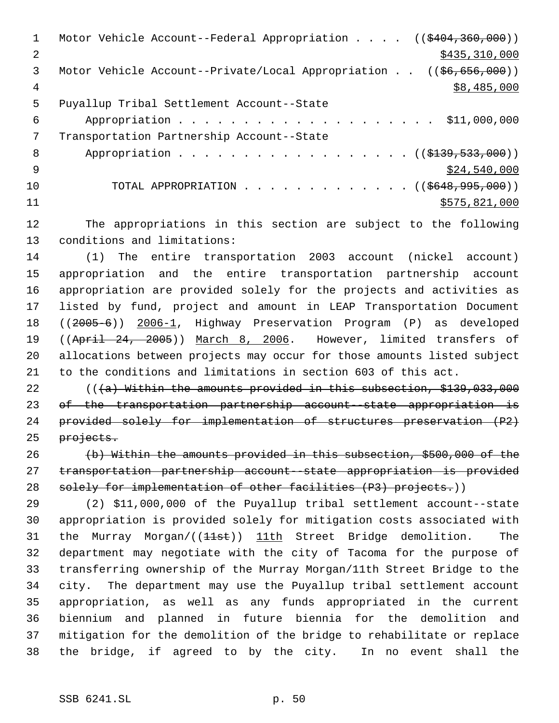1 Motor Vehicle Account--Federal Appropriation . . . . ((\$404,360,000)) 2 \$435,310,000 \$435,310,000 Motor Vehicle Account--Private/Local Appropriation . . ((\$6,656,000)) \$8,485,000 Puyallup Tribal Settlement Account--State Appropriation . . . . . . . . . . . . . . . . . . . . \$11,000,000 Transportation Partnership Account--State 8 Appropriation . . . . . . . . . . . . . . . . . (  $(\frac{2139}{139}, \frac{533}{1000})$  )  $\frac{$24,540,000}{ }$ 10 TOTAL APPROPRIATION . . . . . . . . . . . . . ((\$648,995,000)) \$575,821,000

 The appropriations in this section are subject to the following conditions and limitations:

 (1) The entire transportation 2003 account (nickel account) appropriation and the entire transportation partnership account appropriation are provided solely for the projects and activities as listed by fund, project and amount in LEAP Transportation Document ((2005-6)) 2006-1, Highway Preservation Program (P) as developed 19 ((April 24, 2005)) March 8, 2006. However, limited transfers of allocations between projects may occur for those amounts listed subject to the conditions and limitations in section 603 of this act.

22 (((a) Within the amounts provided in this subsection, \$139,033,000 23 of the transportation partnership account-state appropriation is provided solely for implementation of structures preservation (P2) 25 projects.

 (b) Within the amounts provided in this subsection, \$500,000 of the 27 transportation partnership account state appropriation is provided 28 solely for implementation of other facilities (P3) projects.))

 (2) \$11,000,000 of the Puyallup tribal settlement account--state appropriation is provided solely for mitigation costs associated with 31 the Murray Morgan/((11st)) 11th Street Bridge demolition. The department may negotiate with the city of Tacoma for the purpose of transferring ownership of the Murray Morgan/11th Street Bridge to the city. The department may use the Puyallup tribal settlement account appropriation, as well as any funds appropriated in the current biennium and planned in future biennia for the demolition and mitigation for the demolition of the bridge to rehabilitate or replace the bridge, if agreed to by the city. In no event shall the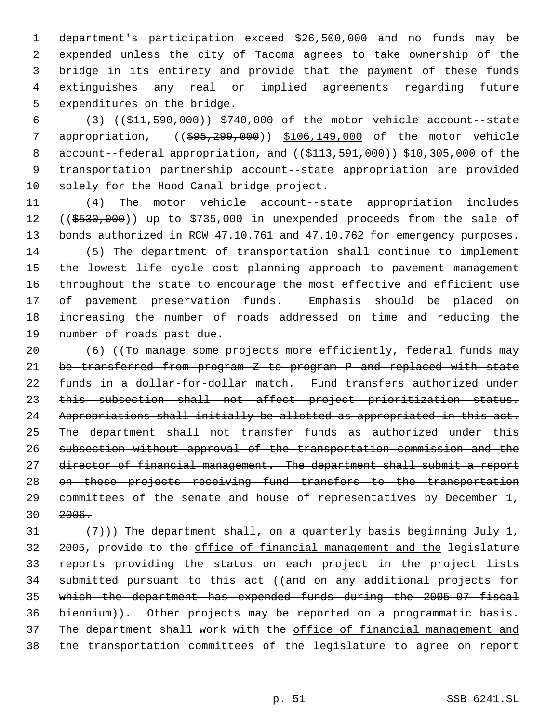department's participation exceed \$26,500,000 and no funds may be expended unless the city of Tacoma agrees to take ownership of the bridge in its entirety and provide that the payment of these funds extinguishes any real or implied agreements regarding future expenditures on the bridge.

 (3) ((\$11,590,000)) \$740,000 of the motor vehicle account--state 7 appropriation, ((\$95,299,000)) \$106,149,000 of the motor vehicle 8 account--federal appropriation, and ((\$113,591,000)) \$10,305,000 of the transportation partnership account--state appropriation are provided solely for the Hood Canal bridge project.

 (4) The motor vehicle account--state appropriation includes 12 ((\$530,000)) up to \$735,000 in unexpended proceeds from the sale of bonds authorized in RCW 47.10.761 and 47.10.762 for emergency purposes. (5) The department of transportation shall continue to implement the lowest life cycle cost planning approach to pavement management throughout the state to encourage the most effective and efficient use of pavement preservation funds. Emphasis should be placed on increasing the number of roads addressed on time and reducing the number of roads past due.

20 (6) ((To manage some projects more efficiently, federal funds may be transferred from program Z to program P and replaced with state funds in a dollar-for-dollar match. Fund transfers authorized under this subsection shall not affect project prioritization status. Appropriations shall initially be allotted as appropriated in this act. The department shall not transfer funds as authorized under this subsection without approval of the transportation commission and the 27 director of financial management. The department shall submit a report on those projects receiving fund transfers to the transportation 29 committees of the senate and house of representatives by December 1, 2006.

 $(7)$ )) The department shall, on a quarterly basis beginning July 1, 2005, provide to the office of financial management and the legislature reports providing the status on each project in the project lists 34 submitted pursuant to this act ((and on any additional projects for which the department has expended funds during the 2005-07 fiscal biennium)). Other projects may be reported on a programmatic basis. 37 The department shall work with the office of financial management and 38 the transportation committees of the legislature to agree on report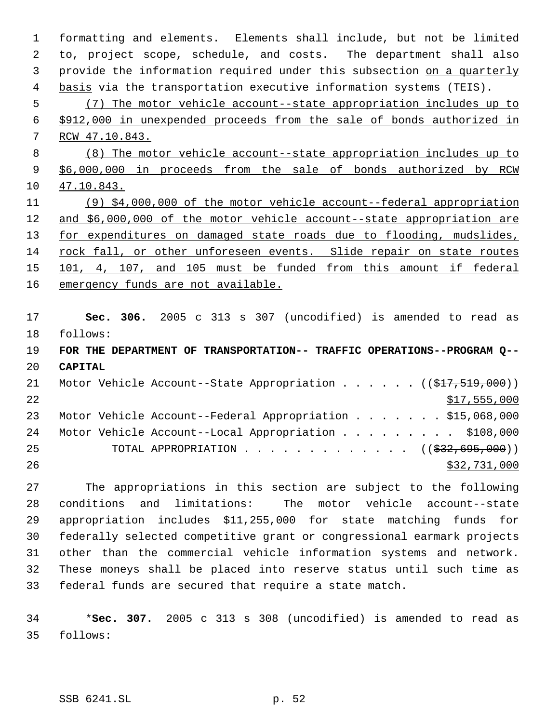formatting and elements. Elements shall include, but not be limited to, project scope, schedule, and costs. The department shall also 3 provide the information required under this subsection on a quarterly 4 basis via the transportation executive information systems (TEIS). (7) The motor vehicle account--state appropriation includes up to \$912,000 in unexpended proceeds from the sale of bonds authorized in RCW 47.10.843. (8) The motor vehicle account--state appropriation includes up to \$6,000,000 in proceeds from the sale of bonds authorized by RCW 47.10.843. (9) \$4,000,000 of the motor vehicle account--federal appropriation and \$6,000,000 of the motor vehicle account--state appropriation are 13 for expenditures on damaged state roads due to flooding, mudslides, rock fall, or other unforeseen events. Slide repair on state routes 101, 4, 107, and 105 must be funded from this amount if federal 16 emergency funds are not available. **Sec. 306.** 2005 c 313 s 307 (uncodified) is amended to read as follows: **FOR THE DEPARTMENT OF TRANSPORTATION-- TRAFFIC OPERATIONS--PROGRAM Q-- CAPITAL** 21 Motor Vehicle Account--State Appropriation . . . . . ((\$17,519,000))  $517,555,000$ 23 Motor Vehicle Account--Federal Appropriation . . . . . . \$15,068,000 24 Motor Vehicle Account--Local Appropriation . . . . . . . . \$108,000 25 TOTAL APPROPRIATION . . . . . . . . . . . . ((\$32,695,000))  $\frac{$32,731,000}{20}$  The appropriations in this section are subject to the following conditions and limitations: The motor vehicle account--state appropriation includes \$11,255,000 for state matching funds for federally selected competitive grant or congressional earmark projects other than the commercial vehicle information systems and network. These moneys shall be placed into reserve status until such time as

 \***Sec. 307.** 2005 c 313 s 308 (uncodified) is amended to read as follows:

federal funds are secured that require a state match.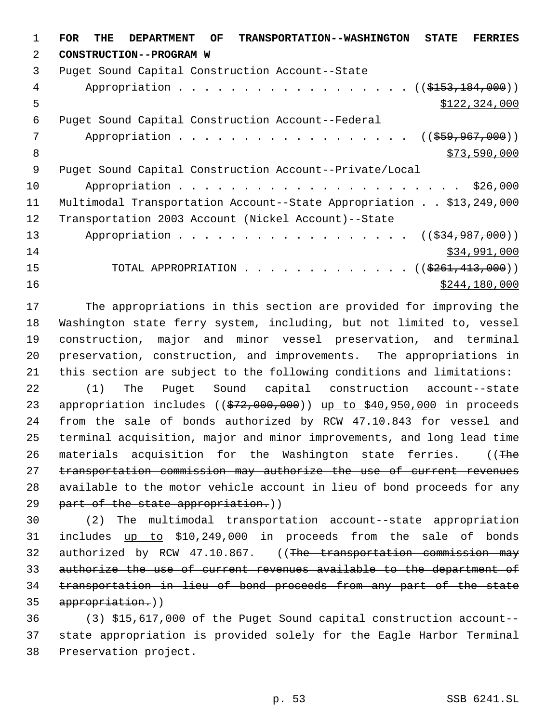**FOR THE DEPARTMENT OF TRANSPORTATION--WASHINGTON STATE FERRIES CONSTRUCTION--PROGRAM W** Puget Sound Capital Construction Account--State 4 Appropriation . . . . . . . . . . . . . . . . (  $(\frac{153}{153}, \frac{184}{100})$  )  $5 - 5$   $5 - 22,324,000$  Puget Sound Capital Construction Account--Federal 7 Appropriation . . . . . . . . . . . . . . . . . ((\$59,967,000))  $8 \times 73,590,000$  Puget Sound Capital Construction Account--Private/Local Appropriation . . . . . . . . . . . . . . . . . . . . . . \$26,000 Multimodal Transportation Account--State Appropriation . . \$13,249,000 Transportation 2003 Account (Nickel Account)--State 13 Appropriation . . . . . . . . . . . . . . . . . ((\$34,987,000)) \$34,991,000 15 TOTAL APPROPRIATION . . . . . . . . . . . . ((\$261,413,000)) \$244,180,000

 The appropriations in this section are provided for improving the Washington state ferry system, including, but not limited to, vessel construction, major and minor vessel preservation, and terminal preservation, construction, and improvements. The appropriations in this section are subject to the following conditions and limitations:

 (1) The Puget Sound capital construction account--state 23 appropriation includes ((\$72,000,000)) up to \$40,950,000 in proceeds from the sale of bonds authorized by RCW 47.10.843 for vessel and terminal acquisition, major and minor improvements, and long lead time 26 materials acquisition for the Washington state ferries. ((The transportation commission may authorize the use of current revenues available to the motor vehicle account in lieu of bond proceeds for any 29 part of the state appropriation.))

 (2) The multimodal transportation account--state appropriation 31 includes up to \$10,249,000 in proceeds from the sale of bonds 32 authorized by RCW 47.10.867. ((The transportation commission may authorize the use of current revenues available to the department of transportation in lieu of bond proceeds from any part of the state appropriation.))

 (3) \$15,617,000 of the Puget Sound capital construction account-- state appropriation is provided solely for the Eagle Harbor Terminal Preservation project.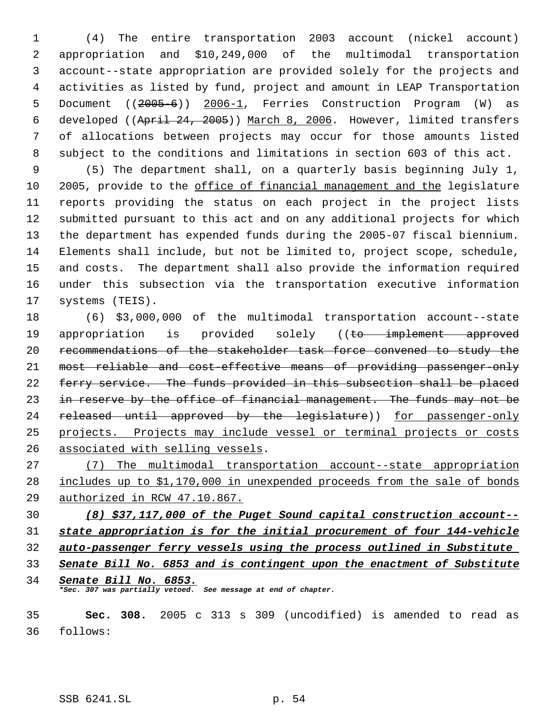(4) The entire transportation 2003 account (nickel account) appropriation and \$10,249,000 of the multimodal transportation account--state appropriation are provided solely for the projects and activities as listed by fund, project and amount in LEAP Transportation Document ((2005-6)) 2006-1, Ferries Construction Program (W) as developed ((April 24, 2005)) March 8, 2006. However, limited transfers of allocations between projects may occur for those amounts listed subject to the conditions and limitations in section 603 of this act.

 (5) The department shall, on a quarterly basis beginning July 1, 2005, provide to the office of financial management and the legislature reports providing the status on each project in the project lists submitted pursuant to this act and on any additional projects for which the department has expended funds during the 2005-07 fiscal biennium. Elements shall include, but not be limited to, project scope, schedule, and costs. The department shall also provide the information required under this subsection via the transportation executive information systems (TEIS).

 (6) \$3,000,000 of the multimodal transportation account--state 19 appropriation is provided solely ((to implement approved 20 recommendations of the stakeholder task force convened to study the most reliable and cost-effective means of providing passenger-only ferry service. The funds provided in this subsection shall be placed 23 in reserve by the office of financial management. The funds may not be 24 released until approved by the legislature)) for passenger-only projects. Projects may include vessel or terminal projects or costs associated with selling vessels.

 (7) The multimodal transportation account--state appropriation includes up to \$1,170,000 in unexpended proceeds from the sale of bonds authorized in RCW 47.10.867.

 *(8) \$37,117,000 of the Puget Sound capital construction account-- state appropriation is for the initial procurement of four 144-vehicle auto-passenger ferry vessels using the process outlined in Substitute* 

*Senate Bill No. 6853 and is contingent upon the enactment of Substitute*

 *Senate Bill No. 6853. \*Sec. 307 was partially vetoed. See message at end of chapter.*

 **Sec. 308.** 2005 c 313 s 309 (uncodified) is amended to read as follows: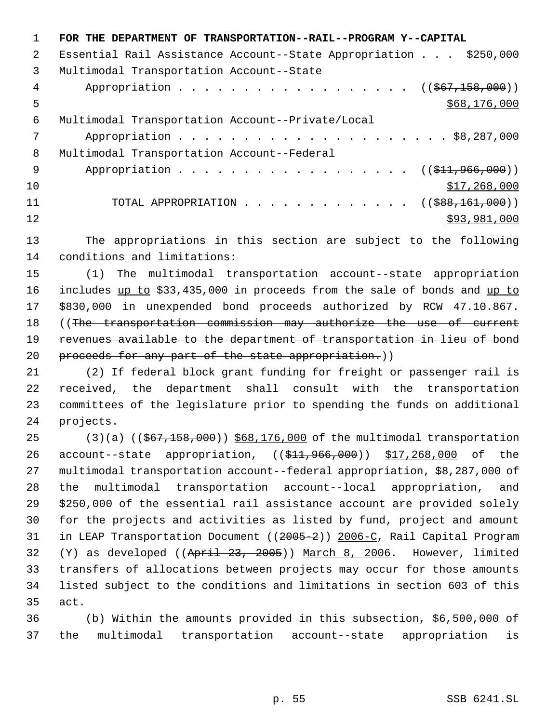|               | FOR THE DEPARTMENT OF TRANSPORTATION--RAIL--PROGRAM Y--CAPITAL   |
|---------------|------------------------------------------------------------------|
| $\mathcal{L}$ | Essential Rail Assistance Account--State Appropriation \$250,000 |
| 3             | Multimodal Transportation Account--State                         |
| 4             | Appropriation ( $(\frac{1}{567}, \frac{158}{190})$ )             |
| 5             | \$68,176,000                                                     |
| 6             | Multimodal Transportation Account--Private/Local                 |
| 7             |                                                                  |
| 8             | Multimodal Transportation Account--Federal                       |
| 9             | Appropriation ( $(\frac{11.966}{000})$ )                         |
| 10            | \$17,268,000                                                     |
| 11            |                                                                  |
| 12            | \$93,981,000                                                     |
|               |                                                                  |

 The appropriations in this section are subject to the following conditions and limitations:

 (1) The multimodal transportation account--state appropriation 16 includes up to \$33,435,000 in proceeds from the sale of bonds and up to \$830,000 in unexpended bond proceeds authorized by RCW 47.10.867. ((The transportation commission may authorize the use of current 19 revenues available to the department of transportation in lieu of bond 20 proceeds for any part of the state appropriation.))

 (2) If federal block grant funding for freight or passenger rail is received, the department shall consult with the transportation committees of the legislature prior to spending the funds on additional projects.

25 (3)(a) ((\$67,158,000)) \$68,176,000 of the multimodal transportation 26 account--state appropriation, ((\$11,966,000)) \$17,268,000 of the multimodal transportation account--federal appropriation, \$8,287,000 of the multimodal transportation account--local appropriation, and \$250,000 of the essential rail assistance account are provided solely for the projects and activities as listed by fund, project and amount 31 in LEAP Transportation Document ((2005-2)) 2006-C, Rail Capital Program (Y) as developed ((April 23, 2005)) March 8, 2006. However, limited transfers of allocations between projects may occur for those amounts listed subject to the conditions and limitations in section 603 of this act.

 (b) Within the amounts provided in this subsection, \$6,500,000 of the multimodal transportation account--state appropriation is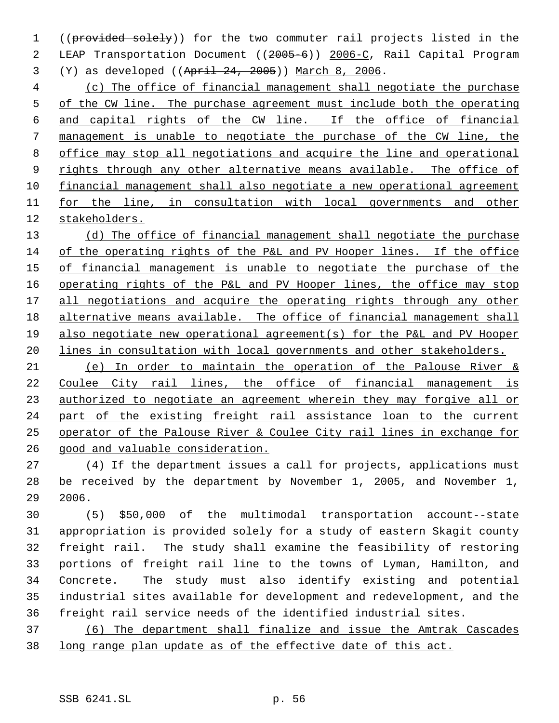1 ((provided solely)) for the two commuter rail projects listed in the LEAP Transportation Document ((2005-6)) 2006-C, Rail Capital Program (Y) as developed ((April 24, 2005)) March 8, 2006.

 (c) The office of financial management shall negotiate the purchase 5 of the CW line. The purchase agreement must include both the operating and capital rights of the CW line. If the office of financial management is unable to negotiate the purchase of the CW line, the office may stop all negotiations and acquire the line and operational 9 rights through any other alternative means available. The office of financial management shall also negotiate a new operational agreement 11 for the line, in consultation with local governments and other stakeholders.

13 (d) The office of financial management shall negotiate the purchase of the operating rights of the P&L and PV Hooper lines. If the office 15 of financial management is unable to negotiate the purchase of the operating rights of the P&L and PV Hooper lines, the office may stop 17 all negotiations and acquire the operating rights through any other alternative means available. The office of financial management shall also negotiate new operational agreement(s) for the P&L and PV Hooper lines in consultation with local governments and other stakeholders.

 (e) In order to maintain the operation of the Palouse River & Coulee City rail lines, the office of financial management is 23 authorized to negotiate an agreement wherein they may forgive all or part of the existing freight rail assistance loan to the current operator of the Palouse River & Coulee City rail lines in exchange for good and valuable consideration.

 (4) If the department issues a call for projects, applications must be received by the department by November 1, 2005, and November 1, 2006.

 (5) \$50,000 of the multimodal transportation account--state appropriation is provided solely for a study of eastern Skagit county freight rail. The study shall examine the feasibility of restoring portions of freight rail line to the towns of Lyman, Hamilton, and Concrete. The study must also identify existing and potential industrial sites available for development and redevelopment, and the freight rail service needs of the identified industrial sites.

 (6) The department shall finalize and issue the Amtrak Cascades long range plan update as of the effective date of this act.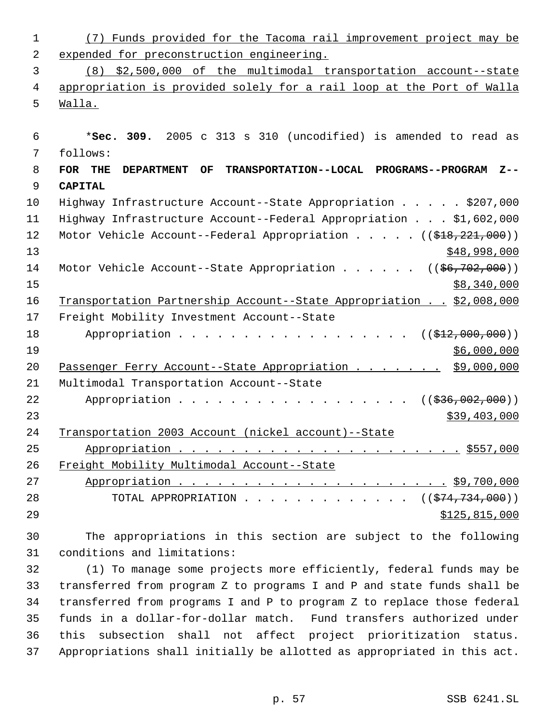(7) Funds provided for the Tacoma rail improvement project may be expended for preconstruction engineering. (8) \$2,500,000 of the multimodal transportation account--state appropriation is provided solely for a rail loop at the Port of Walla Walla. \***Sec. 309.** 2005 c 313 s 310 (uncodified) is amended to read as follows: **FOR THE DEPARTMENT OF TRANSPORTATION--LOCAL PROGRAMS--PROGRAM Z-- CAPITAL** Highway Infrastructure Account--State Appropriation . . . . . \$207,000 Highway Infrastructure Account--Federal Appropriation . . . \$1,602,000 12 Motor Vehicle Account--Federal Appropriation . . . . . ((\$18,221,000)) \$48,998,000 14 Motor Vehicle Account--State Appropriation . . . . . ((\$6,702,000)) \$8,340,000 16 Transportation Partnership Account--State Appropriation . . \$2,008,000 Freight Mobility Investment Account--State 18 Appropriation . . . . . . . . . . . . . . . . ((\$12,000,000)) \$6,000,000 Passenger Ferry Account--State Appropriation . . . . . . . \$9,000,000 Multimodal Transportation Account--State 22 Appropriation . . . . . . . . . . . . . . . . ((\$36,002,000))

 \$39,403,000 Transportation 2003 Account (nickel account)--State

 Appropriation . . . . . . . . . . . . . . . . . . . . . . \$557,000 Freight Mobility Multimodal Account--State Appropriation . . . . . . . . . . . . . . . . . . . . . \$9,700,000 28 TOTAL APPROPRIATION . . . . . . . . . . . . . ((\$74,734,000))

\$125,815,000

 The appropriations in this section are subject to the following conditions and limitations:

 (1) To manage some projects more efficiently, federal funds may be transferred from program Z to programs I and P and state funds shall be transferred from programs I and P to program Z to replace those federal funds in a dollar-for-dollar match. Fund transfers authorized under this subsection shall not affect project prioritization status. Appropriations shall initially be allotted as appropriated in this act.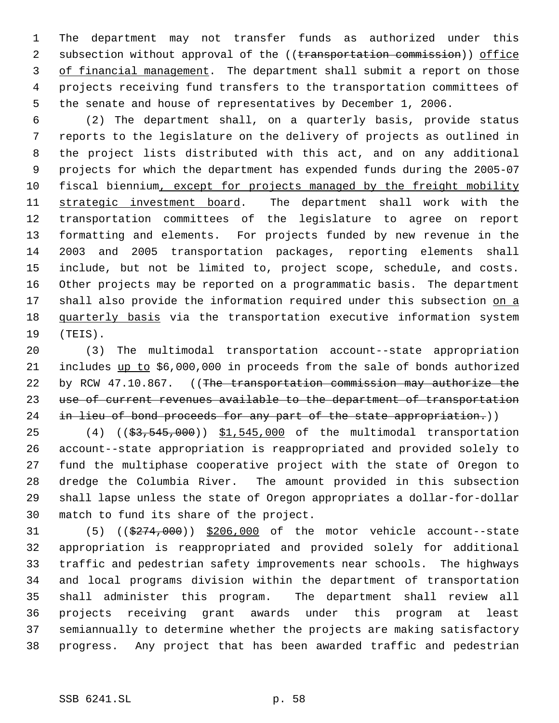The department may not transfer funds as authorized under this 2 subsection without approval of the ((transportation commission)) office of financial management. The department shall submit a report on those projects receiving fund transfers to the transportation committees of the senate and house of representatives by December 1, 2006.

 (2) The department shall, on a quarterly basis, provide status reports to the legislature on the delivery of projects as outlined in the project lists distributed with this act, and on any additional projects for which the department has expended funds during the 2005-07 10 fiscal biennium, except for projects managed by the freight mobility 11 strategic investment board. The department shall work with the transportation committees of the legislature to agree on report formatting and elements. For projects funded by new revenue in the 2003 and 2005 transportation packages, reporting elements shall include, but not be limited to, project scope, schedule, and costs. Other projects may be reported on a programmatic basis. The department 17 shall also provide the information required under this subsection on a 18 quarterly basis via the transportation executive information system (TEIS).

 (3) The multimodal transportation account--state appropriation 21 includes up to \$6,000,000 in proceeds from the sale of bonds authorized 22 by RCW 47.10.867. ((The transportation commission may authorize the 23 use of current revenues available to the department of transportation 24 in lieu of bond proceeds for any part of the state appropriation.))

25 (4) ((\$3,545,000)) \$1,545,000 of the multimodal transportation account--state appropriation is reappropriated and provided solely to fund the multiphase cooperative project with the state of Oregon to dredge the Columbia River. The amount provided in this subsection shall lapse unless the state of Oregon appropriates a dollar-for-dollar match to fund its share of the project.

 $(5)$   $((\frac{274}{000})$   $\frac{2206}{000}$  of the motor vehicle account--state appropriation is reappropriated and provided solely for additional traffic and pedestrian safety improvements near schools. The highways and local programs division within the department of transportation shall administer this program. The department shall review all projects receiving grant awards under this program at least semiannually to determine whether the projects are making satisfactory progress. Any project that has been awarded traffic and pedestrian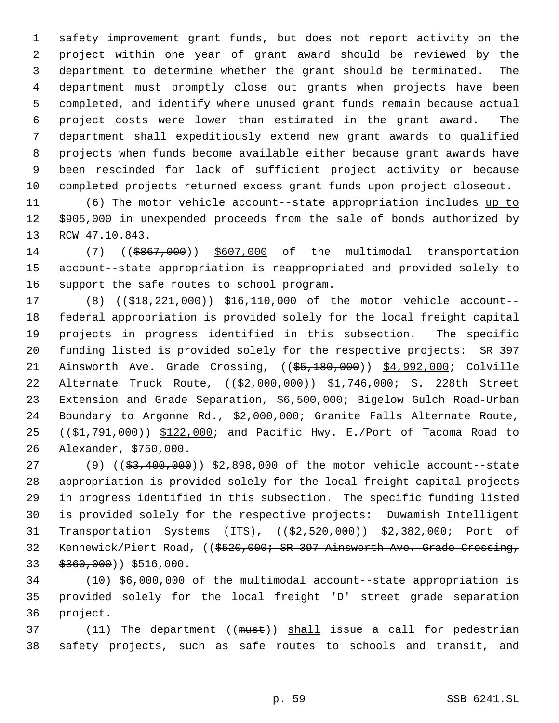safety improvement grant funds, but does not report activity on the project within one year of grant award should be reviewed by the department to determine whether the grant should be terminated. The department must promptly close out grants when projects have been completed, and identify where unused grant funds remain because actual project costs were lower than estimated in the grant award. The department shall expeditiously extend new grant awards to qualified projects when funds become available either because grant awards have been rescinded for lack of sufficient project activity or because completed projects returned excess grant funds upon project closeout.

 (6) The motor vehicle account--state appropriation includes up to \$905,000 in unexpended proceeds from the sale of bonds authorized by RCW 47.10.843.

14 (7) ((\$867,000)) \$607,000 of the multimodal transportation account--state appropriation is reappropriated and provided solely to support the safe routes to school program.

17 (8) ((\$18,221,000)) \$16,110,000 of the motor vehicle account-- federal appropriation is provided solely for the local freight capital projects in progress identified in this subsection. The specific funding listed is provided solely for the respective projects: SR 397 21 Ainsworth Ave. Grade Crossing, ((\$5,180,000)) \$4,992,000; Colville 22 Alternate Truck Route, ((\$2,000,000)) \$1,746,000; S. 228th Street Extension and Grade Separation, \$6,500,000; Bigelow Gulch Road-Urban Boundary to Argonne Rd., \$2,000,000; Granite Falls Alternate Route, 25 ( $(\frac{1}{2}, 791, 000)$ )  $\frac{122,000}{1}$  and Pacific Hwy. E./Port of Tacoma Road to Alexander, \$750,000.

27 (9) ((\$3,400,000)) \$2,898,000 of the motor vehicle account--state appropriation is provided solely for the local freight capital projects in progress identified in this subsection. The specific funding listed is provided solely for the respective projects: Duwamish Intelligent 31 Transportation Systems (ITS), (( $\frac{2}{2}$ , 520,000)) \$2,382,000; Port of 32 Kennewick/Piert Road, ((\$520,000; SR 397 Ainsworth Ave. Grade Crossing, \$360,000)) \$516,000.

 (10) \$6,000,000 of the multimodal account--state appropriation is provided solely for the local freight 'D' street grade separation project.

37 (11) The department ((must)) shall issue a call for pedestrian safety projects, such as safe routes to schools and transit, and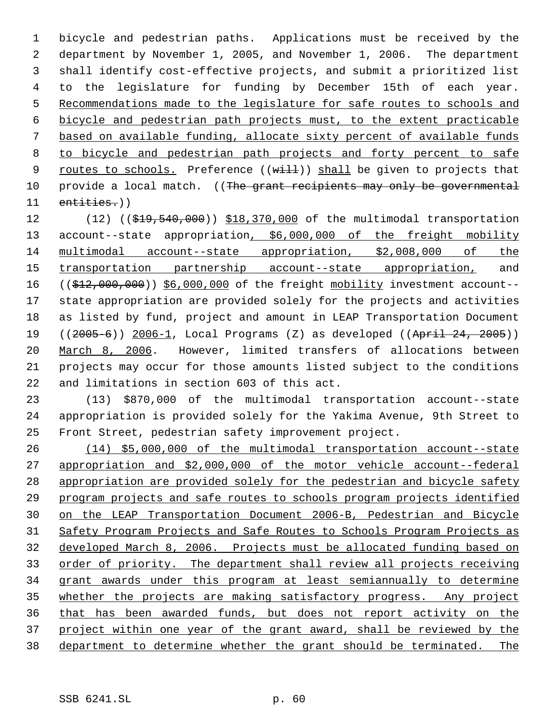bicycle and pedestrian paths. Applications must be received by the department by November 1, 2005, and November 1, 2006. The department shall identify cost-effective projects, and submit a prioritized list to the legislature for funding by December 15th of each year. 5 Recommendations made to the legislature for safe routes to schools and bicycle and pedestrian path projects must, to the extent practicable based on available funding, allocate sixty percent of available funds to bicycle and pedestrian path projects and forty percent to safe 9 routes to schools. Preference  $((with 1)$  shall be given to projects that 10 provide a local match. ((The grant recipients may only be governmental entities.))

12 (12) ((\$19,540,000)) \$18,370,000 of the multimodal transportation 13 account--state appropriation, \$6,000,000 of the freight mobility multimodal account--state appropriation, \$2,008,000 of the 15 transportation partnership account--state appropriation, and 16 ((\$12,000,000)) \$6,000,000 of the freight mobility investment account-- state appropriation are provided solely for the projects and activities as listed by fund, project and amount in LEAP Transportation Document 19 ((2005-6)) 2006-1, Local Programs (Z) as developed ((April 24, 2005)) March 8, 2006. However, limited transfers of allocations between projects may occur for those amounts listed subject to the conditions and limitations in section 603 of this act.

 (13) \$870,000 of the multimodal transportation account--state appropriation is provided solely for the Yakima Avenue, 9th Street to Front Street, pedestrian safety improvement project.

 (14) \$5,000,000 of the multimodal transportation account--state appropriation and \$2,000,000 of the motor vehicle account--federal appropriation are provided solely for the pedestrian and bicycle safety program projects and safe routes to schools program projects identified on the LEAP Transportation Document 2006-B, Pedestrian and Bicycle Safety Program Projects and Safe Routes to Schools Program Projects as developed March 8, 2006. Projects must be allocated funding based on 33 order of priority. The department shall review all projects receiving grant awards under this program at least semiannually to determine 35 whether the projects are making satisfactory progress. Any project that has been awarded funds, but does not report activity on the project within one year of the grant award, shall be reviewed by the department to determine whether the grant should be terminated. The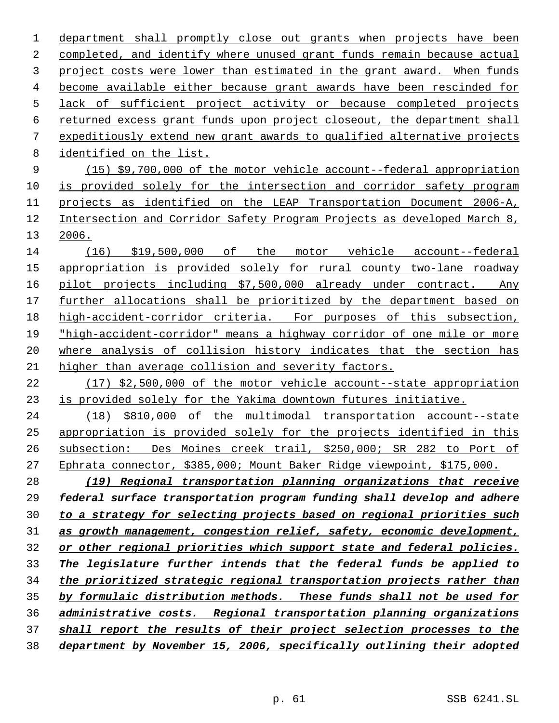department shall promptly close out grants when projects have been completed, and identify where unused grant funds remain because actual project costs were lower than estimated in the grant award. When funds become available either because grant awards have been rescinded for lack of sufficient project activity or because completed projects returned excess grant funds upon project closeout, the department shall expeditiously extend new grant awards to qualified alternative projects identified on the list.

 (15) \$9,700,000 of the motor vehicle account--federal appropriation is provided solely for the intersection and corridor safety program projects as identified on the LEAP Transportation Document 2006-A, Intersection and Corridor Safety Program Projects as developed March 8, 2006.

 (16) \$19,500,000 of the motor vehicle account--federal appropriation is provided solely for rural county two-lane roadway pilot projects including \$7,500,000 already under contract. Any further allocations shall be prioritized by the department based on high-accident-corridor criteria. For purposes of this subsection, "high-accident-corridor" means a highway corridor of one mile or more where analysis of collision history indicates that the section has higher than average collision and severity factors.

 (17) \$2,500,000 of the motor vehicle account--state appropriation is provided solely for the Yakima downtown futures initiative.

 (18) \$810,000 of the multimodal transportation account--state appropriation is provided solely for the projects identified in this subsection: Des Moines creek trail, \$250,000; SR 282 to Port of Ephrata connector, \$385,000; Mount Baker Ridge viewpoint, \$175,000.

 *(19) Regional transportation planning organizations that receive federal surface transportation program funding shall develop and adhere to a strategy for selecting projects based on regional priorities such as growth management, congestion relief, safety, economic development, or other regional priorities which support state and federal policies. The legislature further intends that the federal funds be applied to the prioritized strategic regional transportation projects rather than by formulaic distribution methods. These funds shall not be used for administrative costs. Regional transportation planning organizations shall report the results of their project selection processes to the department by November 15, 2006, specifically outlining their adopted*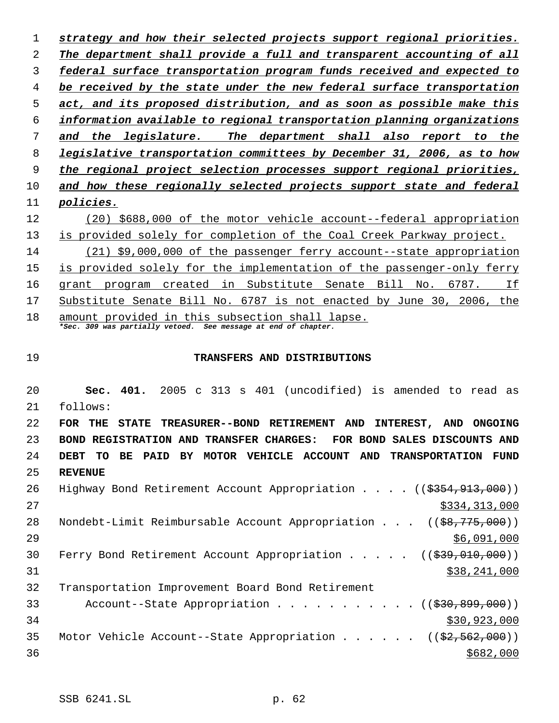*strategy and how their selected projects support regional priorities. The department shall provide a full and transparent accounting of all federal surface transportation program funds received and expected to be received by the state under the new federal surface transportation act, and its proposed distribution, and as soon as possible make this information available to regional transportation planning organizations and the legislature. The department shall also report to the legislative transportation committees by December 31, 2006, as to how the regional project selection processes support regional priorities, and how these regionally selected projects support state and federal policies.* (20) \$688,000 of the motor vehicle account--federal appropriation is provided solely for completion of the Coal Creek Parkway project. (21) \$9,000,000 of the passenger ferry account--state appropriation is provided solely for the implementation of the passenger-only ferry 16 grant program created in Substitute Senate Bill No. 6787. If Substitute Senate Bill No. 6787 is not enacted by June 30, 2006, the 18 amount provided in this subsection shall lapse. *\*Sec. 309 was partially vetoed. See message at end of chapter.* **TRANSFERS AND DISTRIBUTIONS Sec. 401.** 2005 c 313 s 401 (uncodified) is amended to read as follows: **FOR THE STATE TREASURER--BOND RETIREMENT AND INTEREST, AND ONGOING BOND REGISTRATION AND TRANSFER CHARGES: FOR BOND SALES DISCOUNTS AND**

 **DEBT TO BE PAID BY MOTOR VEHICLE ACCOUNT AND TRANSPORTATION FUND REVENUE** Highway Bond Retirement Account Appropriation . . . . ((\$354,913,000))

| ∠ ໐ | HIGHWAY BONQ RELITEMENT ACCOUNT APPROPRIATION (( <del>\$354,913,000</del> ))      |
|-----|-----------------------------------------------------------------------------------|
| 27  | \$334,313,000                                                                     |
| 28  | Nondebt-Limit Reimbursable Account Appropriation ((\$8,775,000))                  |
| 29  | \$6,091,000                                                                       |
| 30  | Ferry Bond Retirement Account Appropriation $($ $($ $\frac{299}{10}, 010, 000) )$ |
| 31  | \$38,241,000                                                                      |
| 32  | Transportation Improvement Board Bond Retirement                                  |
| 33  | Account--State Appropriation $($ $($ $\frac{230}{1000})$                          |
| 34  | \$30,923,000                                                                      |
| 35  | Motor Vehicle Account--State Appropriation ( $(\frac{2}{2}, 562, 000)$ )          |
| 36  | \$682,000                                                                         |
|     |                                                                                   |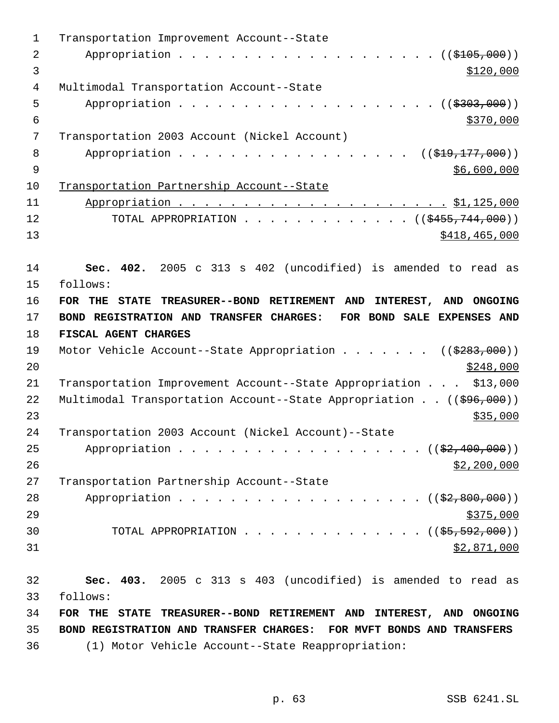| $\mathbf{1}$   | Transportation Improvement Account--State                                   |
|----------------|-----------------------------------------------------------------------------|
| $\overline{2}$ | Appropriation $($ $)$ $)$                                                   |
| 3              | \$120,000                                                                   |
| $\overline{4}$ | Multimodal Transportation Account--State                                    |
| 5              | Appropriation ( $(\frac{2303,000}{1})$ )                                    |
| $\overline{6}$ | \$370,000                                                                   |
| 7              | Transportation 2003 Account (Nickel Account)                                |
| 8              | Appropriation<br>((\$19,177,000))                                           |
| $\mathsf 9$    | \$6,600,000                                                                 |
| 10             | Transportation Partnership Account--State                                   |
| 11             |                                                                             |
| 12             | TOTAL APPROPRIATION ( $(\frac{2455}{744},000)$ )                            |
| 13             | \$418,465,000                                                               |
|                |                                                                             |
| 14             | Sec. 402. 2005 c 313 s 402 (uncodified) is amended to read as               |
| 15             | follows:                                                                    |
| 16             | FOR THE STATE TREASURER--BOND RETIREMENT AND<br>INTEREST, AND ONGOING       |
| 17             | BOND REGISTRATION AND TRANSFER CHARGES:<br>FOR BOND SALE EXPENSES AND       |
| 18             | FISCAL AGENT CHARGES                                                        |
| 19             | Motor Vehicle Account--State Appropriation ( $(\frac{2283}{100})$ )         |
| 20             | \$248,000                                                                   |
| 21             | Transportation Improvement Account--State Appropriation \$13,000            |
| 22             | Multimodal Transportation Account--State Appropriation $((\frac{696}{600})$ |
| 23             | \$35,000                                                                    |
| 24             | Transportation 2003 Account (Nickel Account)--State                         |
| 25             | Appropriation ((\$2,400,000))                                               |
| 26             | \$2,200,000                                                                 |
| 27             | Transportation Partnership Account--State                                   |
| 28             | Appropriation ((\$2,800,000))                                               |
| 29             |                                                                             |
|                | \$375,000                                                                   |
| 30             | TOTAL APPROPRIATION ( $(\frac{25}{50}, \frac{592}{600})$ )                  |
| 31             | \$2,871,000                                                                 |
| 32             | Sec. 403. 2005 c 313 s 403 (uncodified) is amended to read as               |
| 33             | follows:                                                                    |
| 34             | FOR THE STATE TREASURER--BOND RETIREMENT AND INTEREST, AND ONGOING          |
| 35             | BOND REGISTRATION AND TRANSFER CHARGES: FOR MVFT BONDS AND TRANSFERS        |
| 36             |                                                                             |
|                | (1) Motor Vehicle Account--State Reappropriation:                           |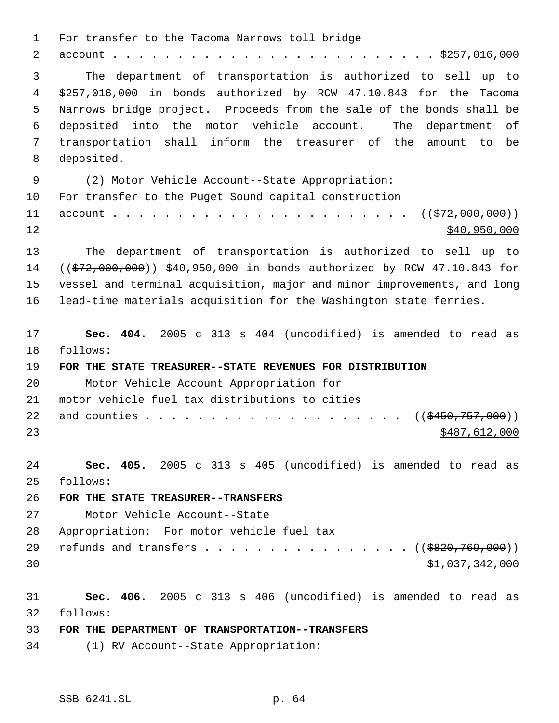For transfer to the Tacoma Narrows toll bridge account . . . . . . . . . . . . . . . . . . . . . . . . . \$257,016,000 The department of transportation is authorized to sell up to \$257,016,000 in bonds authorized by RCW 47.10.843 for the Tacoma Narrows bridge project. Proceeds from the sale of the bonds shall be deposited into the motor vehicle account. The department of transportation shall inform the treasurer of the amount to be deposited. (2) Motor Vehicle Account--State Appropriation: For transfer to the Puget Sound capital construction account . . . . . . . . . . . . . . . . . . . . . . . ((\$72,000,000))  $\frac{$40,950,000}{ }$  The department of transportation is authorized to sell up to 14 ((\$72,000,000)) \$40,950,000 in bonds authorized by RCW 47.10.843 for vessel and terminal acquisition, major and minor improvements, and long lead-time materials acquisition for the Washington state ferries. **Sec. 404.** 2005 c 313 s 404 (uncodified) is amended to read as follows: **FOR THE STATE TREASURER--STATE REVENUES FOR DISTRIBUTION** Motor Vehicle Account Appropriation for motor vehicle fuel tax distributions to cities and counties . . . . . . . . . . . . . . . . . . . . ((\$450,757,000)) \$487,612,000 **Sec. 405.** 2005 c 313 s 405 (uncodified) is amended to read as follows: **FOR THE STATE TREASURER--TRANSFERS** Motor Vehicle Account--State Appropriation: For motor vehicle fuel tax 29 refunds and transfers . . . . . . . . . . . . . . . . ((\$820,769,000))  $31,037,342,000$  **Sec. 406.** 2005 c 313 s 406 (uncodified) is amended to read as follows: **FOR THE DEPARTMENT OF TRANSPORTATION--TRANSFERS** (1) RV Account--State Appropriation: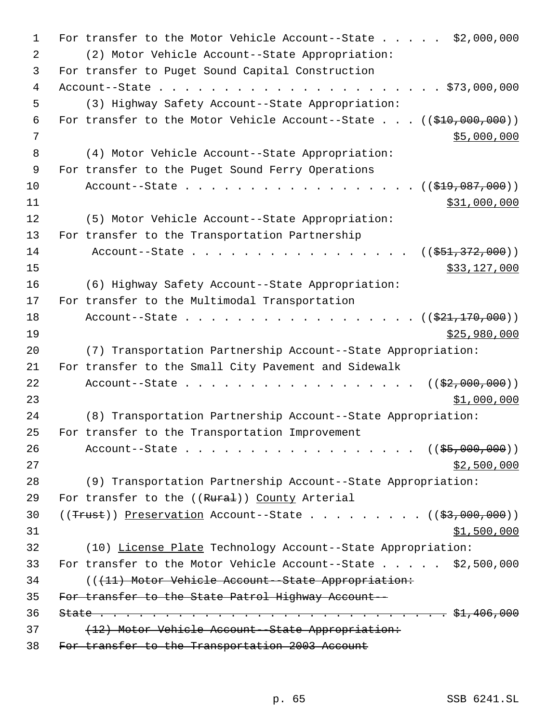For transfer to the Motor Vehicle Account--State . . . . . \$2,000,000 (2) Motor Vehicle Account--State Appropriation: For transfer to Puget Sound Capital Construction Account--State . . . . . . . . . . . . . . . . . . . . . . \$73,000,000 (3) Highway Safety Account--State Appropriation: 6 For transfer to the Motor Vehicle Account--State . . .  $((\frac{210}{100}, 000, 000))$  \$5,000,000 (4) Motor Vehicle Account--State Appropriation: For transfer to the Puget Sound Ferry Operations 10 Account--State . . . . . . . . . . . . . . . . ((<del>\$19,087,000</del>)) \$31,000,000 (5) Motor Vehicle Account--State Appropriation: For transfer to the Transportation Partnership 14 Account--State . . . . . . . . . . . . . . . . ((\$51,372,000)) \$33,127,000 (6) Highway Safety Account--State Appropriation: For transfer to the Multimodal Transportation 18 Account--State . . . . . . . . . . . . . . . . . ((\$21,170,000)) \$25,980,000 (7) Transportation Partnership Account--State Appropriation: For transfer to the Small City Pavement and Sidewalk 22 Account--State . . . . . . . . . . . . . . . .  $($   $(\frac{2}{2},000,000))$  \$1,000,000 (8) Transportation Partnership Account--State Appropriation: For transfer to the Transportation Improvement 26 Account--State . . . . . . . . . . . . . . . . . ((\$5,000,000)) \$2,500,000 (9) Transportation Partnership Account--State Appropriation: 29 For transfer to the ((Rural)) County Arterial ((Trust)) Preservation Account--State . . . . . . . . . ((\$3,000,000)) \$1,500,000 (10) License Plate Technology Account--State Appropriation: 33 For transfer to the Motor Vehicle Account--State . . . . . \$2,500,000 (((11) Motor Vehicle Account--State Appropriation: For transfer to the State Patrol Highway Account-- State . . . . . . . . . . . . . . . . . . . . . . . . . . . \$1,406,000 37 (12) Motor Vehicle Account--State Appropriation: For transfer to the Transportation 2003 Account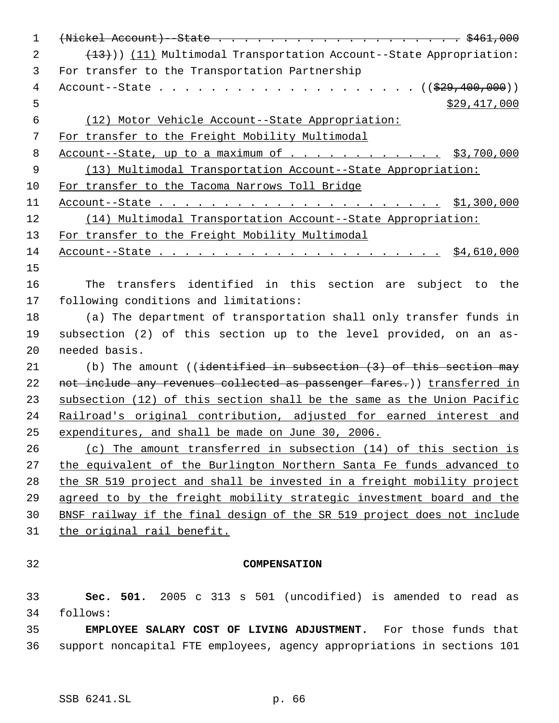| $\mathbf 1$    |                                                                                                           |
|----------------|-----------------------------------------------------------------------------------------------------------|
| 2              | $(13)$ ) (11) Multimodal Transportation Account--State Appropriation:                                     |
| 3              | For transfer to the Transportation Partnership                                                            |
| $\overline{4}$ |                                                                                                           |
| 5              | \$29,417,000                                                                                              |
| $\epsilon$     | (12) Motor Vehicle Account--State Appropriation:                                                          |
| 7              | For transfer to the Freight Mobility Multimodal                                                           |
| 8              | Account--State, up to a maximum of $\cdots$ $\cdots$ $\cdots$ $\cdots$ $\cdots$ $\frac{1}{53}$ , 700, 000 |
| 9              | (13) Multimodal Transportation Account--State Appropriation:                                              |
| 10             | For transfer to the Tacoma Narrows Toll Bridge                                                            |
| 11             |                                                                                                           |
| 12             | (14) Multimodal Transportation Account--State Appropriation:                                              |
| 13             | For transfer to the Freight Mobility Multimodal                                                           |
| 14             |                                                                                                           |
| 15             |                                                                                                           |
| 16             | The transfers identified in this section are subject to the                                               |
| 17             | following conditions and limitations:                                                                     |
| 18             | (a) The department of transportation shall only transfer funds in                                         |
| 19             | subsection (2) of this section up to the level provided, on an as-                                        |
| 20             | needed basis.                                                                                             |
| 21             | (b) The amount ((identified in subsection $(3)$ of this section may                                       |
| 22             | not include any revenues collected as passenger fares.)) transferred in                                   |
| 23             | subsection (12) of this section shall be the same as the Union Pacific                                    |
| 24             | Railroad's original contribution, adjusted for earned interest and                                        |
| 25             | expenditures, and shall be made on June 30, 2006.                                                         |
| 26             | (c) The amount transferred in subsection (14) of this section is                                          |
| 27             | the equivalent of the Burlington Northern Santa Fe funds advanced to                                      |
| 28             | the SR 519 project and shall be invested in a freight mobility project                                    |
| 29             | agreed to by the freight mobility strategic investment board and the                                      |
| 30             | BNSF railway if the final design of the SR 519 project does not include                                   |
| 31             | the original rail benefit.                                                                                |
|                |                                                                                                           |
| 32             | <b>COMPENSATION</b>                                                                                       |
| 33             | Sec. 501. 2005 c 313 s 501 (uncodified) is amended to read as                                             |
| 34             | follows:                                                                                                  |
| 35             | <b>EMPLOYEE SALARY COST OF LIVING ADJUSTMENT.</b> For those funds that                                    |
| 36             | support noncapital FTE employees, agency appropriations in sections 101                                   |
|                |                                                                                                           |
|                |                                                                                                           |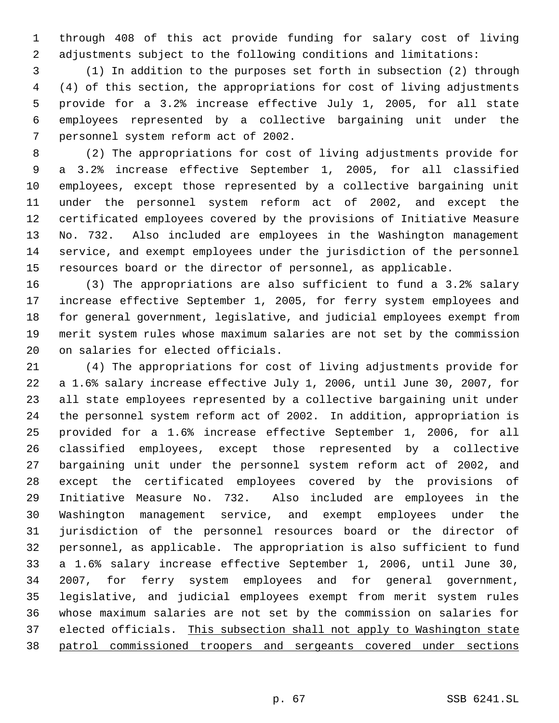through 408 of this act provide funding for salary cost of living adjustments subject to the following conditions and limitations:

 (1) In addition to the purposes set forth in subsection (2) through (4) of this section, the appropriations for cost of living adjustments provide for a 3.2% increase effective July 1, 2005, for all state employees represented by a collective bargaining unit under the personnel system reform act of 2002.

 (2) The appropriations for cost of living adjustments provide for a 3.2% increase effective September 1, 2005, for all classified employees, except those represented by a collective bargaining unit under the personnel system reform act of 2002, and except the certificated employees covered by the provisions of Initiative Measure No. 732. Also included are employees in the Washington management service, and exempt employees under the jurisdiction of the personnel resources board or the director of personnel, as applicable.

 (3) The appropriations are also sufficient to fund a 3.2% salary increase effective September 1, 2005, for ferry system employees and for general government, legislative, and judicial employees exempt from merit system rules whose maximum salaries are not set by the commission on salaries for elected officials.

 (4) The appropriations for cost of living adjustments provide for a 1.6% salary increase effective July 1, 2006, until June 30, 2007, for all state employees represented by a collective bargaining unit under the personnel system reform act of 2002. In addition, appropriation is provided for a 1.6% increase effective September 1, 2006, for all classified employees, except those represented by a collective bargaining unit under the personnel system reform act of 2002, and except the certificated employees covered by the provisions of Initiative Measure No. 732. Also included are employees in the Washington management service, and exempt employees under the jurisdiction of the personnel resources board or the director of personnel, as applicable. The appropriation is also sufficient to fund a 1.6% salary increase effective September 1, 2006, until June 30, 2007, for ferry system employees and for general government, legislative, and judicial employees exempt from merit system rules whose maximum salaries are not set by the commission on salaries for 37 elected officials. This subsection shall not apply to Washington state patrol commissioned troopers and sergeants covered under sections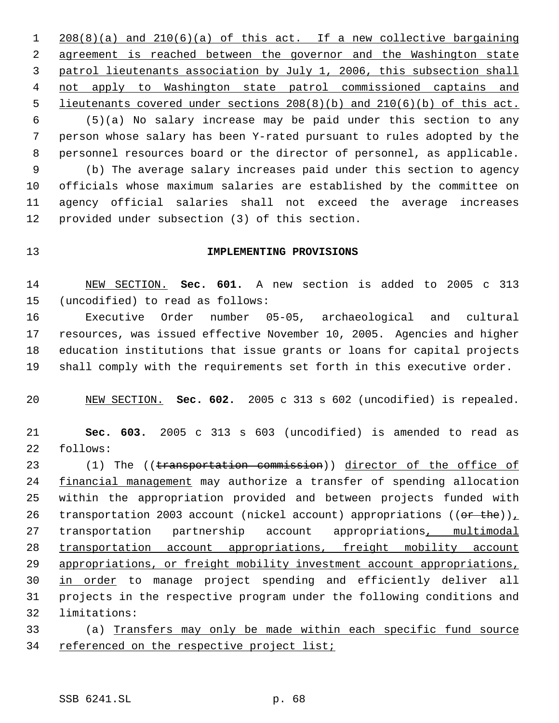208(8)(a) and 210(6)(a) of this act. If a new collective bargaining agreement is reached between the governor and the Washington state patrol lieutenants association by July 1, 2006, this subsection shall not apply to Washington state patrol commissioned captains and lieutenants covered under sections 208(8)(b) and 210(6)(b) of this act. (5)(a) No salary increase may be paid under this section to any person whose salary has been Y-rated pursuant to rules adopted by the personnel resources board or the director of personnel, as applicable. (b) The average salary increases paid under this section to agency officials whose maximum salaries are established by the committee on agency official salaries shall not exceed the average increases provided under subsection (3) of this section.

## **IMPLEMENTING PROVISIONS**

 NEW SECTION. **Sec. 601.** A new section is added to 2005 c 313 (uncodified) to read as follows:

 Executive Order number 05-05, archaeological and cultural resources, was issued effective November 10, 2005. Agencies and higher education institutions that issue grants or loans for capital projects shall comply with the requirements set forth in this executive order.

NEW SECTION. **Sec. 602.** 2005 c 313 s 602 (uncodified) is repealed.

 **Sec. 603.** 2005 c 313 s 603 (uncodified) is amended to read as follows:

23 (1) The ((transportation commission)) director of the office of 24 financial management may authorize a transfer of spending allocation within the appropriation provided and between projects funded with 26 transportation 2003 account (nickel account) appropriations (( $er$  the)) transportation partnership account appropriations, multimodal transportation account appropriations, freight mobility account appropriations, or freight mobility investment account appropriations, 30 in order to manage project spending and efficiently deliver all projects in the respective program under the following conditions and limitations:

 (a) Transfers may only be made within each specific fund source 34 referenced on the respective project list;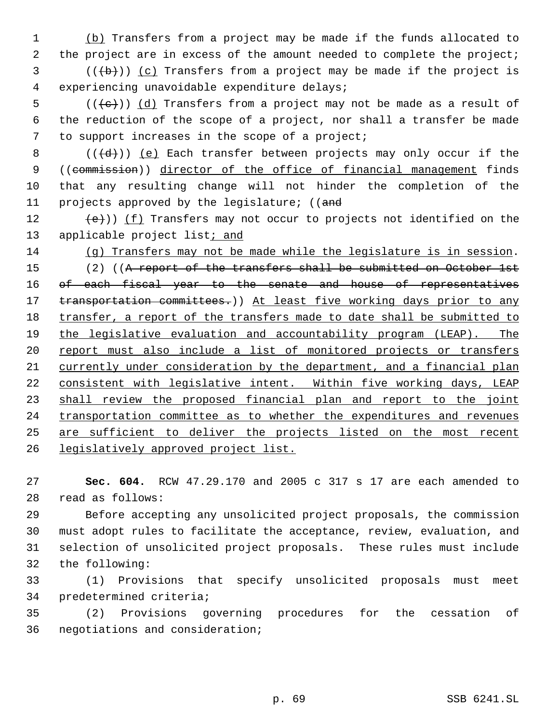(b) Transfers from a project may be made if the funds allocated to 2 the project are in excess of the amount needed to complete the project;

 (( $\left(\frac{1}{2}+\right)$ ) (c) Transfers from a project may be made if the project is experiencing unavoidable expenditure delays;

5 ( $(\langle e \rangle)$ ) (d) Transfers from a project may not be made as a result of the reduction of the scope of a project, nor shall a transfer be made to support increases in the scope of a project;

8  $((\{d\})\)$  (e) Each transfer between projects may only occur if the 9 ((commission)) director of the office of financial management finds that any resulting change will not hinder the completion of the 11 projects approved by the legislature; ((and

 $(e)$ )) (f) Transfers may not occur to projects not identified on the 13 applicable project list<sub>i</sub> and

 (g) Transfers may not be made while the legislature is in session. 15 (2) ((A report of the transfers shall be submitted on October 1st 16 of each fiscal year to the senate and house of representatives 17 transportation committees.) At least five working days prior to any 18 transfer, a report of the transfers made to date shall be submitted to the legislative evaluation and accountability program (LEAP). The 20 report must also include a list of monitored projects or transfers currently under consideration by the department, and a financial plan consistent with legislative intent. Within five working days, LEAP shall review the proposed financial plan and report to the joint 24 transportation committee as to whether the expenditures and revenues are sufficient to deliver the projects listed on the most recent legislatively approved project list.

 **Sec. 604.** RCW 47.29.170 and 2005 c 317 s 17 are each amended to read as follows:

 Before accepting any unsolicited project proposals, the commission must adopt rules to facilitate the acceptance, review, evaluation, and selection of unsolicited project proposals. These rules must include the following:

 (1) Provisions that specify unsolicited proposals must meet predetermined criteria;

 (2) Provisions governing procedures for the cessation of negotiations and consideration;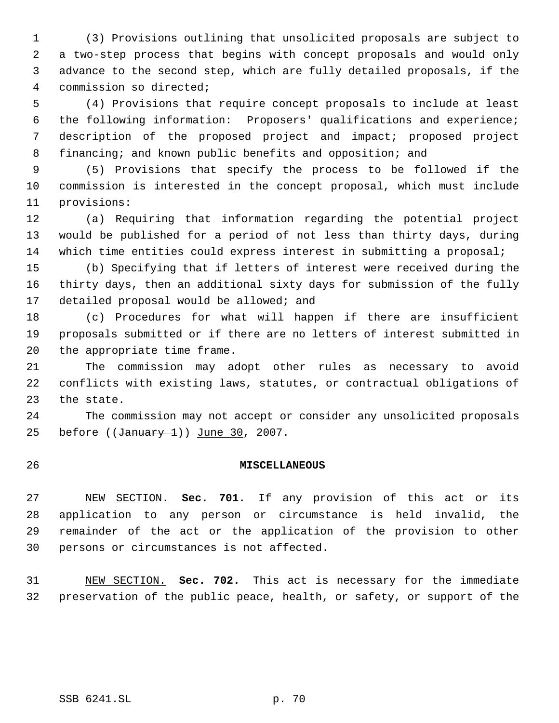(3) Provisions outlining that unsolicited proposals are subject to a two-step process that begins with concept proposals and would only advance to the second step, which are fully detailed proposals, if the commission so directed;

 (4) Provisions that require concept proposals to include at least the following information: Proposers' qualifications and experience; description of the proposed project and impact; proposed project financing; and known public benefits and opposition; and

 (5) Provisions that specify the process to be followed if the commission is interested in the concept proposal, which must include provisions:

 (a) Requiring that information regarding the potential project would be published for a period of not less than thirty days, during which time entities could express interest in submitting a proposal;

 (b) Specifying that if letters of interest were received during the thirty days, then an additional sixty days for submission of the fully 17 detailed proposal would be allowed; and

 (c) Procedures for what will happen if there are insufficient proposals submitted or if there are no letters of interest submitted in the appropriate time frame.

 The commission may adopt other rules as necessary to avoid conflicts with existing laws, statutes, or contractual obligations of the state.

 The commission may not accept or consider any unsolicited proposals 25 before  $((\text{January } 1))$  June 30, 2007.

## **MISCELLANEOUS**

 NEW SECTION. **Sec. 701.** If any provision of this act or its application to any person or circumstance is held invalid, the remainder of the act or the application of the provision to other persons or circumstances is not affected.

 NEW SECTION. **Sec. 702.** This act is necessary for the immediate preservation of the public peace, health, or safety, or support of the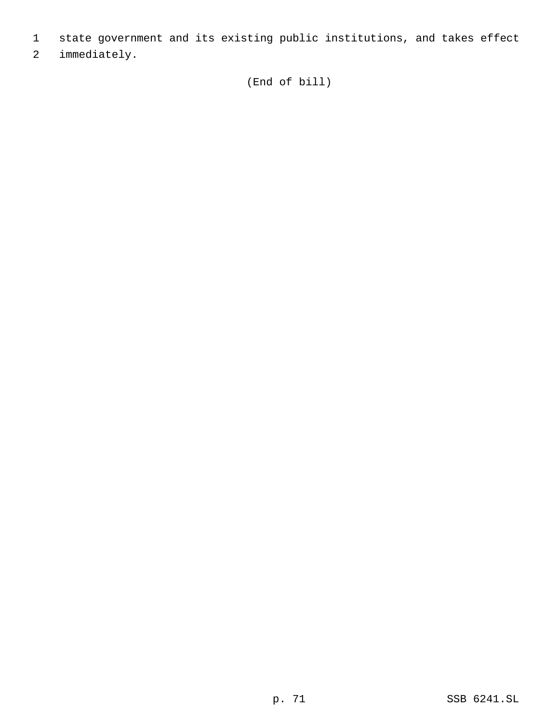- 1 state government and its existing public institutions, and takes effect
- 2 immediately.

(End of bill)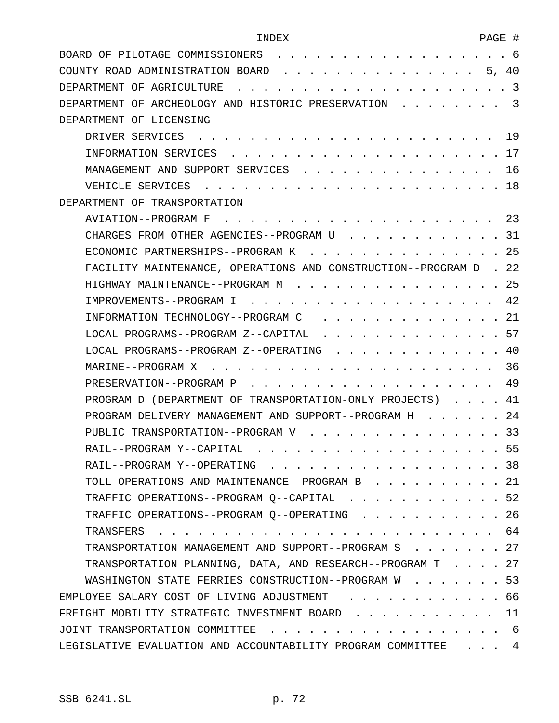|  |  | INDEX |
|--|--|-------|
|  |  |       |

| BOARD OF PILOTAGE COMMISSIONERS 6                                         |  |
|---------------------------------------------------------------------------|--|
| COUNTY ROAD ADMINISTRATION BOARD<br>. 5, 40                               |  |
|                                                                           |  |
| DEPARTMENT OF ARCHEOLOGY AND HISTORIC PRESERVATION 3                      |  |
| DEPARTMENT OF LICENSING                                                   |  |
|                                                                           |  |
|                                                                           |  |
| MANAGEMENT AND SUPPORT SERVICES 16                                        |  |
|                                                                           |  |
| DEPARTMENT OF TRANSPORTATION                                              |  |
|                                                                           |  |
| CHARGES FROM OTHER AGENCIES--PROGRAM U 31                                 |  |
| ECONOMIC PARTNERSHIPS--PROGRAM K 25                                       |  |
| FACILITY MAINTENANCE, OPERATIONS AND CONSTRUCTION--PROGRAM D . 22         |  |
| HIGHWAY MAINTENANCE--PROGRAM M 25                                         |  |
|                                                                           |  |
| INFORMATION TECHNOLOGY--PROGRAM C 21                                      |  |
| LOCAL PROGRAMS--PROGRAM Z--CAPITAL 57                                     |  |
| LOCAL PROGRAMS--PROGRAM Z--OPERATING 40                                   |  |
|                                                                           |  |
| . 49<br>PRESERVATION--PROGRAM P                                           |  |
| PROGRAM D (DEPARTMENT OF TRANSPORTATION-ONLY PROJECTS) 41                 |  |
| PROGRAM DELIVERY MANAGEMENT AND SUPPORT--PROGRAM H 24                     |  |
| PUBLIC TRANSPORTATION--PROGRAM V 33                                       |  |
| RAIL--PROGRAM Y--CAPITAL 55                                               |  |
| RAIL--PROGRAM Y--OPERATING<br>. 38                                        |  |
| TOLL OPERATIONS AND MAINTENANCE--PROGRAM B 21                             |  |
| TRAFFIC OPERATIONS--PROGRAM Q--CAPITAL 52                                 |  |
| TRAFFIC OPERATIONS--PROGRAM Q--OPERATING 26                               |  |
| TRANSFERS                                                                 |  |
| TRANSPORTATION MANAGEMENT AND SUPPORT--PROGRAM S 27                       |  |
| TRANSPORTATION PLANNING, DATA, AND RESEARCH--PROGRAM T 27                 |  |
| WASHINGTON STATE FERRIES CONSTRUCTION--PROGRAM W 53                       |  |
| EMPLOYEE SALARY COST OF LIVING ADJUSTMENT<br>. 66                         |  |
| FREIGHT MOBILITY STRATEGIC INVESTMENT BOARD 11                            |  |
|                                                                           |  |
| LEGISLATIVE EVALUATION AND ACCOUNTABILITY PROGRAM COMMITTEE<br>$\cdots$ 4 |  |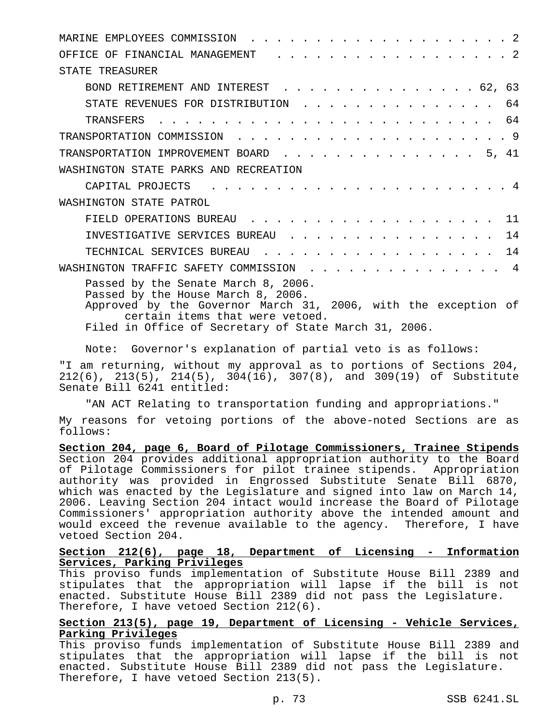| OFFICE OF FINANCIAL MANAGEMENT (ed. ed. ed. ed. ed. ed. ed. 2                                                                                                                                                                           |
|-----------------------------------------------------------------------------------------------------------------------------------------------------------------------------------------------------------------------------------------|
| STATE TREASURER                                                                                                                                                                                                                         |
| BOND RETIREMENT AND INTEREST 62, 63                                                                                                                                                                                                     |
| STATE REVENUES FOR DISTRIBUTION 64                                                                                                                                                                                                      |
|                                                                                                                                                                                                                                         |
|                                                                                                                                                                                                                                         |
| TRANSPORTATION IMPROVEMENT BOARD 5, 41                                                                                                                                                                                                  |
| WASHINGTON STATE PARKS AND RECREATION                                                                                                                                                                                                   |
| CAPITAL PROJECTS<br>. 4                                                                                                                                                                                                                 |
| WASHINGTON STATE PATROL                                                                                                                                                                                                                 |
| FIELD OPERATIONS BUREAU 11                                                                                                                                                                                                              |
| INVESTIGATIVE SERVICES BUREAU 14                                                                                                                                                                                                        |
| TECHNICAL SERVICES BUREAU 14                                                                                                                                                                                                            |
| WASHINGTON TRAFFIC SAFETY COMMISSION 4                                                                                                                                                                                                  |
| Passed by the Senate March 8, 2006.<br>Passed by the House March 8, 2006.<br>Approved by the Governor March 31, 2006, with the exception of<br>certain items that were vetoed.<br>Filed in Office of Secretary of State March 31, 2006. |

Note: Governor's explanation of partial veto is as follows:

"I am returning, without my approval as to portions of Sections 204, 212(6), 213(5), 214(5), 304(16), 307(8), and 309(19) of Substitute Senate Bill 6241 entitled:

"AN ACT Relating to transportation funding and appropriations."

My reasons for vetoing portions of the above-noted Sections are as follows:

**Section 204, page 6, Board of Pilotage Commissioners, Trainee Stipends** Section 204 provides additional appropriation authority to the Board of Pilotage Commissioners for pilot trainee stipends. Appropriation authority was provided in Engrossed Substitute Senate Bill 6870, which was enacted by the Legislature and signed into law on March 14, 2006. Leaving Section 204 intact would increase the Board of Pilotage Commissioners' appropriation authority above the intended amount and would exceed the revenue available to the agency. Therefore, I have vetoed Section 204.

### **Section 212(6), page 18, Department of Licensing - Information Services, Parking Privileges**

This proviso funds implementation of Substitute House Bill 2389 and stipulates that the appropriation will lapse if the bill is not enacted. Substitute House Bill 2389 did not pass the Legislature. Therefore, I have vetoed Section 212(6).

# **Section 213(5), page 19, Department of Licensing - Vehicle Services, Parking Privileges**

This proviso funds implementation of Substitute House Bill 2389 and stipulates that the appropriation will lapse if the bill is not enacted. Substitute House Bill 2389 did not pass the Legislature. Therefore, I have vetoed Section 213(5).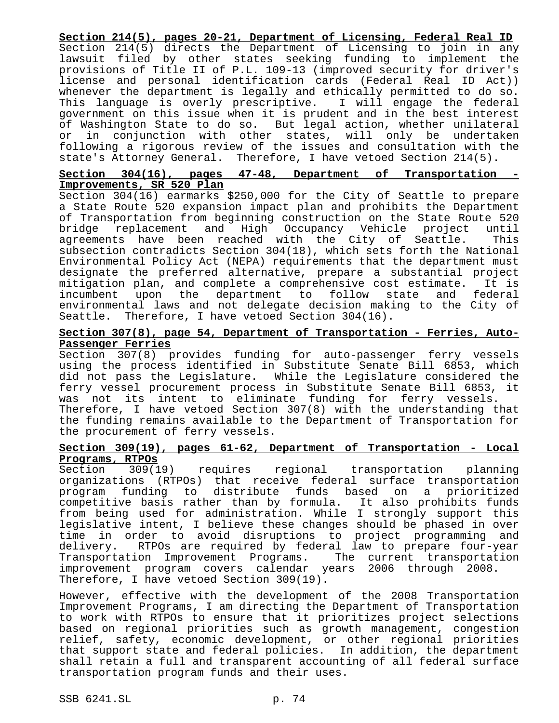**Section 214(5), pages 20-21, Department of Licensing, Federal Real ID** Section 214(5) directs the Department of Licensing to join in any lawsuit filed by other states seeking funding to implement the provisions of Title II of P.L. 109-13 (improved security for driver's license and personal identification cards (Federal Real ID Act)) whenever the department is legally and ethically permitted to do so. This language is overly prescriptive. I will engage the federal government on this issue when it is prudent and in the best interest of Washington State to do so. But legal action, whether unilateral or in conjunction with other states, will only be undertaken following a rigorous review of the issues and consultation with the state's Attorney General. Therefore, I have vetoed Section 214(5).

### **Section 304(16), pages 47-48, Department of Transportation - Improvements, SR 520 Plan**

Section 304(16) earmarks \$250,000 for the City of Seattle to prepare a State Route 520 expansion impact plan and prohibits the Department of Transportation from beginning construction on the State Route 520 bridge replacement and High Occupancy Vehicle project until agreements have been reached with the City of Seattle. This subsection contradicts Section 304(18), which sets forth the National Environmental Policy Act (NEPA) requirements that the department must designate the preferred alternative, prepare a substantial project mitigation plan, and complete a comprehensive cost estimate. It is incumbent upon the department to follow state and federal environmental laws and not delegate decision making to the City of Seattle. Therefore, I have vetoed Section 304(16).

#### **Section 307(8), page 54, Department of Transportation - Ferries, Auto-Passenger Ferries**

Section 307(8) provides funding for auto-passenger ferry vessels using the process identified in Substitute Senate Bill 6853, which did not pass the Legislature. While the Legislature considered the ferry vessel procurement process in Substitute Senate Bill 6853, it was not its intent to eliminate funding for ferry vessels. Therefore, I have vetoed Section 307(8) with the understanding that the funding remains available to the Department of Transportation for the procurement of ferry vessels.

# **Section 309(19), pages 61-62, Department of Transportation - Local Programs, RTPOs**

Section 309(19) requires regional transportation planning organizations (RTPOs) that receive federal surface transportation program funding to distribute funds based on a prioritized competitive basis rather than by formula. It also prohibits funds from being used for administration. While I strongly support this legislative intent, I believe these changes should be phased in over time in order to avoid disruptions to project programming and delivery. RTPOs are required by federal law to prepare four-year Transportation Improvement Programs. The current transportation improvement program covers calendar years 2006 through 2008. Therefore, I have vetoed Section 309(19).

However, effective with the development of the 2008 Transportation Improvement Programs, I am directing the Department of Transportation to work with RTPOs to ensure that it prioritizes project selections based on regional priorities such as growth management, congestion relief, safety, economic development, or other regional priorities that support state and federal policies. In addition, the department shall retain a full and transparent accounting of all federal surface transportation program funds and their uses.